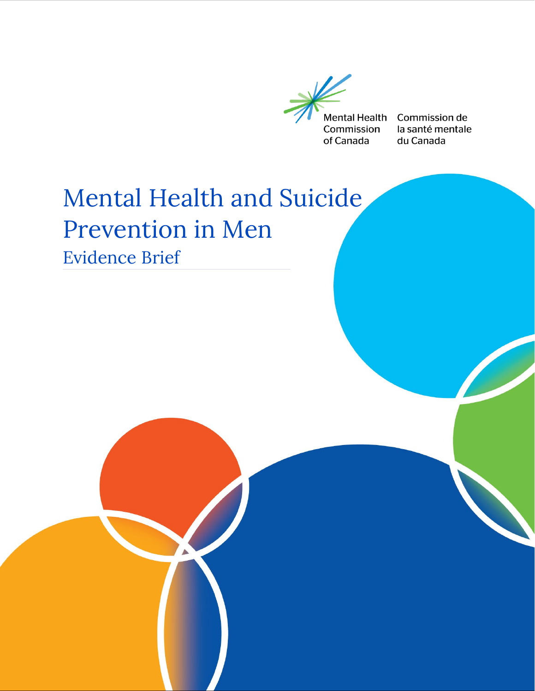

Commission de la santé mentale du Canada

# Mental Health and Suicide Prevention in Men Evidence Brief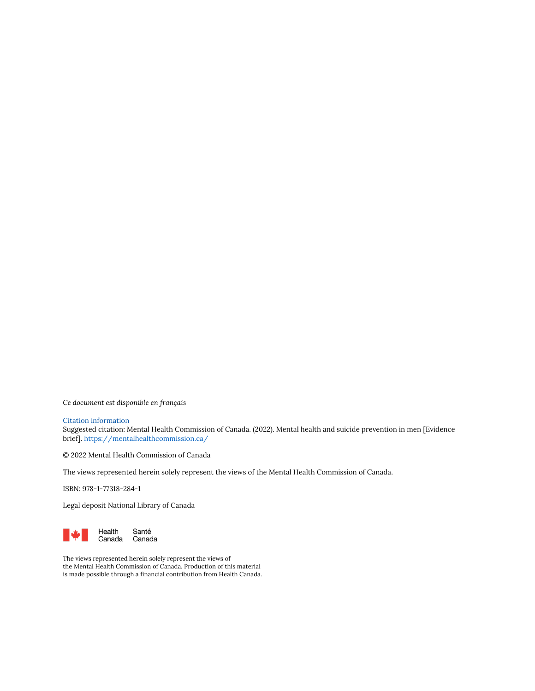*Ce document est disponible en français* 

#### Citation information

Suggested citation: Mental Health Commission of Canada. (2022). Mental health and suicide prevention in men [Evidence brief][. https://mentalhealthcommission.ca/](https://mentalhealthcommission.ca/)

© 2022 Mental Health Commission of Canada

The views represented herein solely represent the views of the Mental Health Commission of Canada.

ISBN: 978-1-77318-284-1

Legal deposit National Library of Canada



The views represented herein solely represent the views of the Mental Health Commission of Canada. Production of this material is made possible through a financial contribution from Health Canada.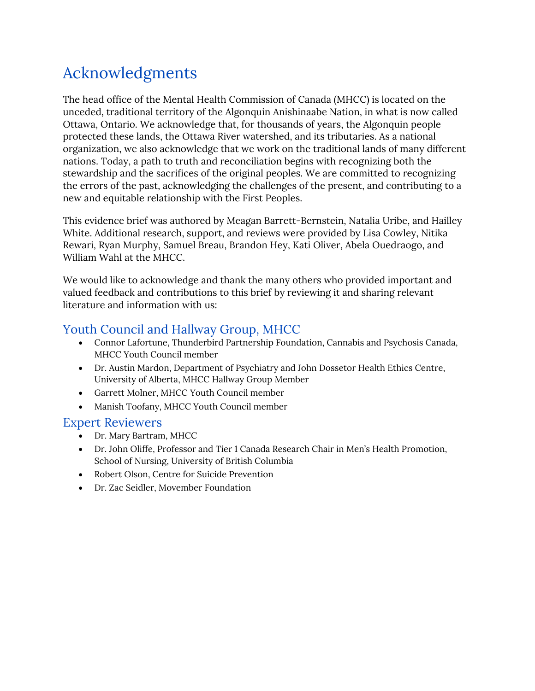### Acknowledgments

The head office of the Mental Health Commission of Canada (MHCC) is located on the unceded, traditional territory of the Algonquin Anishinaabe Nation, in what is now called Ottawa, Ontario. We acknowledge that, for thousands of years, the Algonquin people protected these lands, the Ottawa River watershed, and its tributaries. As a national organization, we also acknowledge that we work on the traditional lands of many different nations. Today, a path to truth and reconciliation begins with recognizing both the stewardship and the sacrifices of the original peoples. We are committed to recognizing the errors of the past, acknowledging the challenges of the present, and contributing to a new and equitable relationship with the First Peoples.

This evidence brief was authored by Meagan Barrett-Bernstein, Natalia Uribe, and Hailley White. Additional research, support, and reviews were provided by Lisa Cowley, Nitika Rewari, Ryan Murphy, Samuel Breau, Brandon Hey, Kati Oliver, Abela Ouedraogo, and William Wahl at the MHCC.

We would like to acknowledge and thank the many others who provided important and valued feedback and contributions to this brief by reviewing it and sharing relevant literature and information with us:

### Youth Council and Hallway Group, MHCC

- Connor Lafortune, Thunderbird Partnership Foundation, Cannabis and Psychosis Canada, MHCC Youth Council member
- Dr. Austin Mardon, Department of Psychiatry and John Dossetor Health Ethics Centre, University of Alberta, MHCC Hallway Group Member
- Garrett Molner, MHCC Youth Council member
- Manish Toofany, MHCC Youth Council member

### Expert Reviewers

- Dr. Mary Bartram, MHCC
- Dr. John Oliffe, Professor and Tier 1 Canada Research Chair in Men's Health Promotion, School of Nursing, University of British Columbia
- Robert Olson, Centre for Suicide Prevention
- Dr. Zac Seidler, Movember Foundation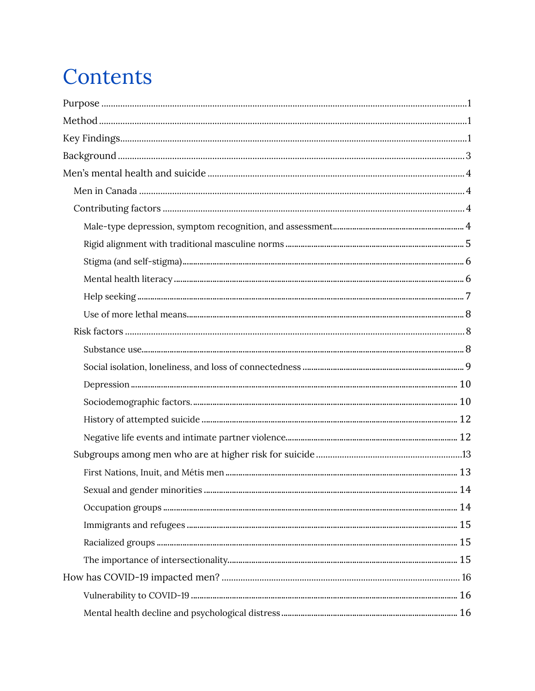## Contents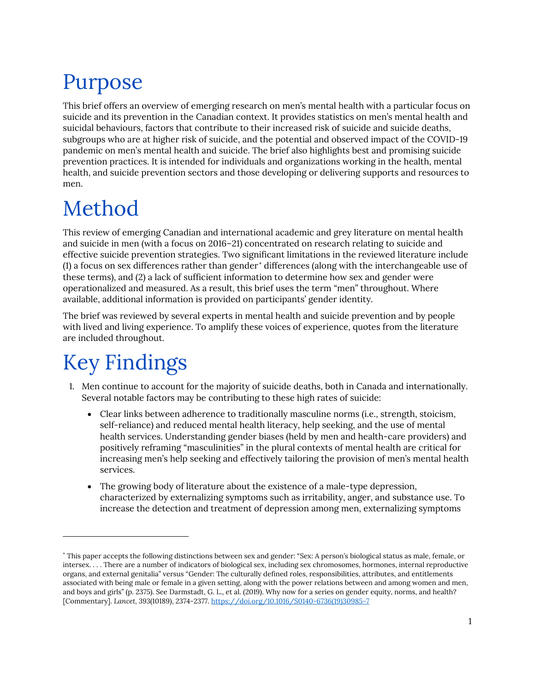# <span id="page-5-0"></span>Purpose

This brief offers an overview of emerging research on men's mental health with a particular focus on suicide and its prevention in the Canadian context. It provides statistics on men's mental health and suicidal behaviours, factors that contribute to their increased risk of suicide and suicide deaths, subgroups who are at higher risk of suicide, and the potential and observed impact of the COVID-19 pandemic on men's mental health and suicide. The brief also highlights best and promising suicide prevention practices. It is intended for individuals and organizations working in the health, mental health, and suicide prevention sectors and those developing or delivering supports and resources to men.

## <span id="page-5-1"></span>Method

This review of emerging Canadian and international academic and grey literature on mental health and suicide in men (with a focus on 2016–21) concentrated on research relating to suicide and effective suicide prevention strategies. Two significant limitations in the reviewed literature include (1) a focus on sex differences rather than gender [\\*](#page-5-3) differences (along with the interchangeable use of these terms), and (2) a lack of sufficient information to determine how sex and gender were operationalized and measured. As a result, this brief uses the term "men" throughout. Where available, additional information is provided on participants' gender identity.

The brief was reviewed by several experts in mental health and suicide prevention and by people with lived and living experience. To amplify these voices of experience, quotes from the literature are included throughout.

## <span id="page-5-2"></span>Key Findings

- 1. Men continue to account for the majority of suicide deaths, both in Canada and internationally. Several notable factors may be contributing to these high rates of suicide:
	- Clear links between adherence to traditionally masculine norms (i.e., strength, stoicism, self-reliance) and reduced mental health literacy, help seeking, and the use of mental health services. Understanding gender biases (held by men and health-care providers) and positively reframing "masculinities" in the plural contexts of mental health are critical for increasing men's help seeking and effectively tailoring the provision of men's mental health services.
	- The growing body of literature about the existence of a male-type depression, characterized by externalizing symptoms such as irritability, anger, and substance use. To increase the detection and treatment of depression among men, externalizing symptoms

<span id="page-5-3"></span><sup>\*</sup> This paper accepts the following distinctions between sex and gender: "Sex: A person's biological status as male, female, or intersex. . . . There are a number of indicators of biological sex, including sex chromosomes, hormones, internal reproductive organs, and external genitalia" versus "Gender: The culturally defined roles, responsibilities, attributes, and entitlements associated with being male or female in a given setting, along with the power relations between and among women and men, and boys and girls" (p. 2375). See Darmstadt, G. L., et al. (2019). Why now for a series on gender equity, norms, and health? [Commentary]. *Lancet, 393*(10189), 2374-2377. [https://doi.org/10.1016/S0140-6736\(19\)30985-7](https://doi.org/10.1016/S0140-6736(19)30985-7)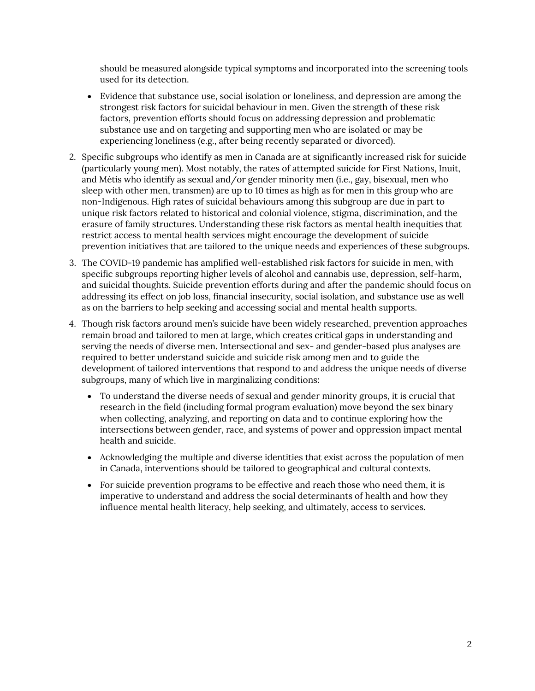should be measured alongside typical symptoms and incorporated into the screening tools used for its detection.

- Evidence that substance use, social isolation or loneliness, and depression are among the strongest risk factors for suicidal behaviour in men. Given the strength of these risk factors, prevention efforts should focus on addressing depression and problematic substance use and on targeting and supporting men who are isolated or may be experiencing loneliness (e.g., after being recently separated or divorced).
- 2. Specific subgroups who identify as men in Canada are at significantly increased risk for suicide (particularly young men). Most notably, the rates of attempted suicide for First Nations, Inuit, and Métis who identify as sexual and/or gender minority men (i.e., gay, bisexual, men who sleep with other men, transmen) are up to 10 times as high as for men in this group who are non-Indigenous. High rates of suicidal behaviours among this subgroup are due in part to unique risk factors related to historical and colonial violence, stigma, discrimination, and the erasure of family structures. Understanding these risk factors as mental health inequities that restrict access to mental health services might encourage the development of suicide prevention initiatives that are tailored to the unique needs and experiences of these subgroups.
- 3. The COVID-19 pandemic has amplified well-established risk factors for suicide in men, with specific subgroups reporting higher levels of alcohol and cannabis use, depression, self-harm, and suicidal thoughts. Suicide prevention efforts during and after the pandemic should focus on addressing its effect on job loss, financial insecurity, social isolation, and substance use as well as on the barriers to help seeking and accessing social and mental health supports.
- <span id="page-6-0"></span>4. Though risk factors around men's suicide have been widely researched, prevention approaches remain broad and tailored to men at large, which creates critical gaps in understanding and serving the needs of diverse men. Intersectional and sex- and gender-based plus analyses are required to better understand suicide and suicide risk among men and to guide the development of tailored interventions that respond to and address the unique needs of diverse subgroups, many of which live in marginalizing conditions:
	- To understand the diverse needs of sexual and gender minority groups, it is crucial that research in the field (including formal program evaluation) move beyond the sex binary when collecting, analyzing, and reporting on data and to continue exploring how the intersections between gender, race, and systems of power and oppression impact mental health and suicide.
	- Acknowledging the multiple and diverse identities that exist across the population of men in Canada, interventions should be tailored to geographical and cultural contexts.
	- For suicide prevention programs to be effective and reach those who need them, it is imperative to understand and address the social determinants of health and how they influence mental health literacy, help seeking, and ultimately, access to services.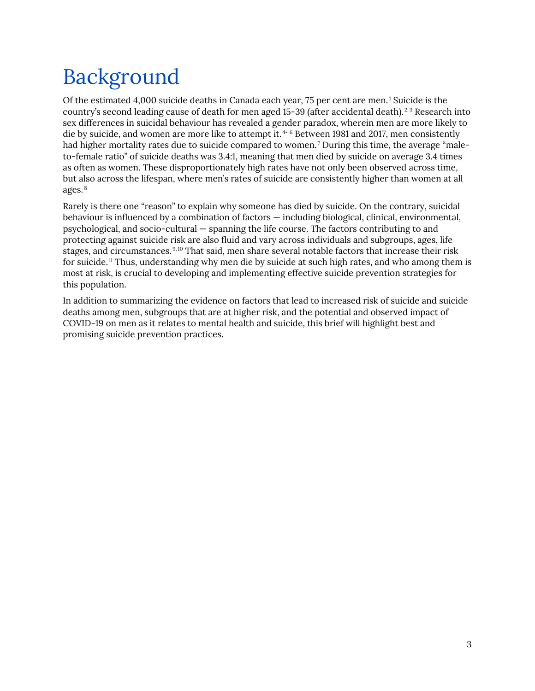# Background

Of the estimated 4,000 suicide deaths in Canada each year, 75 per cent are men.<sup>[1](#page-30-1)</sup> Suicide is the country's second leading cause of death for men aged 15-39 (after accidental death).<sup>[2](#page-30-2),[3](#page-30-3)</sup> Research into sex differences in suicidal behaviour has revealed a gender paradox, wherein men are more likely to die by suicide, and women are more like to attempt it.<sup>[4-](#page-30-4)[6](#page-30-5)</sup> Between 1981 and 2017, men consistently had higher mortality rates due to suicide compared to women.<sup>[7](#page-30-6)</sup> During this time, the average "maleto-female ratio" of suicide deaths was 3.4:1, meaning that men died by suicide on average 3.4 times as often as women. These disproportionately high rates have not only been observed across time, but also across the lifespan, where men's rates of suicide are consistently higher than women at all ages. [8](#page-30-7)

Rarely is there one "reason" to explain why someone has died by suicide. On the contrary, suicidal behaviour is influenced by a combination of factors — including biological, clinical, environmental, psychological, and socio-cultural — spanning the life course. The factors contributing to and protecting against suicide risk are also fluid and vary across individuals and subgroups, ages, life stages, and circumstances. [9](#page-30-8),[10](#page-30-9) That said, men share several notable factors that increase their risk for suicide.[11](#page-30-10) Thus, understanding why men die by suicide at such high rates, and who among them is most at risk, is crucial to developing and implementing effective suicide prevention strategies for this population.

In addition to summarizing the evidence on factors that lead to increased risk of suicide and suicide deaths among men, subgroups that are at higher risk, and the potential and observed impact of COVID-19 on men as it relates to mental health and suicide, this brief will highlight best and promising suicide prevention practices.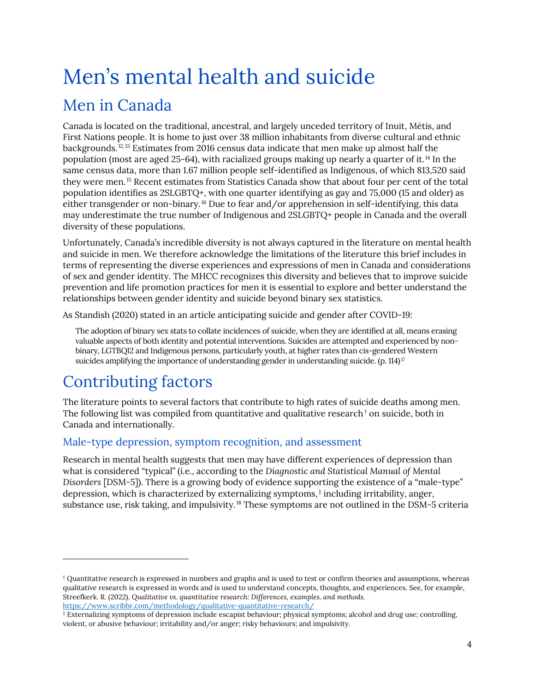## <span id="page-8-0"></span>Men's mental health and suicide Men in Canada

<span id="page-8-1"></span>Canada is located on the traditional, ancestral, and largely unceded territory of Inuit, Métis, and First Nations people. It is home to just over 38 million inhabitants from diverse cultural and ethnic backgrounds.[12,](#page-30-11)[13](#page-30-12) Estimates from 2016 census data indicate that men make up almost half the population (most are aged 25-64), with racialized groups making up nearly a quarter of it.<sup>[14](#page-30-13)</sup> In the same census data, more than 1.67 million people self-identified as Indigenous, of which 813,520 said they were men.<sup>[15](#page-30-14)</sup> Recent estimates from Statistics Canada show that about four per cent of the total population identifies as 2SLGBTQ+, with one quarter identifying as gay and 75,000 (15 and older) as either transgender or non-binary.[16](#page-30-15) Due to fear and/or apprehension in self-identifying, this data may underestimate the true number of Indigenous and 2SLGBTQ+ people in Canada and the overall diversity of these populations.

Unfortunately, Canada's incredible diversity is not always captured in the literature on mental health and suicide in men. We therefore acknowledge the limitations of the literature this brief includes in terms of representing the diverse experiences and expressions of men in Canada and considerations of sex and gender identity. The MHCC recognizes this diversity and believes that to improve suicide prevention and life promotion practices for men it is essential to explore and better understand the relationships between gender identity and suicide beyond binary sex statistics.

As Standish (2020) stated in an article anticipating suicide and gender after COVID-19:

The adoption of binary sex stats to collate incidences of suicide, when they are identified at all, means erasing valuable aspects of both identity and potential interventions. Suicides are attempted and experienced by nonbinary, LGTBQI2 and Indigenous persons, particularly youth, at higher rates than cis-gendered Western suicides amplifying the importance of understanding gender in understanding suicide. (p. 114) $^{17}$  $^{17}$  $^{17}$ 

### <span id="page-8-2"></span>Contributing factors

The literature points to several factors that contribute to high rates of suicide deaths among men. The following list was compiled from quantitative and qualitative research<sup> $\dagger$ </sup> on suicide, both in Canada and internationally.

### <span id="page-8-3"></span>Male-type depression, symptom recognition, and assessment

Research in mental health suggests that men may have different experiences of depression than what is considered "typical" (i.e., according to the *[Diagnostic and Statistical Manual of Mental](https://www.psychiatry.org/psychiatrists/practice/dsm)  [Disorders](https://www.psychiatry.org/psychiatrists/practice/dsm)* [DSM-5]). There is a growing body of evidence supporting the existence of a "male-type" depression, which is characterized by externalizing symptoms, [‡](#page-8-5) including irritability, anger, substance use, risk taking, and impulsivity.[18](#page-30-17) These symptoms are not outlined in the DSM-5 criteria

<span id="page-8-4"></span><sup>†</sup> Quantitative research is expressed in numbers and graphs and is used to test or confirm theories and assumptions, whereas qualitative research is expressed in words and is used to understand concepts, thoughts, and experiences. See, for example, Streefkerk. R. (2022). *Qualitative vs. quantitative research: Differences, examples, and methods.* <https://www.scribbr.com/methodology/qualitative-quantitative-research/>

<span id="page-8-5"></span><sup>‡</sup> Externalizing symptoms of depression include escapist behaviour; physical symptoms; alcohol and drug use; controlling, violent, or abusive behaviour; irritability and/or anger; risky behaviours; and impulsivity.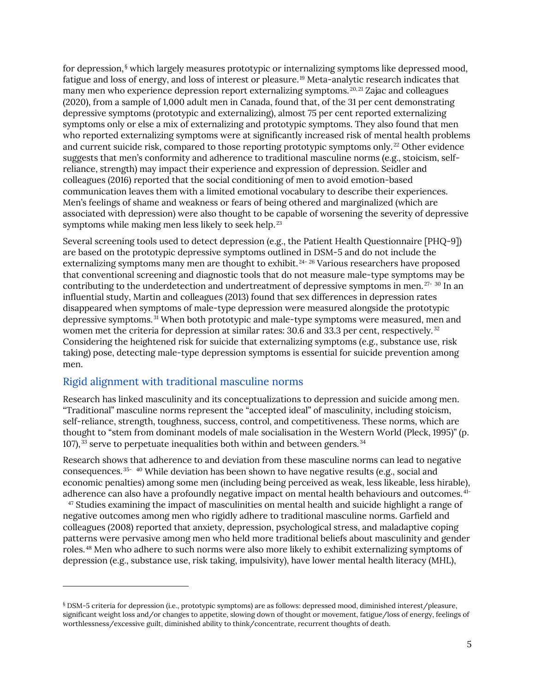for depression, [§](#page-9-1) which largely measures prototypic or internalizing symptoms like depressed mood, fatigue and loss of energy, and loss of interest or pleasure.[19](#page-30-18) Meta-analytic research indicates that many men who experience depression report externalizing symptoms.  $20, 21$  $20, 21$  $20, 21$  Zajac and colleagues (2020), from a sample of 1,000 adult men in Canada, found that, of the 31 per cent demonstrating depressive symptoms (prototypic and externalizing), almost 75 per cent reported externalizing symptoms only or else a mix of externalizing and prototypic symptoms. They also found that men who reported externalizing symptoms were at significantly increased risk of mental health problems and current suicide risk, compared to those reporting prototypic symptoms only. [22](#page-31-0) Other evidence suggests that men's conformity and adherence to traditional masculine norms (e.g., stoicism, selfreliance, strength) may impact their experience and expression of depression. Seidler and colleagues (2016) reported that the social conditioning of men to avoid emotion-based communication leaves them with a limited emotional vocabulary to describe their experiences. Men's feelings of shame and weakness or fears of being othered and marginalized (which are associated with depression) were also thought to be capable of worsening the severity of depressive symptoms while making men less likely to seek help.<sup>[23](#page-31-1)</sup>

Several screening tools used to detect depression (e.g., the Patient Health Questionnaire [PHQ-9]) are based on the prototypic depressive symptoms outlined in DSM-5 and do not include the externalizing symptoms many men are thought to exhibit.<sup>[24-](#page-31-2)[26](#page-31-3)</sup> Various researchers have proposed that conventional screening and diagnostic tools that do not measure male-type symptoms may be contributing to the underdetection and undertreatment of depressive symptoms in men. [27-](#page-31-4) [30](#page-31-5) In an influential study, Martin and colleagues (2013) found that sex differences in depression rates disappeared when symptoms of male-type depression were measured alongside the prototypic depressive symptoms. [31](#page-31-6) When both prototypic and male-type symptoms were measured, men and women met the criteria for depression at similar rates: 30.6 and 33.3 per cent, respectively.<sup>[32](#page-31-7)</sup> Considering the heightened risk for suicide that externalizing symptoms (e.g., substance use, risk taking) pose, detecting male-type depression symptoms is essential for suicide prevention among men.

### <span id="page-9-0"></span>Rigid alignment with traditional masculine norms

Research has linked masculinity and its conceptualizations to depression and suicide among men. "Traditional" masculine norms represent the "accepted ideal" of masculinity, including stoicism, self-reliance, strength, toughness, success, control, and competitiveness. These norms, which are thought to "stem from dominant models of male socialisation in the Western World (Pleck, 1995)" (p. 107), [33](#page-31-8) serve to perpetuate inequalities both within and between genders. [34](#page-31-9)

Research shows that adherence to and deviation from these masculine norms can lead to negative consequences.  $35-40$  $35-40$  $35-40$  While deviation has been shown to have negative results (e.g., social and economic penalties) among some men (including being perceived as weak, less likeable, less hirable), adherence can also have a profoundly negative impact on mental health behaviours and outcomes. [41-](#page-31-12)  $47$  Studies examining the impact of masculinities on mental health and suicide highlight a range of

negative outcomes among men who rigidly adhere to traditional masculine norms. Garfield and colleagues (2008) reported that anxiety, depression, psychological stress, and maladaptive coping patterns were pervasive among men who held more traditional beliefs about masculinity and gender roles. [48](#page-32-1) Men who adhere to such norms were also more likely to exhibit externalizing symptoms of depression (e.g., substance use, risk taking, impulsivity), have lower mental health literacy (MHL),

<span id="page-9-1"></span><sup>§</sup> DSM-5 criteria for depression (i.e., prototypic symptoms) are as follows: depressed mood, diminished interest/pleasure, significant weight loss and/or changes to appetite, slowing down of thought or movement, fatigue/loss of energy, feelings of worthlessness/excessive guilt, diminished ability to think/concentrate, recurrent thoughts of death.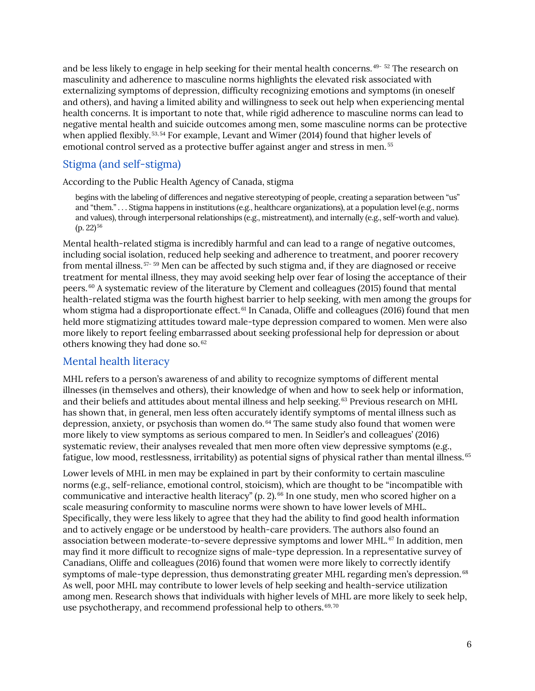and be less likely to engage in help seeking for their mental health concerns. [49-](#page-32-2) [52](#page-32-3) The research on masculinity and adherence to masculine norms highlights the elevated risk associated with externalizing symptoms of depression, difficulty recognizing emotions and symptoms (in oneself and others), and having a limited ability and willingness to seek out help when experiencing mental health concerns. It is important to note that, while rigid adherence to masculine norms can lead to negative mental health and suicide outcomes among men, some masculine norms can be protective when applied flexibly.<sup>[53](#page-32-4),[54](#page-32-5)</sup> For example, Levant and Wimer (2014) found that higher levels of emotional control served as a protective buffer against anger and stress in men. [55](#page-32-6)

### <span id="page-10-0"></span>Stigma (and self-stigma)

According to the Public Health Agency of Canada, stigma

begins with the labeling of differences and negative stereotyping of people, creating a separation between "us" and "them." . . . Stigma happens in institutions (e.g., healthcare organizations), at a population level (e.g., norms and values), through interpersonal relationships (e.g., mistreatment), and internally (e.g., self-worth and value).  $(p. 22)^{56}$  $(p. 22)^{56}$  $(p. 22)^{56}$ 

Mental health-related stigma is incredibly harmful and can lead to a range of negative outcomes, including social isolation, reduced help seeking and adherence to treatment, and poorer recovery from mental illness. [57](#page-32-8)- [59](#page-32-9) Men can be affected by such stigma and, if they are diagnosed or receive treatment for mental illness, they may avoid seeking help over fear of losing the acceptance of their peers. [60](#page-32-10) A systematic review of the literature by Clement and colleagues (2015) found that mental health-related stigma was the fourth highest barrier to help seeking, with men among the groups for whom stigma had a disproportionate effect.<sup>61</sup> In Canada, Oliffe and colleagues (2016) found that men held more stigmatizing attitudes toward male-type depression compared to women. Men were also more likely to report feeling embarrassed about seeking professional help for depression or about others knowing they had done so. [62](#page-32-12) 

### <span id="page-10-1"></span>Mental health literacy

MHL refers to a person's awareness of and ability to recognize symptoms of different mental illnesses (in themselves and others), their knowledge of when and how to seek help or information, and their beliefs and attitudes about mental illness and help seeking.<sup>[63](#page-32-13)</sup> Previous research on MHL has shown that, in general, men less often accurately identify symptoms of mental illness such as depression, anxiety, or psychosis than women do. [64](#page-32-14) The same study also found that women were more likely to view symptoms as serious compared to men. In Seidler's and colleagues' (2016) systematic review, their analyses revealed that men more often view depressive symptoms (e.g., fatigue, low mood, restlessness, irritability) as potential signs of physical rather than mental illness. [65](#page-32-15)

Lower levels of MHL in men may be explained in part by their conformity to certain masculine norms (e.g., self-reliance, emotional control, stoicism), which are thought to be "incompatible with communicative and interactive health literacy" (p. 2).  $^{66}$  $^{66}$  $^{66}$  In one study, men who scored higher on a scale measuring conformity to masculine norms were shown to have lower levels of MHL. Specifically, they were less likely to agree that they had the ability to find good health information and to actively engage or be understood by health-care providers. The authors also found an association between moderate-to-severe depressive symptoms and lower MHL. [67](#page-32-17) In addition, men may find it more difficult to recognize signs of male-type depression. In a representative survey of Canadians, Oliffe and colleagues (2016) found that women were more likely to correctly identify symptoms of male-type depression, thus demonstrating greater MHL regarding men's depression. <sup>[68](#page-32-18)</sup> As well, poor MHL may contribute to lower levels of help seeking and health-service utilization among men. Research shows that individuals with higher levels of MHL are more likely to seek help, use psychotherapy, and recommend professional help to others.  $69,70$  $69,70$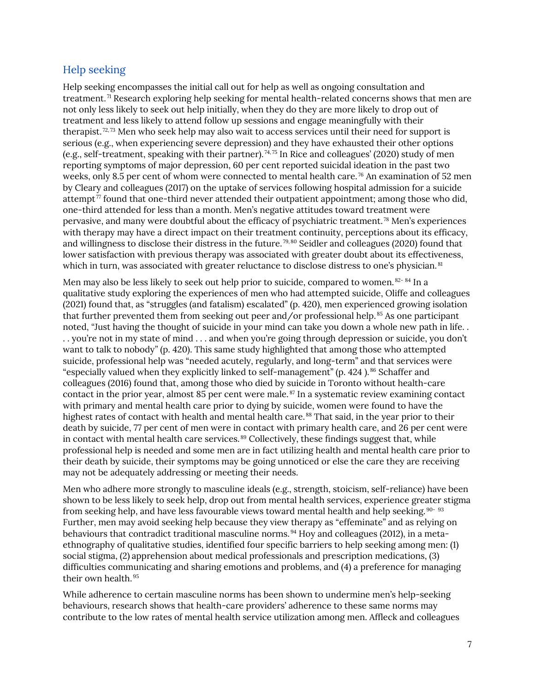### <span id="page-11-0"></span>Help seeking

Help seeking encompasses the initial call out for help as well as ongoing consultation and treatment. [71](#page-32-21) Research exploring help seeking for mental health-related concerns shows that men are not only less likely to seek out help initially, when they do they are more likely to drop out of treatment and less likely to attend follow up sessions and engage meaningfully with their therapist.<sup>[72,](#page-32-22)[73](#page-33-0)</sup> Men who seek help may also wait to access services until their need for support is serious (e.g., when experiencing severe depression) and they have exhausted their other options (e.g., self-treatment, speaking with their partner).<sup>[74,](#page-33-1)[75](#page-33-2)</sup> In Rice and colleagues' (2020) study of men reporting symptoms of major depression, 60 per cent reported suicidal ideation in the past two weeks, only 8.5 per cent of whom were connected to mental health care. [76](#page-33-3) An examination of 52 men by Cleary and colleagues (2017) on the uptake of services following hospital admission for a suicide attempt<sup> $\tau$ </sup> found that one-third never attended their outpatient appointment; among those who did, one-third attended for less than a month. Men's negative attitudes toward treatment were pervasive, and many were doubtful about the efficacy of psychiatric treatment. [78](#page-33-5) Men's experiences with therapy may have a direct impact on their treatment continuity, perceptions about its efficacy, and willingness to disclose their distress in the future.<sup>[79](#page-33-6),[80](#page-33-7)</sup> Seidler and colleagues (2020) found that lower satisfaction with previous therapy was associated with greater doubt about its effectiveness, which in turn, was associated with greater reluctance to disclose distress to one's physician.<sup>[81](#page-33-8)</sup>

Men may also be less likely to seek out help prior to suicide, compared to women. [82-](#page-33-9)[84](#page-33-10) In a qualitative study exploring the experiences of men who had attempted suicide, Oliffe and colleagues (2021) found that, as "struggles (and fatalism) escalated" (p. 420), men experienced growing isolation that further prevented them from seeking out peer and/or professional help. [85](#page-33-11) As one participant noted, *"*Just having the thought of suicide in your mind can take you down a whole new path in life. . . . you're not in my state of mind . . . and when you're going through depression or suicide, you don't want to talk to nobody*"* (p. 420). This same study highlighted that among those who attempted suicide, professional help was "needed acutely, regularly, and long-term" and that services were "especially valued when they explicitly linked to self-management" (p. 424).<sup>[86](#page-33-12)</sup> Schaffer and colleagues (2016) found that, among those who died by suicide in Toronto without health-care contact in the prior year, almost 85 per cent were male.<sup>[87](#page-33-13)</sup> In a systematic review examining contact with primary and mental health care prior to dying by suicide, women were found to have the highest rates of contact with health and mental health care.<sup>[88](#page-33-14)</sup> That said, in the year prior to their death by suicide, 77 per cent of men were in contact with primary health care, and 26 per cent were in contact with mental health care services. [89](#page-33-15) Collectively, these findings suggest that, while professional help is needed and some men are in fact utilizing health and mental health care prior to their death by suicide, their symptoms may be going unnoticed or else the care they are receiving may not be adequately addressing or meeting their needs.

Men who adhere more strongly to masculine ideals (e.g., strength, stoicism, self-reliance) have been shown to be less likely to seek help, drop out from mental health services, experience greater stigma from seeking help, and have less favourable views toward mental health and help seeking. [90](#page-33-16)- [93](#page-33-17) Further, men may avoid seeking help because they view therapy as "effeminate" and as relying on behaviours that contradict traditional masculine norms. [94](#page-33-18) Hoy and colleagues (2012), in a metaethnography of qualitative studies, identified four specific barriers to help seeking among men: (1) social stigma, (2) apprehension about medical professionals and prescription medications, (3) difficulties communicating and sharing emotions and problems, and (4) a preference for managing their own health. [95](#page-33-19)

While adherence to certain masculine norms has been shown to undermine men's help-seeking behaviours, research shows that health-care providers' adherence to these same norms may contribute to the low rates of mental health service utilization among men. Affleck and colleagues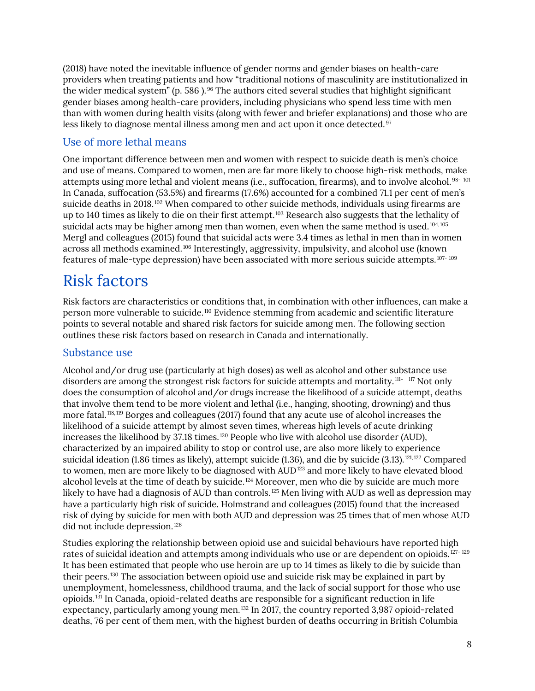(2018) have noted the inevitable influence of gender norms and gender biases on health-care providers when treating patients and how "traditional notions of masculinity are institutionalized in the wider medical system" (p. 586 ). <sup>[96](#page-33-20)</sup> The authors cited several studies that highlight significant gender biases among health-care providers, including physicians who spend less time with men than with women during health visits (along with fewer and briefer explanations) and those who are less likely to diagnose mental illness among men and act upon it once detected.<sup>[97](#page-33-21)</sup>

### <span id="page-12-0"></span>Use of more lethal means

One important difference between men and women with respect to suicide death is men's choice and use of means. Compared to women, men are far more likely to choose high-risk methods, make attempts using more lethal and violent means (i.e., suffocation, firearms), and to involve alcohol. [98-](#page-33-22) [101](#page-34-0) In Canada, suffocation (53.5%) and firearms (17.6%) accounted for a combined 71.1 per cent of men's suicide deaths in 2018.<sup>[102](#page-34-1)</sup> When compared to other suicide methods, individuals using firearms are up to 140 times as likely to die on their first attempt.<sup>[103](#page-34-2)</sup> Research also suggests that the lethality of suicidal acts may be higher among men than women, even when the same method is used.<sup>[104](#page-34-3),[105](#page-34-4)</sup> Mergl and colleagues (2015) found that suicidal acts were 3.4 times as lethal in men than in women across all methods examined.<sup>[106](#page-34-5)</sup> Interestingly, aggressivity, impulsivity, and alcohol use (known features of male-type depression) have been associated with more serious suicide attempts.<sup>[107-](#page-34-6)[109](#page-34-7)</sup>

### <span id="page-12-1"></span>Risk factors

Risk factors are characteristics or conditions that, in combination with other influences, can make a person more vulnerable to suicide.<sup>[110](#page-34-8)</sup> Evidence stemming from academic and scientific literature points to several notable and shared risk factors for suicide among men. The following section outlines these risk factors based on research in Canada and internationally.

### <span id="page-12-2"></span>Substance use

Alcohol and/or drug use (particularly at high doses) as well as alcohol and other substance use disorders are among the strongest risk factors for suicide attempts and mortality.<sup>[111-](#page-34-9)[117](#page-34-10)</sup> Not only does the consumption of alcohol and/or drugs increase the likelihood of a suicide attempt, deaths that involve them tend to be more violent and lethal (i.e., hanging, shooting, drowning) and thus more fatal.<sup>[118,](#page-34-11)[119](#page-35-0)</sup> Borges and colleagues (2017) found that any acute use of alcohol increases the likelihood of a suicide attempt by almost seven times, whereas high levels of acute drinking increases the likelihood by  $37.18$  times.<sup>[120](#page-35-1)</sup> People who live with alcohol use disorder (AUD), characterized by an impaired ability to stop or control use, are also more likely to experience suicidal ideation (1.86 times as likely), attempt suicide (1.36), and die by suicide (3.13).<sup>[121](#page-35-2),[122](#page-35-3)</sup> Compared to women, men are more likely to be diagnosed with AUD<sup>[123](#page-35-4)</sup> and more likely to have elevated blood alcohol levels at the time of death by suicide.<sup>[124](#page-35-5)</sup> Moreover, men who die by suicide are much more likely to have had a diagnosis of AUD than controls.<sup>[125](#page-35-6)</sup> Men living with AUD as well as depression may have a particularly high risk of suicide. Holmstrand and colleagues (2015) found that the increased risk of dying by suicide for men with both AUD and depression was 25 times that of men whose AUD did not include depression.<sup>[126](#page-35-7)</sup>

Studies exploring the relationship between opioid use and suicidal behaviours have reported high rates of suicidal ideation and attempts among individuals who use or are dependent on opioids.<sup>[127-](#page-35-8)[129](#page-35-9)</sup> It has been estimated that people who use heroin are up to 14 times as likely to die by suicide than their peers.[130](#page-35-10) The association between opioid use and suicide risk may be explained in part by unemployment, homelessness, childhood trauma, and the lack of social support for those who use opioids.[131](#page-35-11) In Canada, opioid-related deaths are responsible for a significant reduction in life expectancy, particularly among young men.<sup>[132](#page-35-12)</sup> In 2017, the country reported 3,987 opioid-related deaths, 76 per cent of them men, with the highest burden of deaths occurring in British Columbia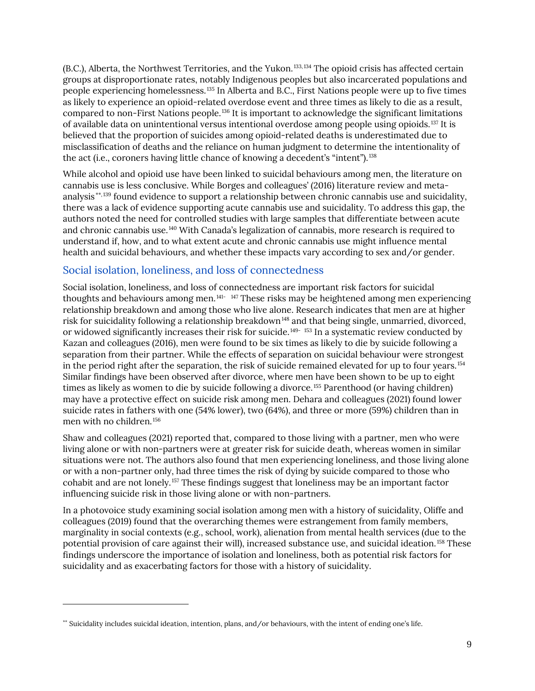(B.C.), Alberta, the Northwest Territories, and the Yukon. [133](#page-35-13),[134](#page-35-14) The opioid crisis has affected certain groups at disproportionate rates, notably Indigenous peoples but also incarcerated populations and people experiencing homelessness.[135](#page-35-15) In Alberta and B.C., First Nations people were up to five times as likely to experience an opioid-related overdose event and three times as likely to die as a result, compared to non-First Nations people.[136](#page-35-16) It is important to acknowledge the significant limitations of available data on unintentional versus intentional overdose among people using opioids.<sup>[137](#page-35-17)</sup> It is believed that the proportion of suicides among opioid-related deaths is underestimated due to misclassification of deaths and the reliance on human judgment to determine the intentionality of the act (i.e., coroners having little chance of knowing a decedent's "intent").<sup>[138](#page-35-18)</sup>

While alcohol and opioid use have been linked to suicidal behaviours among men, the literature on cannabis use is less conclusive. While Borges and colleagues' (2016) literature review and metaanalysis [\\*\\*,](#page-13-1)[139](#page-35-19) found evidence to support a relationship between chronic cannabis use and suicidality, there was a lack of evidence supporting acute cannabis use and suicidality. To address this gap, the authors noted the need for controlled studies with large samples that differentiate between acute and chronic cannabis use.[140](#page-35-20) With Canada's legalization of cannabis, more research is required to understand if, how, and to what extent acute and chronic cannabis use might influence mental health and suicidal behaviours, and whether these impacts vary according to sex and/or gender.

### <span id="page-13-0"></span>Social isolation, loneliness, and loss of connectedness

Social isolation, loneliness, and loss of connectedness are important risk factors for suicidal thoughts and behaviours among men.[141](#page-35-21)- [147](#page-36-0) These risks may be heightened among men experiencing relationship breakdown and among those who live alone. Research indicates that men are at higher risk for suicidality following a relationship breakdown<sup>[148](#page-36-1)</sup> and that being single, unmarried, divorced, or widowed significantly increases their risk for suicide.<sup>[149](#page-36-2)-[153](#page-36-3)</sup> In a systematic review conducted by Kazan and colleagues (2016), men were found to be six times as likely to die by suicide following a separation from their partner. While the effects of separation on suicidal behaviour were strongest in the period right after the separation, the risk of suicide remained elevated for up to four years.<sup>[154](#page-36-4)</sup> Similar findings have been observed after divorce, where men have been shown to be up to eight times as likely as women to die by suicide following a divorce.<sup>[155](#page-36-5)</sup> Parenthood (or having children) may have a protective effect on suicide risk among men. Dehara and colleagues (2021) found lower suicide rates in fathers with one (54% lower), two (64%), and three or more (59%) children than in men with no children.<sup>[156](#page-36-6)</sup>

Shaw and colleagues (2021) reported that, compared to those living with a partner, men who were living alone or with non-partners were at greater risk for suicide death, whereas women in similar situations were not. The authors also found that men experiencing loneliness, and those living alone or with a non-partner only, had three times the risk of dying by suicide compared to those who cohabit and are not lonely.[157](#page-36-7) These findings suggest that loneliness may be an important factor influencing suicide risk in those living alone or with non-partners.

In a photovoice study examining social isolation among men with a history of suicidality, Oliffe and colleagues (2019) found that the overarching themes were estrangement from family members, marginality in social contexts (e.g., school, work), alienation from mental health services (due to the potential provision of care against their will), increased substance use, and suicidal ideation.[158](#page-36-8) These findings underscore the importance of isolation and loneliness, both as potential risk factors for suicidality and as exacerbating factors for those with a history of suicidality.

<span id="page-13-1"></span><sup>\*\*</sup> Suicidality includes suicidal ideation, intention, plans, and/or behaviours, with the intent of ending one's life.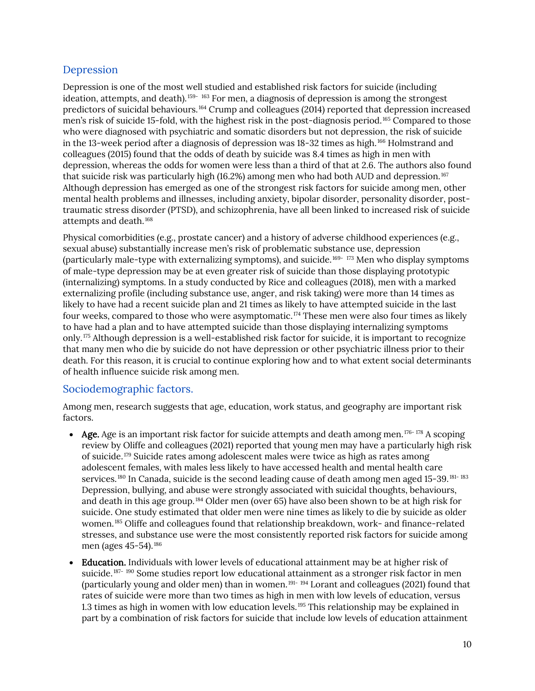### <span id="page-14-0"></span>Depression

Depression is one of the most well studied and established risk factors for suicide (including ideation, attempts, and death).<sup>[159-](#page-36-9)[163](#page-37-0)</sup> For men, a diagnosis of depression is among the strongest predictors of suicidal behaviours.<sup>[164](#page-37-1)</sup> Crump and colleagues (2014) reported that depression increased men's risk of suicide 15-fold, with the highest risk in the post-diagnosis period.[165](#page-37-2) Compared to those who were diagnosed with psychiatric and somatic disorders but not depression, the risk of suicide in the 13-week period after a diagnosis of depression was 18-32 times as high.<sup>[166](#page-37-3)</sup> Holmstrand and colleagues (2015) found that the odds of death by suicide was 8.4 times as high in men with depression, whereas the odds for women were less than a third of that at 2.6. The authors also found that suicide risk was particularly high (16.2%) among men who had both AUD and depression.[167](#page-37-4) Although depression has emerged as one of the strongest risk factors for suicide among men, other mental health problems and illnesses, including anxiety, bipolar disorder, personality disorder, posttraumatic stress disorder (PTSD), and schizophrenia, have all been linked to increased risk of suicide attempts and death.[168](#page-37-5)

Physical comorbidities (e.g., prostate cancer) and a history of adverse childhood experiences (e.g., sexual abuse) substantially increase men's risk of problematic substance use, depression (particularly male-type with externalizing symptoms), and suicide.[169-](#page-37-6) [173](#page-37-7) Men who display symptoms of male-type depression may be at even greater risk of suicide than those displaying prototypic (internalizing) symptoms. In a study conducted by Rice and colleagues (2018), men with a marked externalizing profile (including substance use, anger, and risk taking) were more than 14 times as likely to have had a recent suicide plan and 21 times as likely to have attempted suicide in the last four weeks, compared to those who were asymptomatic.<sup> $174$ </sup> These men were also four times as likely to have had a plan and to have attempted suicide than those displaying internalizing symptoms only.[175](#page-37-9) Although depression is a well-established risk factor for suicide, it is important to recognize that many men who die by suicide do not have depression or other psychiatric illness prior to their death. For this reason, it is crucial to continue exploring how and to what extent social determinants of health influence suicide risk among men.

### <span id="page-14-1"></span>Sociodemographic factors.

Among men, research suggests that age, education, work status, and geography are important risk factors.

- Age. Age is an important risk factor for suicide attempts and death among men.<sup>[176](#page-37-10)-[178](#page-37-11)</sup> A scoping review by Oliffe and colleagues (2021) reported that young men may have a particularly high risk of suicide.[179](#page-37-12) Suicide rates among adolescent males were twice as high as rates among adolescent females, with males less likely to have accessed health and mental health care services.<sup>[180](#page-37-13)</sup> In Canada, suicide is the second leading cause of death among men aged 15-39.<sup>[181](#page-37-14)-[183](#page-37-15)</sup> Depression, bullying, and abuse were strongly associated with suicidal thoughts, behaviours, and death in this age group.[184](#page-37-16) Older men (over 65) have also been shown to be at high risk for suicide. One study estimated that older men were nine times as likely to die by suicide as older women.<sup>[185](#page-37-17)</sup> Oliffe and colleagues found that relationship breakdown, work- and finance-related stresses, and substance use were the most consistently reported risk factors for suicide among men (ages 45-54).<sup>[186](#page-37-18)</sup>
- Education. Individuals with lower levels of educational attainment may be at higher risk of suicide.<sup>[187](#page-37-19)- [190](#page-37-20)</sup> Some studies report low educational attainment as a stronger risk factor in men (particularly young and older men) than in women.[191-](#page-38-0) [194](#page-38-1) Lorant and colleagues (2021) found that rates of suicide were more than two times as high in men with low levels of education, versus 1.3 times as high in women with low education levels.<sup>[195](#page-38-2)</sup> This relationship may be explained in part by a combination of risk factors for suicide that include low levels of education attainment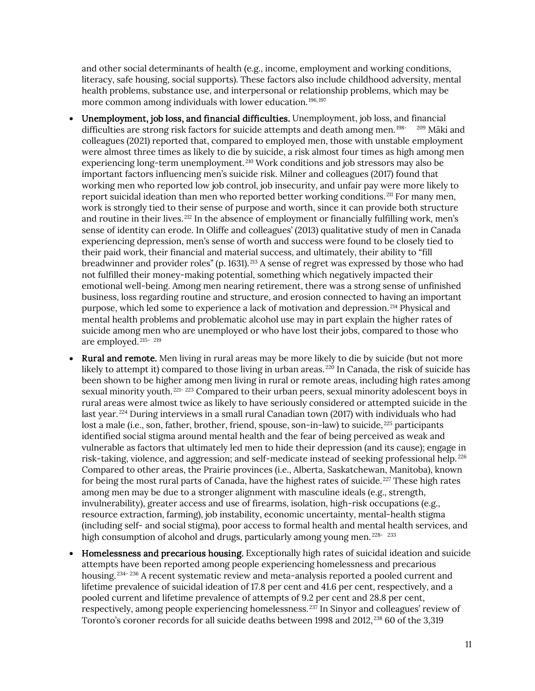and other social determinants of health (e.g., income, employment and working conditions, literacy, safe housing, social supports). These factors also include childhood adversity, mental health problems, substance use, and interpersonal or relationship problems, which may be more common among individuals with lower education.<sup>[196](#page-38-3),[197](#page-38-4)</sup>

- Unemployment, job loss, and financial difficulties. Unemployment, job loss, and financial difficulties are strong risk factors for suicide attempts and death among men.<sup>[198-](#page-38-5)[209](#page-38-6)</sup> Mäki and colleagues (2021) reported that, compared to employed men, those with unstable employment were almost three times as likely to die by suicide, a risk almost four times as high among men experiencing long-term unemployment.<sup>[210](#page-38-7)</sup> Work conditions and job stressors may also be important factors influencing men's suicide risk. Milner and colleagues (2017) found that working men who reported low job control, job insecurity, and unfair pay were more likely to report suicidal ideation than men who reported better working conditions.<sup>[211](#page-38-8)</sup> For many men, work is strongly tied to their sense of purpose and worth, since it can provide both structure and routine in their lives.  $212$  In the absence of employment or financially fulfilling work, men's sense of identity can erode. In Oliffe and colleagues' (2013) qualitative study of men in Canada experiencing depression, men's sense of worth and success were found to be closely tied to their paid work, their financial and material success, and ultimately, their ability to "fill breadwinner and provider roles" (p. 1631).<sup>[213](#page-38-10)</sup> A sense of regret was expressed by those who had not fulfilled their money-making potential, something which negatively impacted their emotional well-being. Among men nearing retirement, there was a strong sense of unfinished business, loss regarding routine and structure, and erosion connected to having an important purpose, which led some to experience a lack of motivation and depression. [214](#page-38-11) Physical and mental health problems and problematic alcohol use may in part explain the higher rates of suicide among men who are unemployed or who have lost their jobs, compared to those who are employed. [215-](#page-38-12) [219](#page-39-0)
- Rural and remote. Men living in rural areas may be more likely to die by suicide (but not more likely to attempt it) compared to those living in urban areas.<sup>[220](#page-39-1)</sup> In Canada, the risk of suicide has been shown to be higher among men living in rural or remote areas, including high rates among sexual minority youth.<sup>[221](#page-39-2)-[223](#page-39-3)</sup> Compared to their urban peers, sexual minority adolescent boys in rural areas were almost twice as likely to have seriously considered or attempted suicide in the last year.<sup>[224](#page-39-4)</sup> During interviews in a small rural Canadian town (2017) with individuals who had lost a male (i.e., son, father, brother, friend, spouse, son-in-law) to suicide,  $^{225}$  $^{225}$  $^{225}$  participants identified social stigma around mental health and the fear of being perceived as weak and vulnerable as factors that ultimately led men to hide their depression (and its cause); engage in risk-taking, violence, and aggression; and self-medicate instead of seeking professional help.<sup>[226](#page-39-6)</sup> Compared to other areas, the Prairie provinces (i.e., Alberta, Saskatchewan, Manitoba), known for being the most rural parts of Canada, have the highest rates of suicide. <sup>[227](#page-39-7)</sup> These high rates among men may be due to a stronger alignment with masculine ideals (e.g., strength, invulnerability), greater access and use of firearms, isolation, high-risk occupations (e.g., resource extraction, farming), job instability, economic uncertainty, mental-health stigma (including self- and social stigma), poor access to formal health and mental health services, and high consumption of alcohol and drugs, particularly among young men. <sup>[228-](#page-39-8)[233](#page-39-9)</sup>
- Homelessness and precarious housing. Exceptionally high rates of suicidal ideation and suicide attempts have been reported among people experiencing homelessness and precarious housing.<sup>[234-](#page-39-10) [236](#page-39-11)</sup> A recent systematic review and meta-analysis reported a pooled current and lifetime prevalence of suicidal ideation of 17.8 per cent and 41.6 per cent, respectively, and a pooled current and lifetime prevalence of attempts of 9.2 per cent and 28.8 per cent, respectively, among people experiencing homelessness.<sup>[237](#page-39-12)</sup> In Sinyor and colleagues' review of Toronto's coroner records for all suicide deaths between 1998 and 2012,<sup>[238](#page-40-0)</sup> 60 of the 3,319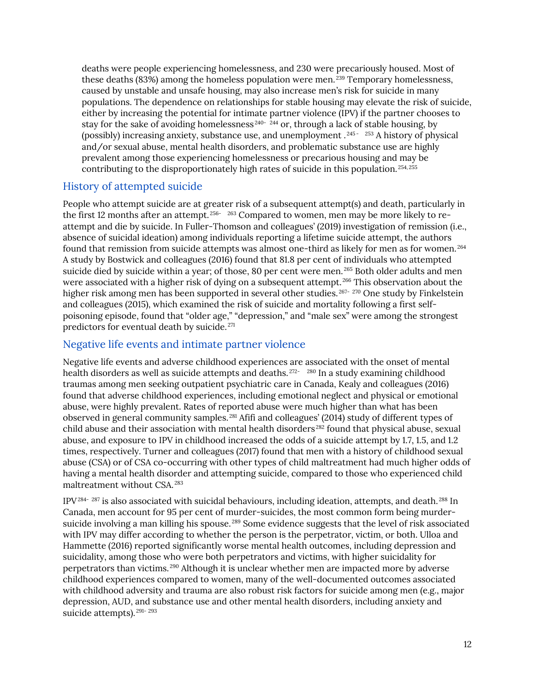deaths were people experiencing homelessness, and 230 were precariously housed. Most of these deaths (83%) among the homeless population were men.<sup>[239](#page-40-1)</sup> Temporary homelessness, caused by unstable and unsafe housing, may also increase men's risk for suicide in many populations. The dependence on relationships for stable housing may elevate the risk of suicide, either by increasing the potential for intimate partner violence (IPV) if the partner chooses to stay for the sake of avoiding homelessness  $240 - 244$  $240 - 244$  or, through a lack of stable housing, by (possibly) increasing anxiety, substance use, and unemployment  $.245 - 253$  $.245 - 253$  $.245 - 253$  $.245 - 253$  $.245 - 253$  $.245 - 253$  A history of physical and/or sexual abuse, mental health disorders, and problematic substance use are highly prevalent among those experiencing homelessness or precarious housing and may be contributing to the disproportionately high rates of suicide in this population. [254,](#page-40-7) [255](#page-40-8)

### <span id="page-16-0"></span>History of attempted suicide

People who attempt suicide are at greater risk of a subsequent attempt(s) and death, particularly in the first 12 months after an attempt.<sup>[256](#page-40-9)-[263](#page-40-10)</sup> Compared to women, men may be more likely to reattempt and die by suicide. In Fuller-Thomson and colleagues' (2019) investigation of remission (i.e., absence of suicidal ideation) among individuals reporting a lifetime suicide attempt, the authors found that remission from suicide attempts was almost one-third as likely for men as for women. [264](#page-41-0) A study by Bostwick and colleagues (2016) found that 81.8 per cent of individuals who attempted suicide died by suicide within a year; of those, 80 per cent were men. [265](#page-41-1) Both older adults and men were associated with a higher risk of dying on a subsequent attempt.<sup>[266](#page-41-2)</sup> This observation about the higher risk among men has been supported in several other studies.<sup>[267](#page-41-3)-[270](#page-41-4)</sup> One study by Finkelstein and colleagues (2015), which examined the risk of suicide and mortality following a first selfpoisoning episode, found that "older age," "depression," and "male sex" were among the strongest predictors for eventual death by suicide.<sup>[271](#page-41-5)</sup>

### <span id="page-16-1"></span>Negative life events and intimate partner violence

Negative life events and adverse childhood experiences are associated with the onset of mental health disorders as well as suicide attempts and deaths.<sup>[272](#page-41-6)-[280](#page-41-7)</sup> In a study examining childhood traumas among men seeking outpatient psychiatric care in Canada, Kealy and colleagues (2016) found that adverse childhood experiences, including emotional neglect and physical or emotional abuse, were highly prevalent. Rates of reported abuse were much higher than what has been observed in general community samples. [281](#page-41-8) Afifi and colleagues' (2014) study of different types of child abuse and their association with mental health disorders [282](#page-41-9) found that physical abuse, sexual abuse, and exposure to IPV in childhood increased the odds of a suicide attempt by 1.7, 1.5, and 1.2 times, respectively. Turner and colleagues (2017) found that men with a history of childhood sexual abuse (CSA) or of CSA co-occurring with other types of child maltreatment had much higher odds of having a mental health disorder and attempting suicide, compared to those who experienced child maltreatment without CSA. [283](#page-41-10)

 $IPV<sup>284-287</sup>$  $IPV<sup>284-287</sup>$  $IPV<sup>284-287</sup>$  $IPV<sup>284-287</sup>$  is also associated with suicidal behaviours, including ideation, attempts, and death. <sup>[288](#page-41-13)</sup> In Canada, men account for 95 per cent of murder-suicides, the most common form being murder-suicide involving a man killing his spouse.<sup>[289](#page-41-14)</sup> Some evidence suggests that the level of risk associated with IPV may differ according to whether the person is the perpetrator, victim, or both. Ulloa and Hammette (2016) reported significantly worse mental health outcomes, including depression and suicidality, among those who were both perpetrators and victims, with higher suicidality for perpetrators than victims. [290](#page-42-0) Although it is unclear whether men are impacted more by adverse childhood experiences compared to women, many of the well-documented outcomes associated with childhood adversity and trauma are also robust risk factors for suicide among men (e.g., major depression, AUD, and substance use and other mental health disorders, including anxiety and suicide attempts).<sup>[291-](#page-42-1)[293](#page-42-2)</sup>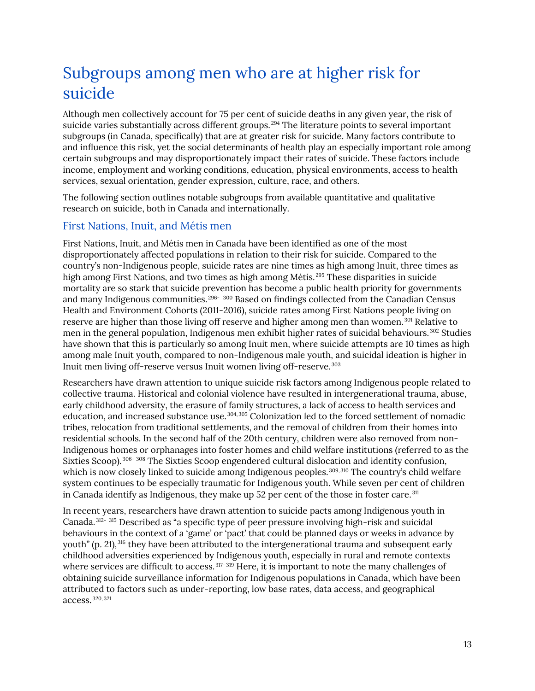### <span id="page-17-0"></span>Subgroups among men who are at higher risk for suicide

Although men collectively account for 75 per cent of suicide deaths in any given year, the risk of suicide varies substantially across different groups.<sup>[294](#page-42-3)</sup> The literature points to several important subgroups (in Canada, specifically) that are at greater risk for suicide. Many factors contribute to and influence this risk, yet the social determinants of health play an especially important role among certain subgroups and may disproportionately impact their rates of suicide. These factors include income, employment and working conditions, education, physical environments, access to health services, sexual orientation, gender expression, culture, race, and others.

The following section outlines notable subgroups from available quantitative and qualitative research on suicide, both in Canada and internationally.

### <span id="page-17-1"></span>First Nations, Inuit, and Métis men

First Nations, Inuit, and Métis men in Canada have been identified as one of the most disproportionately affected populations in relation to their risk for suicide. Compared to the country's non-Indigenous people, suicide rates are nine times as high among Inuit, three times as high among First Nations, and two times as high among Métis.<sup>[295](#page-42-4)</sup> These disparities in suicide mortality are so stark that suicide prevention has become a public health priority for governments and many Indigenous communities.<sup>[296-](#page-42-5)[300](#page-42-6)</sup> Based on findings collected from the Canadian Census Health and Environment Cohorts (2011-2016), suicide rates among First Nations people living on reserve are higher than those living off reserve and higher among men than women.<sup>[301](#page-42-7)</sup> Relative to men in the general population, Indigenous men exhibit higher rates of suicidal behaviours.<sup>[302](#page-42-8)</sup> Studies have shown that this is particularly so among Inuit men, where suicide attempts are 10 times as high among male Inuit youth, compared to non-Indigenous male youth, and suicidal ideation is higher in Inuit men living off-reserve versus Inuit women living off-reserve. [303](#page-42-9)

Researchers have drawn attention to unique suicide risk factors among Indigenous people related to collective trauma. Historical and colonial violence have resulted in intergenerational trauma, abuse, early childhood adversity, the erasure of family structures, a lack of access to health services and education, and increased substance use. [304,](#page-42-10) [305](#page-42-11) Colonization led to the forced settlement of nomadic tribes, relocation from traditional settlements, and the removal of children from their homes into residential schools. In the second half of the 20th century, children were also removed from non-Indigenous homes or orphanages into foster homes and child welfare institutions (referred to as the Sixties Scoop).<sup>[306-](#page-42-12)[308](#page-42-13)</sup> The Sixties Scoop engendered cultural dislocation and identity confusion, which is now closely linked to suicide among Indigenous peoples.<sup>[309](#page-42-14), [310](#page-42-15)</sup> The country's child welfare system continues to be especially traumatic for Indigenous youth. While seven per cent of children in Canada identify as Indigenous, they make up 52 per cent of the those in foster care.<sup>[311](#page-42-16)</sup>

In recent years, researchers have drawn attention to suicide pacts among Indigenous youth in Canada. [312-](#page-42-17) [315](#page-43-0) Described as "a specific type of peer pressure involving high-risk and suicidal behaviours in the context of a 'game' or 'pact' that could be planned days or weeks in advance by youth" (p. 21), [316](#page-43-1) they have been attributed to the intergenerational trauma and subsequent early childhood adversities experienced by Indigenous youth, especially in rural and remote contexts where services are difficult to access.<sup>[317](#page-43-2)-[319](#page-43-3)</sup> Here, it is important to note the many challenges of obtaining suicide surveillance information for Indigenous populations in Canada, which have been attributed to factors such as under-reporting, low base rates, data access, and geographical access. [320](#page-43-4), [321](#page-43-5)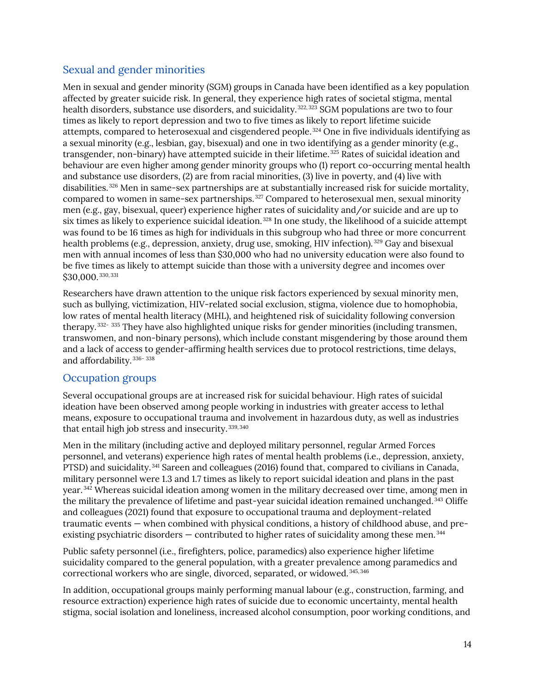### <span id="page-18-0"></span>Sexual and gender minorities

Men in sexual and gender minority (SGM) groups in Canada have been identified as a key population affected by greater suicide risk. In general, they experience high rates of societal stigma, mental health disorders, substance use disorders, and suicidality.<sup>[322,](#page-43-6) [323](#page-43-7)</sup> SGM populations are two to four times as likely to report depression and two to five times as likely to report lifetime suicide attempts, compared to heterosexual and cisgendered people. [324](#page-43-8) One in five individuals identifying as a sexual minority (e.g., lesbian, gay, bisexual) and one in two identifying as a gender minority (e.g., transgender, non-binary) have attempted suicide in their lifetime. [325](#page-43-9) Rates of suicidal ideation and behaviour are even higher among gender minority groups who (1) report co-occurring mental health and substance use disorders, (2) are from racial minorities, (3) live in poverty, and (4) live with disabilities. [326](#page-43-10) Men in same-sex partnerships are at substantially increased risk for suicide mortality, compared to women in same-sex partnerships. [327](#page-43-11) Compared to heterosexual men, sexual minority men (e.g., gay, bisexual, queer) experience higher rates of suicidality and/or suicide and are up to six times as likely to experience suicidal ideation. [328](#page-43-12) In one study, the likelihood of a suicide attempt was found to be 16 times as high for individuals in this subgroup who had three or more concurrent health problems (e.g., depression, anxiety, drug use, smoking, HIV infection).<sup>[329](#page-43-13)</sup> Gay and bisexual men with annual incomes of less than \$30,000 who had no university education were also found to be five times as likely to attempt suicide than those with a university degree and incomes over \$30,000. [330](#page-43-14), [331](#page-43-15)

Researchers have drawn attention to the unique risk factors experienced by sexual minority men, such as bullying, victimization, HIV-related social exclusion, stigma, violence due to homophobia, low rates of mental health literacy (MHL), and heightened risk of suicidality following conversion therapy. [332](#page-43-16)- [335](#page-43-17) They have also highlighted unique risks for gender minorities (including transmen, transwomen, and non-binary persons), which include constant misgendering by those around them and a lack of access to gender-affirming health services due to protocol restrictions, time delays, and affordability. [336](#page-43-18)-[338](#page-44-0)

### <span id="page-18-1"></span>Occupation groups

Several occupational groups are at increased risk for suicidal behaviour. High rates of suicidal ideation have been observed among people working in industries with greater access to lethal means, exposure to occupational trauma and involvement in hazardous duty, as well as industries that entail high job stress and insecurity. [339,](#page-44-1) [340](#page-44-2)

Men in the military (including active and deployed military personnel, regular Armed Forces personnel, and veterans) experience high rates of mental health problems (i.e., depression, anxiety, PTSD) and suicidality. [341](#page-44-3) Sareen and colleagues (2016) found that, compared to civilians in Canada, military personnel were 1.3 and 1.7 times as likely to report suicidal ideation and plans in the past year. [342](#page-44-4) Whereas suicidal ideation among women in the military decreased over time, among men in the military the prevalence of lifetime and past-year suicidal ideation remained unchanged. [343](#page-44-5) Oliffe and colleagues (2021) found that exposure to occupational trauma and deployment-related traumatic events — when combined with physical conditions, a history of childhood abuse, and preexisting psychiatric disorders — contributed to higher rates of suicidality among these men. [344](#page-44-6)

Public safety personnel (i.e., firefighters, police, paramedics) also experience higher lifetime suicidality compared to the general population, with a greater prevalence among paramedics and correctional workers who are single, divorced, separated, or widowed. [345,](#page-44-7) [346](#page-44-8)

In addition, occupational groups mainly performing manual labour (e.g., construction, farming, and resource extraction) experience high rates of suicide due to economic uncertainty, mental health stigma, social isolation and loneliness, increased alcohol consumption, poor working conditions, and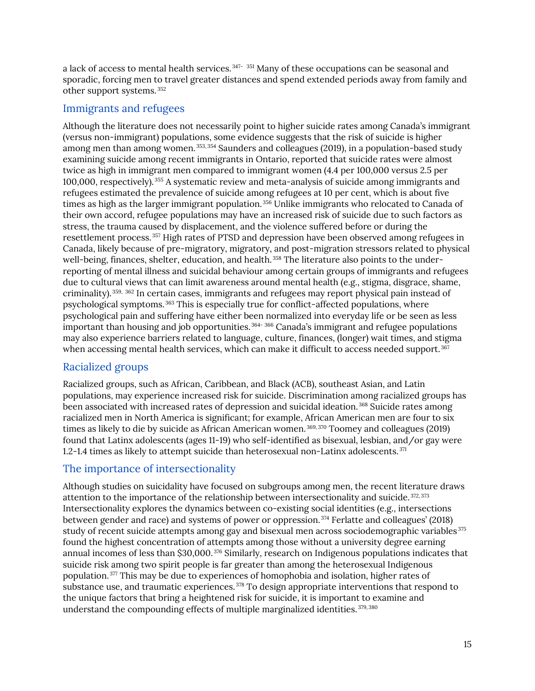a lack of access to mental health services.<sup>[347](#page-44-9)-[351](#page-44-10)</sup> Many of these occupations can be seasonal and sporadic, forcing men to travel greater distances and spend extended periods away from family and other support systems. [352](#page-44-11)

### <span id="page-19-0"></span>Immigrants and refugees

Although the literature does not necessarily point to higher suicide rates among Canada's immigrant (versus non-immigrant) populations, some evidence suggests that the risk of suicide is higher among men than among women. [353,](#page-44-12) [354](#page-44-13) Saunders and colleagues (2019), in a population-based study examining suicide among recent immigrants in Ontario, reported that suicide rates were almost twice as high in immigrant men compared to immigrant women (4.4 per 100,000 versus 2.5 per 100,000, respectively). [355](#page-44-14) A systematic review and meta-analysis of suicide among immigrants and refugees estimated the prevalence of suicide among refugees at 10 per cent, which is about five times as high as the larger immigrant population.<sup>[356](#page-44-15)</sup> Unlike immigrants who relocated to Canada of their own accord, refugee populations may have an increased risk of suicide due to such factors as stress, the trauma caused by displacement, and the violence suffered before or during the resettlement process. [357](#page-44-16) High rates of PTSD and depression have been observed among refugees in Canada, likely because of pre-migratory, migratory, and post-migration stressors related to physical well-being, finances, shelter, education, and health.<sup>[358](#page-44-17)</sup> The literature also points to the underreporting of mental illness and suicidal behaviour among certain groups of immigrants and refugees due to cultural views that can limit awareness around mental health (e.g., stigma, disgrace, shame, criminality). [359,](#page-44-18) [362](#page-45-0) In certain cases, immigrants and refugees may report physical pain instead of psychological symptoms. [363](#page-45-1) This is especially true for conflict-affected populations, where psychological pain and suffering have either been normalized into everyday life or be seen as less important than housing and job opportunities. [364-](#page-45-2) [366](#page-45-3) Canada's immigrant and refugee populations may also experience barriers related to language, culture, finances, (longer) wait times, and stigma when accessing mental health services, which can make it difficult to access needed support.<sup>367</sup>

### <span id="page-19-1"></span>Racialized groups

Racialized groups, such as African, Caribbean, and Black (ACB), southeast Asian, and Latin populations, may experience increased risk for suicide. Discrimination among racialized groups has been associated with increased rates of depression and suicidal ideation.<sup>[368](#page-45-5)</sup> Suicide rates among racialized men in North America is significant; for example, African American men are four to six times as likely to die by suicide as African American women. [369,](#page-45-6) [370](#page-45-7) Toomey and colleagues (2019) found that Latinx adolescents (ages 11-19) who self-identified as bisexual, lesbian, and/or gay were 1.2-1.4 times as likely to attempt suicide than heterosexual non-Latinx adolescents.  $371$ 

### <span id="page-19-2"></span>The importance of intersectionality

Although studies on suicidality have focused on subgroups among men, the recent literature draws attention to the importance of the relationship between intersectionality and suicide.<sup>[372](#page-45-9),[373](#page-45-10)</sup> Intersectionality explores the dynamics between co-existing social identities (e.g., intersections between gender and race) and systems of power or oppression. [374](#page-45-11) Ferlatte and colleagues' (2018) study of recent suicide attempts among gay and bisexual men across sociodemographic variables<sup>[375](#page-45-12)</sup> found the highest concentration of attempts among those without a university degree earning annual incomes of less than \$30,000. [376](#page-45-13) Similarly, research on Indigenous populations indicates that suicide risk among two spirit people is far greater than among the heterosexual Indigenous population. [377](#page-45-14) This may be due to experiences of homophobia and isolation, higher rates of substance use, and traumatic experiences.<sup>[378](#page-45-15)</sup> To design appropriate interventions that respond to the unique factors that bring a heightened risk for suicide, it is important to examine and understand the compounding effects of multiple marginalized identities. [379](#page-45-16), [380](#page-45-17)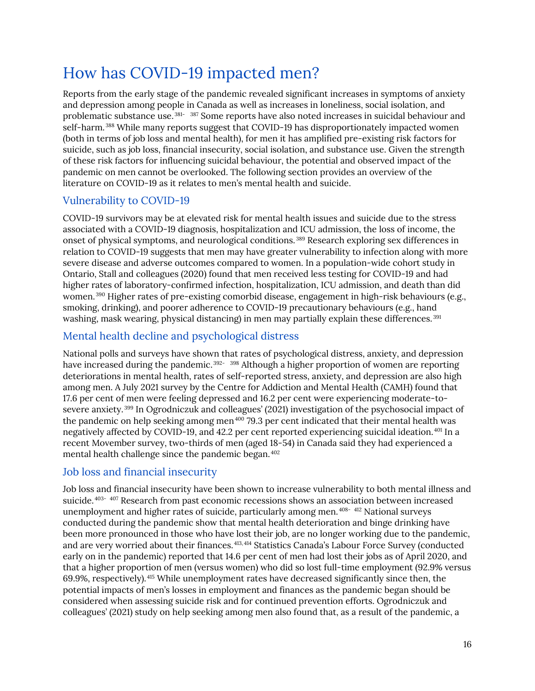### <span id="page-20-0"></span>How has COVID-19 impacted men?

Reports from the early stage of the pandemic revealed significant increases in symptoms of anxiety and depression among people in Canada as well as increases in loneliness, social isolation, and problematic substance use. [381-](#page-45-18) [387](#page-46-0) Some reports have also noted increases in suicidal behaviour and self-harm.<sup>[388](#page-46-1)</sup> While many reports suggest that COVID-19 has disproportionately impacted women (both in terms of job loss and mental health), for men it has amplified pre-existing risk factors for suicide, such as job loss, financial insecurity, social isolation, and substance use. Given the strength of these risk factors for influencing suicidal behaviour, the potential and observed impact of the pandemic on men cannot be overlooked. The following section provides an overview of the literature on COVID-19 as it relates to men's mental health and suicide.

### <span id="page-20-1"></span>Vulnerability to COVID-19

COVID-19 survivors may be at elevated risk for mental health issues and suicide due to the stress associated with a COVID-19 diagnosis, hospitalization and ICU admission, the loss of income, the onset of physical symptoms, and neurological conditions. [389](#page-46-2) Research exploring sex differences in relation to COVID-19 suggests that men may have greater vulnerability to infection along with more severe disease and adverse outcomes compared to women. In a population-wide cohort study in Ontario, Stall and colleagues (2020) found that men received less testing for COVID-19 and had higher rates of laboratory-confirmed infection, hospitalization, ICU admission, and death than did women. [390](#page-46-3) Higher rates of pre-existing comorbid disease, engagement in high-risk behaviours (e.g., smoking, drinking), and poorer adherence to COVID-19 precautionary behaviours (e.g., hand washing, mask wearing, physical distancing) in men may partially explain these differences.<sup>[391](#page-46-4)</sup>

### <span id="page-20-2"></span>Mental health decline and psychological distress

National polls and surveys have shown that rates of psychological distress, anxiety, and depression have increased during the pandemic.<sup>[392](#page-46-5)-[398](#page-46-6)</sup> Although a higher proportion of women are reporting deteriorations in mental health, rates of self-reported stress, anxiety, and depression are also high among men. A July 2021 survey by the Centre for Addiction and Mental Health (CAMH) found that 17.6 per cent of men were feeling depressed and 16.2 per cent were experiencing moderate-tosevere anxiety. [399](#page-46-7) In Ogrodniczuk and colleagues' (2021) investigation of the psychosocial impact of the pandemic on help seeking among men<sup> $400$ </sup> 79.3 per cent indicated that their mental health was negatively affected by COVID-19, and 42.2 per cent reported experiencing suicidal ideation. [401](#page-46-9) In a recent Movember survey, two-thirds of men (aged 18-54) in Canada said they had experienced a mental health challenge since the pandemic began. [402](#page-46-10)

### <span id="page-20-3"></span>Job loss and financial insecurity

Job loss and financial insecurity have been shown to increase vulnerability to both mental illness and suicide. [403-](#page-46-11) [407](#page-46-12) Research from past economic recessions shows an association between increased unemployment and higher rates of suicide, particularly among men.<sup>[408](#page-46-13)-[412](#page-46-14)</sup> National surveys conducted during the pandemic show that mental health deterioration and binge drinking have been more pronounced in those who have lost their job, are no longer working due to the pandemic, and are very worried about their finances. [413,](#page-47-0) [414](#page-47-1) Statistics Canada's Labour Force Survey (conducted early on in the pandemic) reported that 14.6 per cent of men had lost their jobs as of April 2020, and that a higher proportion of men (versus women) who did so lost full-time employment (92.9% versus 69.9%, respectively). [415](#page-47-2) While unemployment rates have decreased significantly since then, the potential impacts of men's losses in employment and finances as the pandemic began should be considered when assessing suicide risk and for continued prevention efforts. Ogrodniczuk and colleagues' (2021) study on help seeking among men also found that, as a result of the pandemic, a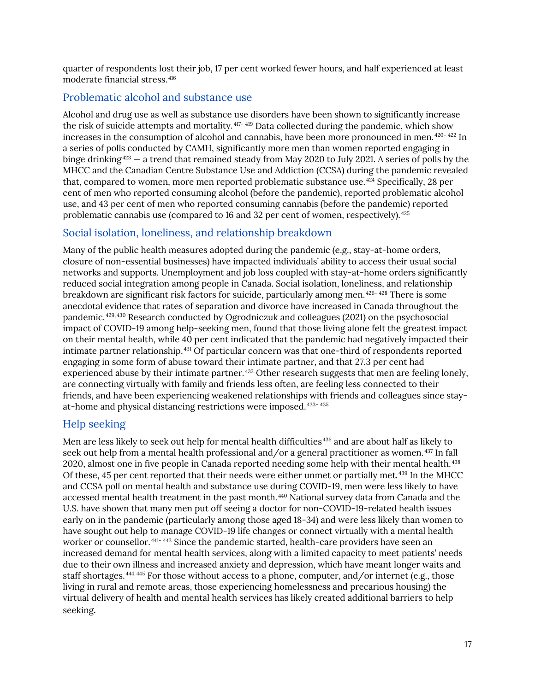quarter of respondents lost their job, 17 per cent worked fewer hours, and half experienced at least moderate financial stress. [416](#page-47-3)

### <span id="page-21-0"></span>Problematic alcohol and substance use

Alcohol and drug use as well as substance use disorders have been shown to significantly increase the risk of suicide attempts and mortality. [417-](#page-47-4) [419](#page-47-5) Data collected during the pandemic, which show increases in the consumption of alcohol and cannabis, have been more pronounced in men.  $420 - 422$  $420 - 422$  In a series of polls conducted by CAMH, significantly more men than women reported engaging in binge drinking<sup>[423](#page-47-8)</sup> — a trend that remained steady from May 2020 to July 2021. A series of polls by the MHCC and the Canadian Centre Substance Use and Addiction (CCSA) during the pandemic revealed that, compared to women, more men reported problematic substance use.<sup>[424](#page-47-9)</sup> Specifically, 28 per cent of men who reported consuming alcohol (before the pandemic), reported problematic alcohol use, and 43 per cent of men who reported consuming cannabis (before the pandemic) reported problematic cannabis use (compared to 16 and 32 per cent of women, respectively).<sup>[425](#page-47-10)</sup>

### <span id="page-21-1"></span>Social isolation, loneliness, and relationship breakdown

Many of the public health measures adopted during the pandemic (e.g., stay-at-home orders, closure of non-essential businesses) have impacted individuals' ability to access their usual social networks and supports. Unemployment and job loss coupled with stay-at-home orders significantly reduced social integration among people in Canada. Social isolation, loneliness, and relationship breakdown are significant risk factors for suicide, particularly among men. [426-](#page-47-11) [428](#page-47-12) There is some anecdotal evidence that rates of separation and divorce have increased in Canada throughout the pandemic. [429](#page-47-13), [430](#page-47-14) Research conducted by Ogrodniczuk and colleagues (2021) on the psychosocial impact of COVID-19 among help-seeking men, found that those living alone felt the greatest impact on their mental health, while 40 per cent indicated that the pandemic had negatively impacted their intimate partner relationship. [431](#page-47-15) Of particular concern was that one-third of respondents reported engaging in some form of abuse toward their intimate partner, and that 27.3 per cent had experienced abuse by their intimate partner. [432](#page-47-16) Other research suggests that men are feeling lonely, are connecting virtually with family and friends less often, are feeling less connected to their friends, and have been experiencing weakened relationships with friends and colleagues since stayat-home and physical distancing restrictions were imposed. [433](#page-47-17)- [435](#page-47-18)

### <span id="page-21-2"></span>Help seeking

Men are less likely to seek out help for mental health difficulties [436](#page-47-19) and are about half as likely to seek out help from a mental health professional and/or a general practitioner as women. <sup>[437](#page-47-20)</sup> In fall 2020, almost one in five people in Canada reported needing some help with their mental health.<sup>[438](#page-47-21)</sup> Of these, 45 per cent reported that their needs were either unmet or partially met. [439](#page-47-22) In the MHCC and CCSA poll on mental health and substance use during COVID-19, men were less likely to have accessed mental health treatment in the past month. [440](#page-47-23) National survey data from Canada and the U.S. have shown that many men put off seeing a doctor for non-COVID-19-related health issues early on in the pandemic (particularly among those aged 18-34) and were less likely than women to have sought out help to manage COVID-19 life changes or connect virtually with a mental health worker or counsellor. [441-](#page-47-24) [443](#page-47-25) Since the pandemic started, health-care providers have seen an increased demand for mental health services, along with a limited capacity to meet patients' needs due to their own illness and increased anxiety and depression, which have meant longer waits and staff shortages.  $444,445$  $444,445$  For those without access to a phone, computer, and/or internet (e.g., those living in rural and remote areas, those experiencing homelessness and precarious housing) the virtual delivery of health and mental health services has likely created additional barriers to help seeking.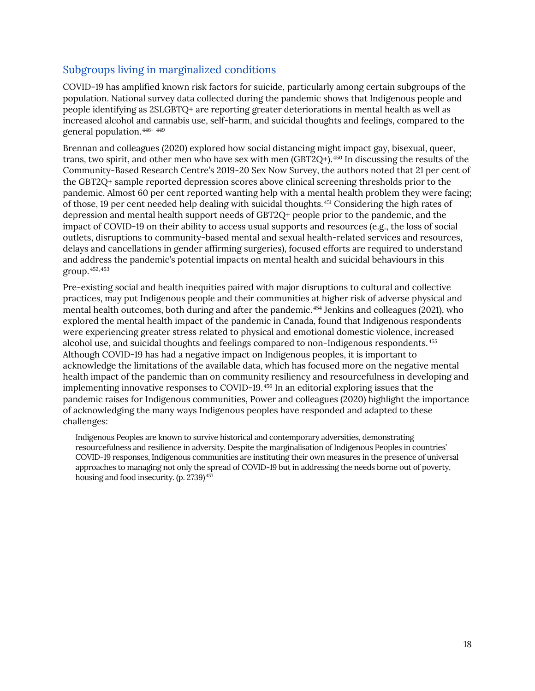### <span id="page-22-0"></span>Subgroups living in marginalized conditions

COVID-19 has amplified known risk factors for suicide, particularly among certain subgroups of the population. National survey data collected during the pandemic shows that Indigenous people and people identifying as 2SLGBTQ+ are reporting greater deteriorations in mental health as well as increased alcohol and cannabis use, self-harm, and suicidal thoughts and feelings, compared to the general population. [446-](#page-48-2) [449](#page-48-3)

Brennan and colleagues (2020) explored how social distancing might impact gay, bisexual, queer, trans, two spirit, and other men who have sex with men (GBT2Q+). [450](#page-48-4) In discussing the results of the Community-Based Research Centre's 2019-20 Sex Now Survey, the authors noted that 21 per cent of the GBT2Q+ sample reported depression scores above clinical screening thresholds prior to the pandemic. Almost 60 per cent reported wanting help with a mental health problem they were facing; of those, 19 per cent needed help dealing with suicidal thoughts. [451](#page-48-5) Considering the high rates of depression and mental health support needs of GBT2Q+ people prior to the pandemic, and the impact of COVID-19 on their ability to access usual supports and resources (e.g., the loss of social outlets, disruptions to community-based mental and sexual health-related services and resources, delays and cancellations in gender affirming surgeries), focused efforts are required to understand and address the pandemic's potential impacts on mental health and suicidal behaviours in this group. [452,](#page-48-6) [453](#page-48-7)

Pre-existing social and health inequities paired with major disruptions to cultural and collective practices, may put Indigenous people and their communities at higher risk of adverse physical and mental health outcomes, both during and after the pandemic. [454](#page-48-8) Jenkins and colleagues (2021), who explored the mental health impact of the pandemic in Canada, found that Indigenous respondents were experiencing greater stress related to physical and emotional domestic violence, increased alcohol use, and suicidal thoughts and feelings compared to non-Indigenous respondents. [455](#page-48-9) Although COVID-19 has had a negative impact on Indigenous peoples, it is important to acknowledge the limitations of the available data, which has focused more on the negative mental health impact of the pandemic than on community resiliency and resourcefulness in developing and implementing innovative responses to COVID-19. [456](#page-48-10) In an editorial exploring issues that the pandemic raises for Indigenous communities, Power and colleagues (2020) highlight the importance of acknowledging the many ways Indigenous peoples have responded and adapted to these challenges:

Indigenous Peoples are known to survive historical and contemporary adversities, demonstrating resourcefulness and resilience in adversity. Despite the marginalisation of Indigenous Peoples in countries' COVID-19 responses, Indigenous communities are instituting their own measures in the presence of universal approaches to managing not only the spread of COVID-19 but in addressing the needs borne out of poverty, housing and food insecurity. (p. 2739) [457](#page-48-11)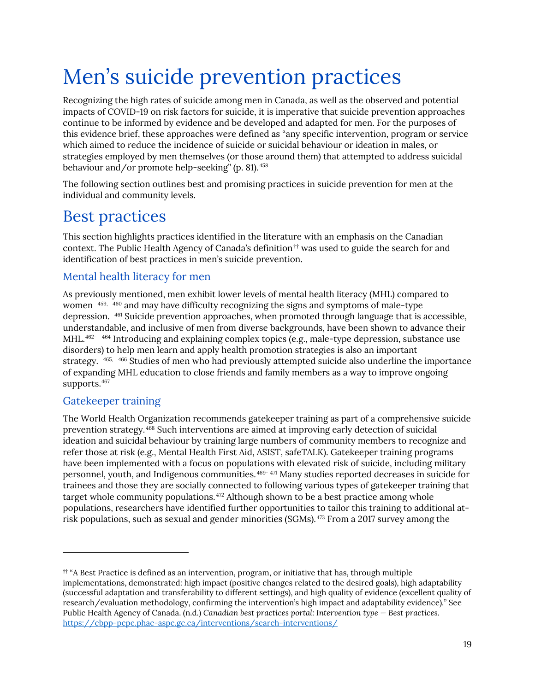# <span id="page-23-0"></span>Men's suicide prevention practices

Recognizing the high rates of suicide among men in Canada, as well as the observed and potential impacts of COVID-19 on risk factors for suicide, it is imperative that suicide prevention approaches continue to be informed by evidence and be developed and adapted for men. For the purposes of this evidence brief, these approaches were defined as "any specific intervention, program or service which aimed to reduce the incidence of suicide or suicidal behaviour or ideation in males, or strategies employed by men themselves (or those around them) that attempted to address suicidal behaviour and/or promote help-seeking" (p. 81). [458](#page-48-12)

The following section outlines best and promising practices in suicide prevention for men at the individual and community levels.

### <span id="page-23-1"></span>Best practices

This section highlights practices identified in the literature with an emphasis on the Canadian context. The Public Health Agency of Canada's definition<sup> $\dagger$ </sup> was used to guide the search for and identification of best practices in men's suicide prevention.

### <span id="page-23-2"></span>Mental health literacy for men

As previously mentioned, men exhibit lower levels of mental health literacy (MHL) compared to women <sup>[459,](#page-48-13) [460](#page-48-14)</sup> and may have difficulty recognizing the signs and symptoms of male-type depression. [461](#page-48-15) Suicide prevention approaches, when promoted through language that is accessible, understandable, and inclusive of men from diverse backgrounds, have been shown to advance their MHL.462- [464](#page-48-16) Introducing and explaining complex topics (e.g., male-type depression, substance use disorders) to help men learn and apply health promotion strategies is also an important strategy.  $465, 466$  $465, 466$  $465, 466$  Studies of men who had previously attempted suicide also underline the importance of expanding MHL education to close friends and family members as a way to improve ongoing supports.467

### <span id="page-23-3"></span>Gatekeeper training

The World Health Organization recommends gatekeeper training as part of a comprehensive suicide prevention strategy. [468](#page-49-0) Such interventions are aimed at improving early detection of suicidal ideation and suicidal behaviour by training large numbers of community members to recognize and refer those at risk (e.g., Mental Health First Aid, ASIST, safeTALK). Gatekeeper training programs have been implemented with a focus on populations with elevated risk of suicide, including military personnel, youth, and Indigenous communities. [469](#page-49-1)- [471](#page-49-2) Many studies reported decreases in suicide for trainees and those they are socially connected to following various types of gatekeeper training that target whole community populations.<sup>[472](#page-49-3)</sup> Although shown to be a best practice among whole populations, researchers have identified further opportunities to tailor this training to additional atrisk populations, such as sexual and gender minorities (SGMs). [473](#page-49-4) From a 2017 survey among the

<span id="page-23-4"></span> $\dagger$  "A Best Practice is defined as an intervention, program, or initiative that has, through multiple implementations, demonstrated: high impact (positive changes related to the desired goals), high adaptability (successful adaptation and transferability to different settings), and high quality of evidence (excellent quality of research/evaluation methodology, confirming the intervention's high impact and adaptability evidence)." See Public Health Agency of Canada. (n.d.) *Canadian best practices portal: Intervention type — Best practices.* <https://cbpp-pcpe.phac-aspc.gc.ca/interventions/search-interventions/>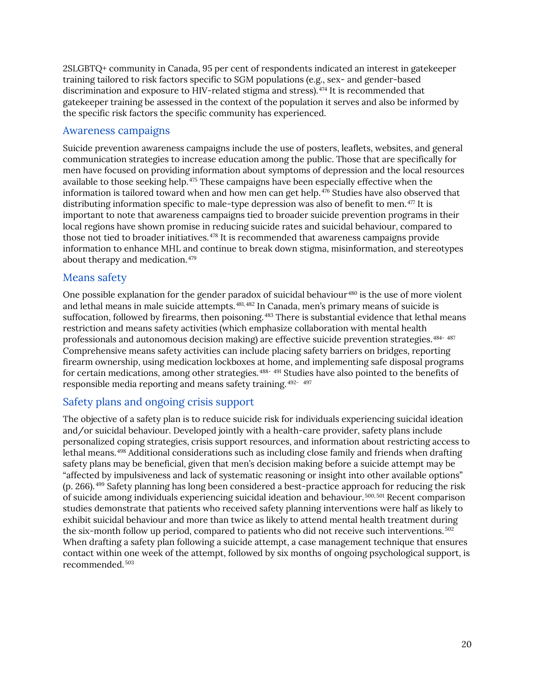2SLGBTQ+ community in Canada, 95 per cent of respondents indicated an interest in gatekeeper training tailored to risk factors specific to SGM populations (e.g., sex- and gender-based discrimination and exposure to HIV-related stigma and stress). [474](#page-49-5) It is recommended that gatekeeper training be assessed in the context of the population it serves and also be informed by the specific risk factors the specific community has experienced.

#### <span id="page-24-0"></span>Awareness campaigns

Suicide prevention awareness campaigns include the use of posters, leaflets, websites, and general communication strategies to increase education among the public. Those that are specifically for men have focused on providing information about symptoms of depression and the local resources available to those seeking help.<sup>[475](#page-49-6)</sup> These campaigns have been especially effective when the information is tailored toward when and how men can get help. [476](#page-49-7) Studies have also observed that distributing information specific to male-type depression was also of benefit to men.<sup>[477](#page-49-8)</sup> It is important to note that awareness campaigns tied to broader suicide prevention programs in their local regions have shown promise in reducing suicide rates and suicidal behaviour, compared to those not tied to broader initiatives. [478](#page-49-9) It is recommended that awareness campaigns provide information to enhance MHL and continue to break down stigma, misinformation, and stereotypes about therapy and medication. [479](#page-49-10)

### <span id="page-24-1"></span>Means safety

One possible explanation for the gender paradox of suicidal behaviour<sup>[480](#page-49-11)</sup> is the use of more violent and lethal means in male suicide attempts. [481](#page-49-12), [482](#page-49-13) In Canada, men's primary means of suicide is suffocation, followed by firearms, then poisoning.<sup>[483](#page-49-14)</sup> There is substantial evidence that lethal means restriction and means safety activities (which emphasize collaboration with mental health professionals and autonomous decision making) are effective suicide prevention strategies. [484-](#page-49-15) [487](#page-49-16) Comprehensive means safety activities can include placing safety barriers on bridges, reporting firearm ownership, using medication lockboxes at home, and implementing safe disposal programs for certain medications, among other strategies.<sup>[488](#page-49-17)-</sup> [491](#page-49-18) Studies have also pointed to the benefits of responsible media reporting and means safety training. [492](#page-49-19)- [497](#page-50-0)

### <span id="page-24-2"></span>Safety plans and ongoing crisis support

The objective of a safety plan is to reduce suicide risk for individuals experiencing suicidal ideation and/or suicidal behaviour. Developed jointly with a health-care provider, safety plans include personalized coping strategies, crisis support resources, and information about restricting access to lethal means. [498](#page-50-1) Additional considerations such as including close family and friends when drafting safety plans may be beneficial, given that men's decision making before a suicide attempt may be "affected by impulsiveness and lack of systematic reasoning or insight into other available options" (p. 266). [499](#page-50-2) Safety planning has long been considered a best-practice approach for reducing the risk of suicide among individuals experiencing suicidal ideation and behaviour.<sup>[500](#page-50-3),[501](#page-50-4)</sup> Recent comparison studies demonstrate that patients who received safety planning interventions were half as likely to exhibit suicidal behaviour and more than twice as likely to attend mental health treatment during the six-month follow up period, compared to patients who did not receive such interventions.  $502$ When drafting a safety plan following a suicide attempt, a case management technique that ensures contact within one week of the attempt, followed by six months of ongoing psychological support, is recommended. [503](#page-50-6)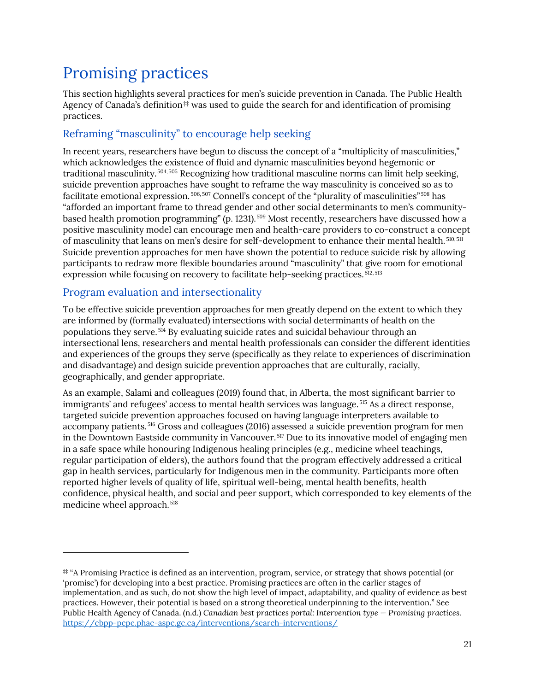### <span id="page-25-0"></span>Promising practices

This section highlights several practices for men's suicide prevention in Canada. The Public Health Agency of Canada's definition $#$  was used to guide the search for and identification of promising practices.

### <span id="page-25-1"></span>Reframing "masculinity" to encourage help seeking

In recent years, researchers have begun to discuss the concept of a "multiplicity of masculinities," which acknowledges the existence of fluid and dynamic masculinities beyond hegemonic or traditional masculinity.<sup>[504,](#page-50-7) [505](#page-50-8)</sup> Recognizing how traditional masculine norms can limit help seeking, suicide prevention approaches have sought to reframe the way masculinity is conceived so as to facilitate emotional expression. [506,](#page-50-9) [507](#page-50-10) Connell's concept of the "plurality of masculinities" *[508](#page-50-11)* has "afforded an important frame to thread gender and other social determinants to men's communitybased health promotion programming" (p. 1231). *[509](#page-50-12)* Most recently, researchers have discussed how a positive masculinity model can encourage men and health-care providers to co-construct a concept of masculinity that leans on men's desire for self-development to enhance their mental health. [510](#page-50-13), [511](#page-50-14) Suicide prevention approaches for men have shown the potential to reduce suicide risk by allowing participants to redraw more flexible boundaries around "masculinity" that give room for emotional expression while focusing on recovery to facilitate help-seeking practices. [512](#page-50-15), [513](#page-50-16) 

### <span id="page-25-2"></span>Program evaluation and intersectionality

To be effective suicide prevention approaches for men greatly depend on the extent to which they are informed by (formally evaluated) intersections with social determinants of health on the populations they serve. [514](#page-50-17) By evaluating suicide rates and suicidal behaviour through an intersectional lens, researchers and mental health professionals can consider the different identities and experiences of the groups they serve (specifically as they relate to experiences of discrimination and disadvantage) and design suicide prevention approaches that are culturally, racially, geographically, and gender appropriate.

As an example, Salami and colleagues (2019) found that, in Alberta, the most significant barrier to immigrants' and refugees' access to mental health services was language. [515](#page-50-18) As a direct response, targeted suicide prevention approaches focused on having language interpreters available to accompany patients. [516](#page-50-19) Gross and colleagues (2016) assessed a suicide prevention program for men in the Downtown Eastside community in Vancouver. [517](#page-50-20) Due to its innovative model of engaging men in a safe space while honouring Indigenous healing principles (e.g., medicine wheel teachings, regular participation of elders), the authors found that the program effectively addressed a critical gap in health services, particularly for Indigenous men in the community. Participants more often reported higher levels of quality of life, spiritual well-being, mental health benefits, health confidence, physical health, and social and peer support, which corresponded to key elements of the medicine wheel approach. [518](#page-50-21)

<span id="page-25-3"></span><sup>‡‡</sup> "A Promising Practice is defined as an intervention, program, service, or strategy that shows potential (or 'promise') for developing into a best practice. Promising practices are often in the earlier stages of implementation, and as such, do not show the high level of impact, adaptability, and quality of evidence as best practices. However, their potential is based on a strong theoretical underpinning to the intervention." See Public Health Agency of Canada. (n.d.) *Canadian best practices portal: Intervention type — Promising practices.* <https://cbpp-pcpe.phac-aspc.gc.ca/interventions/search-interventions/>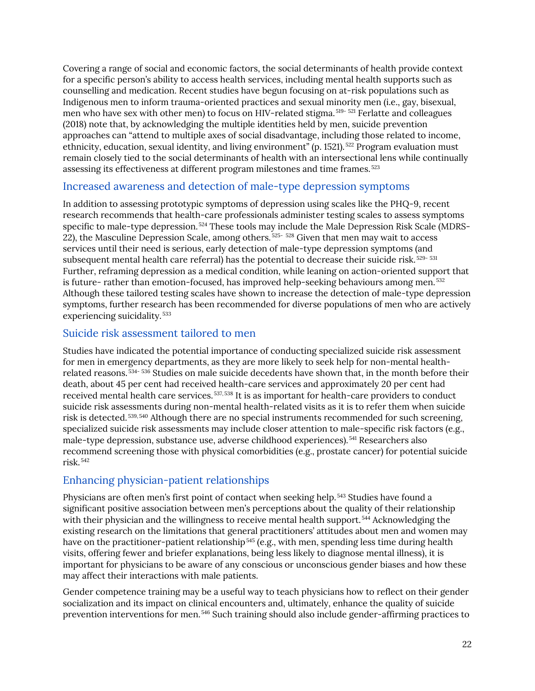Covering a range of social and economic factors, the social determinants of health provide context for a specific person's ability to access health services, including mental health supports such as counselling and medication. Recent studies have begun focusing on at-risk populations such as Indigenous men to inform trauma-oriented practices and sexual minority men (i.e., gay, bisexual, men who have sex with other men) to focus on HIV-related stigma. [519](#page-50-22)- [521](#page-50-23) Ferlatte and colleagues (2018) note that, by acknowledging the multiple identities held by men, suicide prevention approaches can "attend to multiple axes of social disadvantage, including those related to income, ethnicity, education, sexual identity, and living environment" (p. 1521).<sup>[522](#page-50-24)</sup> Program evaluation must remain closely tied to the social determinants of health with an intersectional lens while continually assessing its effectiveness at different program milestones and time frames. [523](#page-50-25)

### <span id="page-26-0"></span>Increased awareness and detection of male-type depression symptoms

In addition to assessing prototypic symptoms of depression using scales like the PHQ-9, recent research recommends that health-care professionals administer testing scales to assess symptoms specific to male-type depression. <sup>[524](#page-50-26)</sup> These tools may include the Male Depression Risk Scale (MDRS-22), the Masculine Depression Scale, among others. [525](#page-51-0)- [528](#page-51-1) Given that men may wait to access services until their need is serious, early detection of male-type depression symptoms (and subsequent mental health care referral) has the potential to decrease their suicide risk. [529-](#page-51-2) [531](#page-51-3) Further, reframing depression as a medical condition, while leaning on action-oriented support that is future- rather than emotion-focused, has improved help-seeking behaviours among men.<sup>[532](#page-51-4)</sup> Although these tailored testing scales have shown to increase the detection of male-type depression symptoms, further research has been recommended for diverse populations of men who are actively experiencing suicidality. [533](#page-51-5)

### <span id="page-26-1"></span>Suicide risk assessment tailored to men

Studies have indicated the potential importance of conducting specialized suicide risk assessment for men in emergency departments, as they are more likely to seek help for non-mental healthrelated reasons. [534-](#page-51-6) [536](#page-51-7) Studies on male suicide decedents have shown that, in the month before their death, about 45 per cent had received health-care services and approximately 20 per cent had received mental health care services. [537](#page-51-8), [538](#page-51-9) It is as important for health-care providers to conduct suicide risk assessments during non-mental health-related visits as it is to refer them when suicide risk is detected. [539,](#page-51-10) [540](#page-51-11) Although there are no special instruments recommended for such screening, specialized suicide risk assessments may include closer attention to male-specific risk factors (e.g., male-type depression, substance use, adverse childhood experiences). [541](#page-51-12) Researchers also recommend screening those with physical comorbidities (e.g., prostate cancer) for potential suicide risk. [542](#page-51-13)

### <span id="page-26-2"></span>Enhancing physician-patient relationships

Physicians are often men's first point of contact when seeking help. [543](#page-51-14) Studies have found a significant positive association between men's perceptions about the quality of their relationship with their physician and the willingness to receive mental health support.<sup>[544](#page-51-15)</sup> Acknowledging the existing research on the limitations that general practitioners' attitudes about men and women may have on the practitioner-patient relationship<sup>[545](#page-51-16)</sup> (e.g., with men, spending less time during health visits, offering fewer and briefer explanations, being less likely to diagnose mental illness), it is important for physicians to be aware of any conscious or unconscious gender biases and how these may affect their interactions with male patients.

Gender competence training may be a useful way to teach physicians how to reflect on their gender socialization and its impact on clinical encounters and, ultimately, enhance the quality of suicide prevention interventions for men. [546](#page-51-17) Such training should also include gender-affirming practices to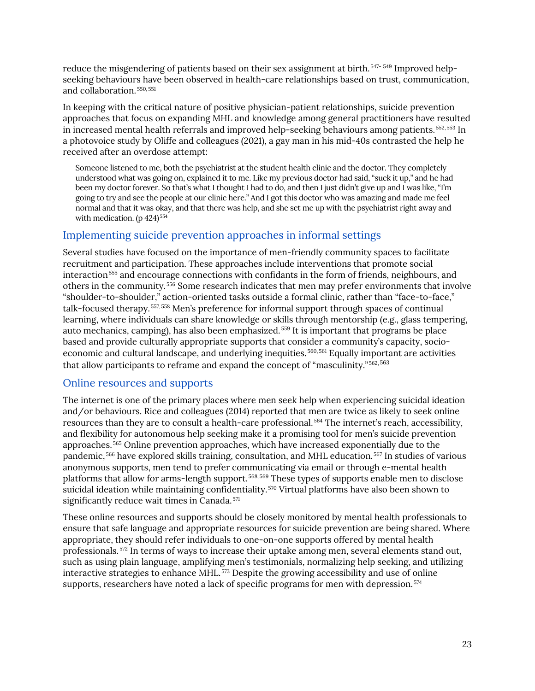reduce the misgendering of patients based on their sex assignment at birth. [547-](#page-51-18) [549](#page-51-19) Improved helpseeking behaviours have been observed in health-care relationships based on trust, communication, and collaboration. [550](#page-51-20), [551](#page-51-21)

In keeping with the critical nature of positive physician-patient relationships, suicide prevention approaches that focus on expanding MHL and knowledge among general practitioners have resulted in increased mental health referrals and improved help-seeking behaviours among patients.  $552, 553$  $552, 553$  $552, 553$  In a photovoice study by Oliffe and colleagues (2021), a gay man in his mid-40s contrasted the help he received after an overdose attempt:

Someone listened to me, both the psychiatrist at the student health clinic and the doctor. They completely understood what was going on, explained it to me. Like my previous doctor had said, "suck it up," and he had been my doctor forever. So that's what I thought I had to do, and then I just didn't give up and I was like, "I'm going to try and see the people at our clinic here." And I got this doctor who was amazing and made me feel normal and that it was okay, and that there was help, and she set me up with the psychiatrist right away and with medication. (p 424)<sup>[554](#page-51-24)</sup>

### <span id="page-27-0"></span>Implementing suicide prevention approaches in informal settings

Several studies have focused on the importance of men-friendly community spaces to facilitate recruitment and participation. These approaches include interventions that promote social interaction<sup>[555](#page-51-25)</sup> and encourage connections with confidants in the form of friends, neighbours, and others in the community. [556](#page-52-0) Some research indicates that men may prefer environments that involve "shoulder-to-shoulder," action-oriented tasks outside a formal clinic, rather than "face-to-face," talk-focused therapy. [557](#page-52-1), [558](#page-52-2) Men's preference for informal support through spaces of continual learning, where individuals can share knowledge or skills through mentorship (e.g., glass tempering, auto mechanics, camping), has also been emphasized. [559](#page-52-3) It is important that programs be place based and provide culturally appropriate supports that consider a community's capacity, socioeconomic and cultural landscape, and underlying inequities. [560,](#page-52-4) [561](#page-52-5) Equally important are activities that allow participants to reframe and expand the concept of "masculinity." [562](#page-52-6), [563](#page-52-7)

### <span id="page-27-1"></span>Online resources and supports

The internet is one of the primary places where men seek help when experiencing suicidal ideation and/or behaviours. Rice and colleagues (2014) reported that men are twice as likely to seek online resources than they are to consult a health-care professional. [564](#page-52-8) The internet's reach, accessibility, and flexibility for autonomous help seeking make it a promising tool for men's suicide prevention approaches. [565](#page-52-9) Online prevention approaches, which have increased exponentially due to the pandemic, [566](#page-52-10) have explored skills training, consultation, and MHL education. [567](#page-52-11) In studies of various anonymous supports, men tend to prefer communicating via email or through e-mental health platforms that allow for arms-length support. [568,](#page-52-12) [569](#page-52-13) These types of supports enable men to disclose suicidal ideation while maintaining confidentiality.<sup>[570](#page-52-14)</sup> Virtual platforms have also been shown to significantly reduce wait times in Canada.<sup>[571](#page-52-15)</sup>

These online resources and supports should be closely monitored by mental health professionals to ensure that safe language and appropriate resources for suicide prevention are being shared. Where appropriate, they should refer individuals to one-on-one supports offered by mental health professionals. [572](#page-52-16) In terms of ways to increase their uptake among men, several elements stand out, such as using plain language, amplifying men's testimonials, normalizing help seeking, and utilizing interactive strategies to enhance MHL. [573](#page-52-17) Despite the growing accessibility and use of online supports, researchers have noted a lack of specific programs for men with depression.  $574$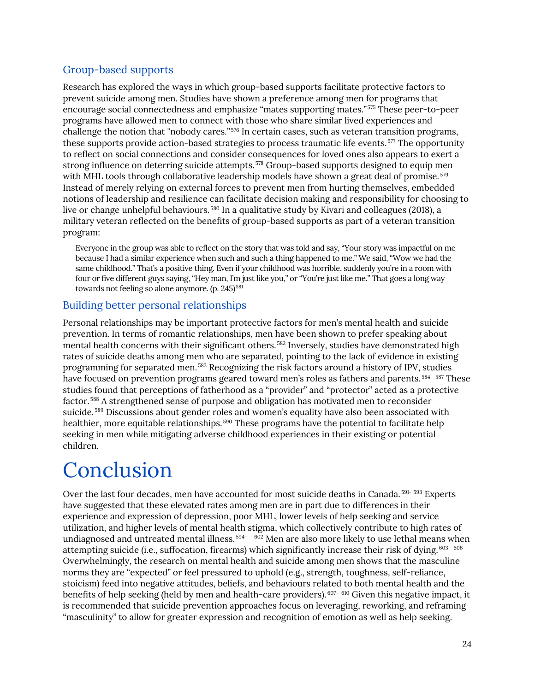### <span id="page-28-0"></span>Group-based supports

Research has explored the ways in which group-based supports facilitate protective factors to prevent suicide among men. Studies have shown a preference among men for programs that encourage social connectedness and emphasize "mates supporting mates." [575](#page-52-19) These peer-to-peer programs have allowed men to connect with those who share similar lived experiences and challenge the notion that "nobody cares." [576](#page-52-20) In certain cases, such as veteran transition programs, these supports provide action-based strategies to process traumatic life events.<sup>[577](#page-52-21)</sup> The opportunity to reflect on social connections and consider consequences for loved ones also appears to exert a strong influence on deterring suicide attempts. [578](#page-52-22) Group-based supports designed to equip men with MHL tools through collaborative leadership models have shown a great deal of promise.<sup>[579](#page-52-23)</sup> Instead of merely relying on external forces to prevent men from hurting themselves, embedded notions of leadership and resilience can facilitate decision making and responsibility for choosing to live or change unhelpful behaviours.<sup>[580](#page-52-24)</sup> In a qualitative study by Kivari and colleagues (2018), a military veteran reflected on the benefits of group-based supports as part of a veteran transition program:

Everyone in the group was able to reflect on the story that was told and say, "Your story was impactful on me because I had a similar experience when such and such a thing happened to me." We said, "Wow we had the same childhood." That's a positive thing. Even if your childhood was horrible, suddenly you're in a room with four or five different guys saying, "Hey man, I'm just like you," or "You're just like me." That goes a long way towards not feeling so alone anymore. (p. 245)<sup>[581](#page-52-25)</sup>

### <span id="page-28-1"></span>Building better personal relationships

Personal relationships may be important protective factors for men's mental health and suicide prevention. In terms of romantic relationships, men have been shown to prefer speaking about mental health concerns with their significant others. [582](#page-52-26) Inversely, studies have demonstrated high rates of suicide deaths among men who are separated, pointing to the lack of evidence in existing programming for separated men. [583](#page-52-27) Recognizing the risk factors around a history of IPV, studies have focused on prevention programs geared toward men's roles as fathers and parents.  $584 - 587$  $584 - 587$  These studies found that perceptions of fatherhood as a "provider" and "protector" acted as a protective factor. [588](#page-53-1) A strengthened sense of purpose and obligation has motivated men to reconsider suicide. [589](#page-53-2) Discussions about gender roles and women's equality have also been associated with healthier, more equitable relationships.<sup>[590](#page-53-3)</sup> These programs have the potential to facilitate help seeking in men while mitigating adverse childhood experiences in their existing or potential children.

## <span id="page-28-2"></span>Conclusion

Over the last four decades, men have accounted for most suicide deaths in Canada. [591](#page-53-4)- [593](#page-53-5) Experts have suggested that these elevated rates among men are in part due to differences in their experience and expression of depression, poor MHL, lower levels of help seeking and service utilization, and higher levels of mental health stigma, which collectively contribute to high rates of undiagnosed and untreated mental illness.<sup>[594-](#page-53-6)[602](#page-53-7)</sup> Men are also more likely to use lethal means when attempting suicide (i.e., suffocation, firearms) which significantly increase their risk of dying. [603](#page-53-8)- [606](#page-53-9) Overwhelmingly, the research on mental health and suicide among men shows that the masculine norms they are "expected" or feel pressured to uphold (e.g., strength, toughness, self-reliance, stoicism) feed into negative attitudes, beliefs, and behaviours related to both mental health and the benefits of help seeking (held by men and health-care providers). <sup>[607-](#page-53-10) [610](#page-53-11)</sup> Given this negative impact, it is recommended that suicide prevention approaches focus on leveraging, reworking, and reframing "masculinity" to allow for greater expression and recognition of emotion as well as help seeking.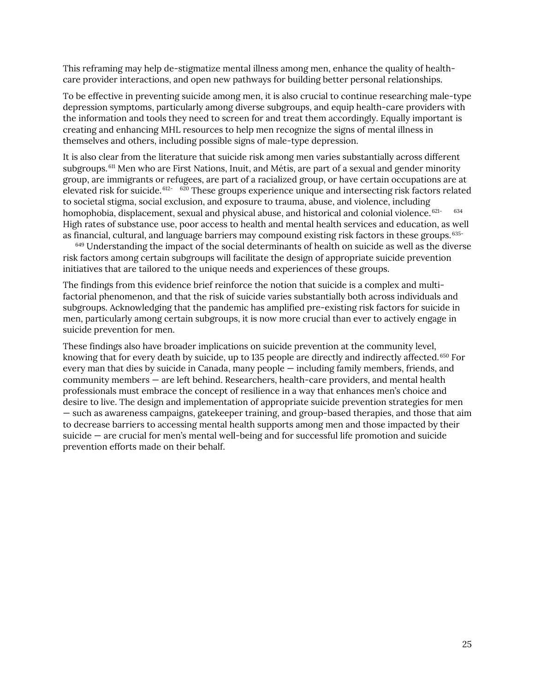This reframing may help de-stigmatize mental illness among men, enhance the quality of healthcare provider interactions, and open new pathways for building better personal relationships.

To be effective in preventing suicide among men, it is also crucial to continue researching male-type depression symptoms, particularly among diverse subgroups, and equip health-care providers with the information and tools they need to screen for and treat them accordingly. Equally important is creating and enhancing MHL resources to help men recognize the signs of mental illness in themselves and others, including possible signs of male-type depression.

It is also clear from the literature that suicide risk among men varies substantially across different subgroups. <sup>[611](#page-53-12)</sup> Men who are First Nations, Inuit, and Métis, are part of a sexual and gender minority group, are immigrants or refugees, are part of a racialized group, or have certain occupations are at elevated risk for suicide. [612-](#page-53-13) [620](#page-53-14) These groups experience unique and intersecting risk factors related to societal stigma, social exclusion, and exposure to trauma, abuse, and violence, including homophobia, displacement, sexual and physical abuse, and historical and colonial violence. <sup>[621](#page-53-15)-[634](#page-54-0)</sup> High rates of substance use, poor access to health and mental health services and education, as well as financial, cultural, and language barriers may compound existing risk factors in these groups. <sup>[635-](#page-54-1)</sup>

 $649$  Understanding the impact of the social determinants of health on suicide as well as the diverse risk factors among certain subgroups will facilitate the design of appropriate suicide prevention initiatives that are tailored to the unique needs and experiences of these groups.

The findings from this evidence brief reinforce the notion that suicide is a complex and multifactorial phenomenon, and that the risk of suicide varies substantially both across individuals and subgroups. Acknowledging that the pandemic has amplified pre-existing risk factors for suicide in men, particularly among certain subgroups, it is now more crucial than ever to actively engage in suicide prevention for men.

These findings also have broader implications on suicide prevention at the community level, knowing that for every death by suicide, up to 135 people are directly and indirectly affected. [650](#page-54-3) For every man that dies by suicide in Canada, many people — including family members, friends, and community members — are left behind. Researchers, health-care providers, and mental health professionals must embrace the concept of resilience in a way that enhances men's choice and desire to live. The design and implementation of appropriate suicide prevention strategies for men — such as awareness campaigns, gatekeeper training, and group-based therapies, and those that aim to decrease barriers to accessing mental health supports among men and those impacted by their suicide — are crucial for men's mental well-being and for successful life promotion and suicide prevention efforts made on their behalf.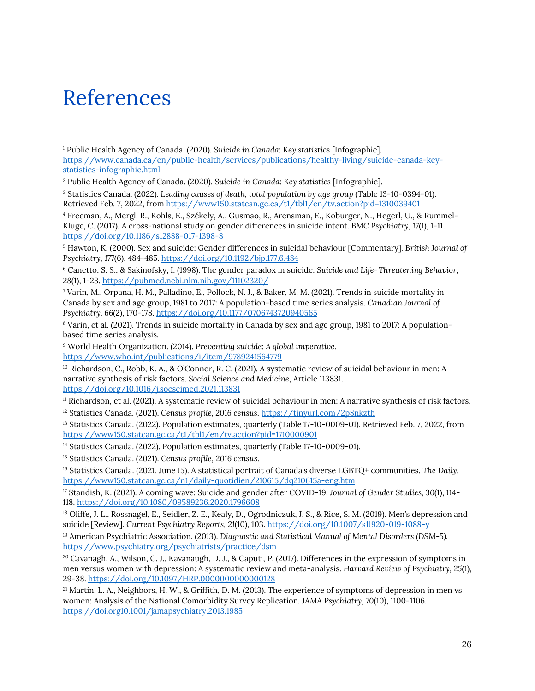## <span id="page-30-0"></span>References

<span id="page-30-1"></span><sup>1</sup> Public Health Agency of Canada. (2020). *Suicide in Canada: Key statistics* [Infographic]. [https://www.canada.ca/en/public-health/services/publications/healthy-living/suicide-canada-key](https://www.canada.ca/en/public-health/services/publications/healthy-living/suicide-canada-key-statistics-infographic.html)[statistics-infographic.html](https://www.canada.ca/en/public-health/services/publications/healthy-living/suicide-canada-key-statistics-infographic.html)

<span id="page-30-2"></span><sup>2</sup> Public Health Agency of Canada. (2020). *Suicide in Canada: Key statistics* [Infographic].

<span id="page-30-3"></span><sup>3</sup> Statistics Canada. (2022). *Leading causes of death, total population by age group* (Table 13-10-0394-01). Retrieved Feb. 7, 2022, from<https://www150.statcan.gc.ca/t1/tbl1/en/tv.action?pid=1310039401>

<span id="page-30-4"></span><sup>4</sup> Freeman, A., Mergl, R., Kohls, E., Székely, A., Gusmao, R., Arensman, E., Koburger, N., Hegerl, U., & Rummel-Kluge, C. (2017). A cross-national study on gender differences in suicide intent. *BMC Psychiatry*, *17*(1), 1-11. <https://doi.org/10.1186/s12888-017-1398-8>

<sup>5</sup> Hawton, K. (2000). Sex and suicide: Gender differences in suicidal behaviour [Commentary]*. British Journal of Psychiatry, 177*(6), 484-485. <https://doi.org/10.1192/bjp.177.6.484>

<span id="page-30-5"></span><sup>6</sup> Canetto, S. S., & Sakinofsky, I. (1998). The gender paradox in suicide. *Suicide and Life‐Threatening Behavior, 28*(1), 1-23. <https://pubmed.ncbi.nlm.nih.gov/11102320/>

<span id="page-30-6"></span><sup>7</sup> Varin, M., Orpana, H. M., Palladino, E., Pollock, N. J., & Baker, M. M. (2021). Trends in suicide mortality in Canada by sex and age group, 1981 to 2017: A population-based time series analysis. *Canadian Journal of Psychiatry, 66*(2), 170-178. <https://doi.org/10.1177/0706743720940565>

<span id="page-30-7"></span><sup>8</sup> Varin, et al. (2021). Trends in suicide mortality in Canada by sex and age group, 1981 to 2017: A populationbased time series analysis.

<span id="page-30-8"></span><sup>9</sup> World Health Organization. (2014). *Preventing suicide: A global imperative.* <https://www.who.int/publications/i/item/9789241564779>

<span id="page-30-9"></span><sup>10</sup> Richardson, C., Robb, K. A., & O'Connor, R. C. (2021). A systematic review of suicidal behaviour in men: A narrative synthesis of risk factors. *Social Science and Medicine*, Article 113831. <https://doi.org/10.1016/j.socscimed.2021.113831>

<span id="page-30-11"></span><span id="page-30-10"></span><sup>11</sup> Richardson, et al. (2021). A systematic review of suicidal behaviour in men: A narrative synthesis of risk factors. <sup>12</sup> Statistics Canada. (2021). *Census profile, 2016 census*.<https://tinyurl.com/2p8nkzth>

<span id="page-30-12"></span><sup>13</sup> Statistics Canada. (2022). Population estimates, quarterly (Table 17-10-0009-01). Retrieved Feb. 7, 2022, from <https://www150.statcan.gc.ca/t1/tbl1/en/tv.action?pid=1710000901>

<span id="page-30-13"></span><sup>14</sup> Statistics Canada. (2022). Population estimates, quarterly (Table 17-10-0009-01).

<span id="page-30-14"></span><sup>15</sup> Statistics Canada. (2021). *Census profile, 2016 census*.

<span id="page-30-15"></span><sup>16</sup> Statistics Canada. (2021, June 15). A statistical portrait of Canada's diverse LGBTQ+ communities. *The Daily.* <https://www150.statcan.gc.ca/n1/daily-quotidien/210615/dq210615a-eng.htm>

<span id="page-30-16"></span><sup>17</sup> Standish, K. (2021). A coming wave: Suicide and gender after COVID-19. *Journal of Gender Studies, 30*(1), 114- 118.<https://doi.org/10.1080/09589236.2020.1796608>

<span id="page-30-17"></span><sup>18</sup> Oliffe, J. L., Rossnagel, E., Seidler, Z. E., Kealy, D., Ogrodniczuk, J. S., & Rice, S. M. (2019). Men's depression and suicide [Review]. *Current Psychiatry Reports, 21*(10), 103.<https://doi.org/10.1007/s11920-019-1088-y>

<span id="page-30-18"></span><sup>19</sup> American Psychiatric Association. (2013). *Diagnostic and Statistical Manual of Mental Disorders (DSM-5).* <https://www.psychiatry.org/psychiatrists/practice/dsm>

<span id="page-30-19"></span><sup>20</sup> Cavanagh, A., Wilson, C. J., Kavanaugh, D. J., & Caputi, P. (2017). Differences in the expression of symptoms in men versus women with depression: A systematic review and meta-analysis. *Harvard Review of Psychiatry, 25*(1), 29-38. <https://doi.org/10.1097/HRP.0000000000000128>

<span id="page-30-20"></span><sup>21</sup> Martin, L. A., Neighbors, H. W., & Griffith, D. M. (2013). The experience of symptoms of depression in men vs women: Analysis of the National Comorbidity Survey Replication. *JAMA Psychiatry, 70*(10), 1100-1106. <https://doi.org10.1001/jamapsychiatry.2013.1985>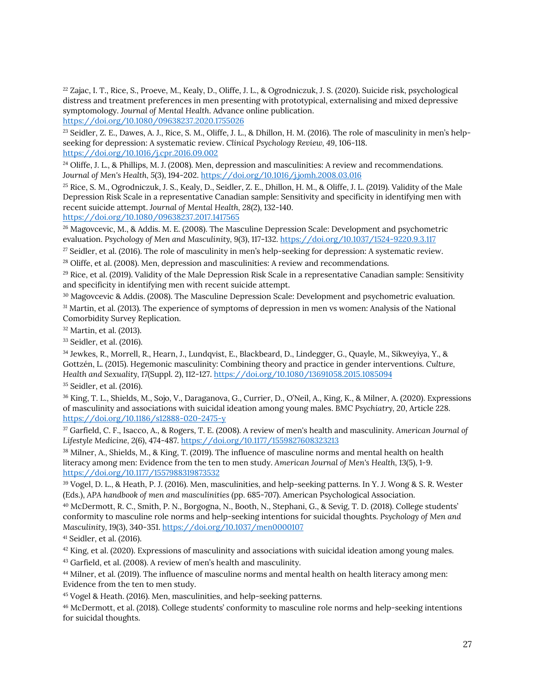<span id="page-31-0"></span><sup>22</sup> Zajac, I. T., Rice, S., Proeve, M., Kealy, D., Oliffe, J. L., & Ogrodniczuk, J. S. (2020). Suicide risk, psychological distress and treatment preferences in men presenting with prototypical, externalising and mixed depressive symptomology. *Journal of Mental Health*. Advance online publication.

<https://doi.org/10.1080/09638237.2020.1755026>

<span id="page-31-1"></span><sup>23</sup> Seidler, Z. E., Dawes, A. J., Rice, S. M., Oliffe, J. L., & Dhillon, H. M. (2016). The role of masculinity in men's helpseeking for depression: A systematic review. *Clinical Psychology Review, 49*, 106-118. <https://doi.org/10.1016/j.cpr.2016.09.002>

<span id="page-31-2"></span> $^{24}$  Oliffe, J. L., & Phillips, M. J. (2008). Men, depression and masculinities: A review and recommendations. *Journal of Men's Health, 5*(3), 194-202. <https://doi.org/10.1016/j.jomh.2008.03.016>

<sup>25</sup> Rice, S. M., Ogrodniczuk, J. S., Kealy, D., Seidler, Z. E., Dhillon, H. M., & Oliffe, J. L. (2019). Validity of the Male Depression Risk Scale in a representative Canadian sample: Sensitivity and specificity in identifying men with recent suicide attempt. *Journal of Mental Health, 28*(2), 132-140.

<https://doi.org/10.1080/09638237.2017.1417565>

<span id="page-31-3"></span><sup>26</sup> Magovcevic, M., & Addis. M. E. (2008). The Masculine Depression Scale: Development and psychometric evaluation. *Psychology of Men and Masculinity, 9*(3), 117-132. <https://doi.org/10.1037/1524-9220.9.3.117>

<span id="page-31-4"></span><sup>27</sup> Seidler, et al. (2016). The role of masculinity in men's help-seeking for depression: A systematic review.

<sup>28</sup> Oliffe, et al. (2008). Men, depression and masculinities: A review and recommendations.

 $29$  Rice, et al. (2019). Validity of the Male Depression Risk Scale in a representative Canadian sample: Sensitivity and specificity in identifying men with recent suicide attempt.

<span id="page-31-5"></span><sup>30</sup> Magovcevic & Addis. (2008). The Masculine Depression Scale: Development and psychometric evaluation.

<span id="page-31-6"></span><sup>31</sup> Martin, et al. (2013). The experience of symptoms of depression in men vs women: Analysis of the National Comorbidity Survey Replication.

<span id="page-31-7"></span><sup>32</sup> Martin, et al. (2013).

<span id="page-31-8"></span><sup>33</sup> Seidler, et al. (2016).

<span id="page-31-9"></span><sup>34</sup> Jewkes, R., Morrell, R., Hearn, J., Lundqvist, E., Blackbeard, D., Lindegger, G., Quayle, M., Sikweyiya, Y., & Gottzén, L. (2015). Hegemonic masculinity: Combining theory and practice in gender interventions. *Culture, Health and Sexuality, 17*(Suppl. 2), 112-127.<https://doi.org/10.1080/13691058.2015.1085094>

<span id="page-31-10"></span><sup>35</sup> Seidler, et al. (2016).

<sup>36</sup> King, T. L., Shields, M., Sojo, V., Daraganova, G., Currier, D., O'Neil, A., King, K., & Milner, A. (2020). Expressions of masculinity and associations with suicidal ideation among young males. *BMC Psychiatry, 20*, Article 228. <https://doi.org/10.1186/s12888-020-2475-y>

<sup>37</sup> Garfield, C. F., Isacco, A., & Rogers, T. E. (2008). A review of men's health and masculinity. *American Journal of Lifestyle Medicine, 2*(6), 474-487. <https://doi.org/10.1177/1559827608323213>

<sup>38</sup> Milner, A., Shields, M., & King, T. (2019). The influence of masculine norms and mental health on health literacy among men: Evidence from the ten to men study. *American Journal of Men's Health, 13*(5), 1-9. <https://doi.org/10.1177/1557988319873532>

<sup>39</sup> Vogel, D. L., & Heath, P. J. (2016). Men, masculinities, and help-seeking patterns. In Y. J. Wong & S. R. Wester (Eds.), *APA handbook of men and masculinities* (pp. 685-707). American Psychological Association.

<span id="page-31-11"></span><sup>40</sup> McDermott, R. C., Smith, P. N., Borgogna, N., Booth, N., Stephani, G., & Sevig, T. D. (2018). College students' conformity to masculine role norms and help-seeking intentions for suicidal thoughts. *Psychology of Men and Masculinity, 19*(3), 340-351. <https://doi.org/10.1037/men0000107>

<span id="page-31-12"></span><sup>41</sup> Seidler, et al. (2016).

 $42$  King, et al. (2020). Expressions of masculinity and associations with suicidal ideation among young males.

<sup>43</sup> Garfield, et al. (2008). A review of men's health and masculinity.

<sup>44</sup> Milner, et al. (2019). The influence of masculine norms and mental health on health literacy among men: Evidence from the ten to men study.

<sup>45</sup> Vogel & Heath. (2016). Men, masculinities, and help-seeking patterns.

<sup>46</sup> McDermott, et al. (2018). College students' conformity to masculine role norms and help-seeking intentions for suicidal thoughts.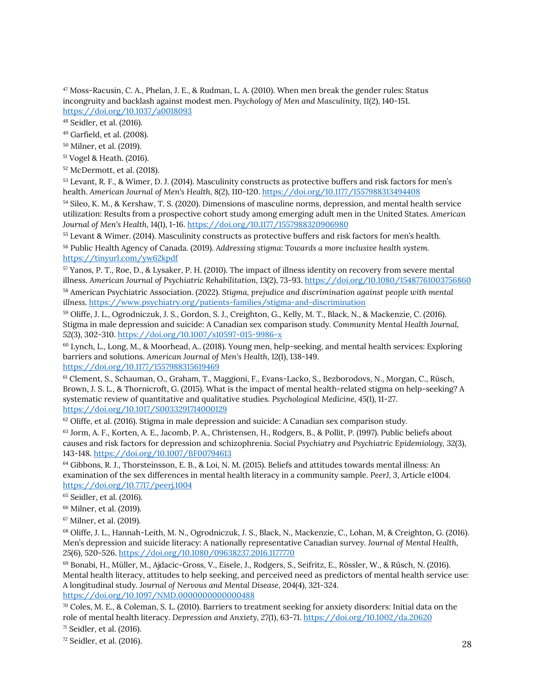<span id="page-32-0"></span><sup>47</sup> Moss-Racusin, C. A., Phelan, J. E., & Rudman, L. A. (2010). When men break the gender rules: Status incongruity and backlash against modest men. *Psychology of Men and Masculinity, 11*(2), 140-151. <https://doi.org/10.1037/a0018093>

<span id="page-32-1"></span><sup>48</sup> Seidler, et al. (2016).

<span id="page-32-2"></span><sup>49</sup> Garfield, et al. (2008).

<sup>50</sup> Milner, et al. (2019).

<sup>51</sup> Vogel & Heath. (2016).

<span id="page-32-3"></span><sup>52</sup> McDermott, et al. (2018).

<span id="page-32-4"></span><sup>53</sup> Levant, R. F., & Wimer, D. J. (2014). Masculinity constructs as protective buffers and risk factors for men's health. *American Journal of Men's Health, 8*(2), 110-120. <https://doi.org/10.1177/1557988313494408>

<span id="page-32-5"></span><sup>54</sup> Sileo, K. M., & Kershaw, T. S. (2020). Dimensions of masculine norms, depression, and mental health service utilization: Results from a prospective cohort study among emerging adult men in the United States. *American Journal of Men's Health, 14*(1), 1-16. <https://doi.org/10.1177/1557988320906980>

<span id="page-32-6"></span><sup>55</sup> Levant & Wimer. (2014). Masculinity constructs as protective buffers and risk factors for men's health.

<span id="page-32-7"></span><sup>56</sup> Public Health Agency of Canada. (2019). *Addressing stigma: Towards a more inclusive health system.* <https://tinyurl.com/yw62kpdf>

<span id="page-32-8"></span><sup>57</sup> Yanos, P. T., Roe, D., & Lysaker, P. H. (2010). The impact of illness identity on recovery from severe mental illness. *American Journal of Psychiatric Rehabilitation, 13*(2), 73-93. <https://doi.org/10.1080/15487761003756860>

<sup>58</sup> American Psychiatric Association. (2022). *Stigma, prejudice and discrimination against people with mental illness.* <https://www.psychiatry.org/patients-families/stigma-and-discrimination>

<span id="page-32-9"></span><sup>59</sup> Oliffe, J. L., Ogrodniczuk, J. S., Gordon, S. J., Creighton, G., Kelly, M. T., Black, N., & Mackenzie, C. (2016). Stigma in male depression and suicide: A Canadian sex comparison study*. Community Mental Health Journal, 52*(3), 302-310. <https://doi.org/10.1007/s10597-015-9986-x>

<span id="page-32-10"></span><sup>60</sup> Lynch, L., Long, M., & Moorhead, A.. (2018). Young men, help-seeking, and mental health services: Exploring barriers and solutions. *American Journal of Men's Health*, *12*(1), 138-149. <https://doi.org/10.1177/1557988315619469>

<span id="page-32-11"></span><sup>61</sup> Clement, S., Schauman, O., Graham, T., Maggioni, F., Evans-Lacko, S., Bezborodovs, N., Morgan, C., Rüsch, Brown, J. S. L., & Thornicroft, G. (2015). What is the impact of mental health-related stigma on help-seeking? A systematic review of quantitative and qualitative studies. *Psychological Medicine, 45*(1), 11-27. <https://doi.org/10.1017/S0033291714000129>

<span id="page-32-12"></span><sup>62</sup> Oliffe, et al. (2016). Stigma in male depression and suicide: A Canadian sex comparison study*.*

<span id="page-32-13"></span><sup>63</sup> Jorm, A. F., Korten, A. E., Jacomb, P. A., Christensen, H., Rodgers, B., & Pollit, P. (1997). Public beliefs about causes and risk factors for depression and schizophrenia. *Social Psychiatry and Psychiatric Epidemiology, 32*(3), 143-148[. https://doi.org/10.1007/BF00794613](https://doi.org/10.1007/BF00794613)

<span id="page-32-14"></span><sup>64</sup> Gibbons, R. J., Thorsteinsson, E. B., & Loi, N. M. (2015). Beliefs and attitudes towards mental illness: An examination of the sex differences in mental health literacy in a community sample. *PeerJ, 3*, Article e1004. <https://doi.org/10.7717/peerj.1004>

<span id="page-32-15"></span><sup>65</sup> Seidler, et al. (2016).

<span id="page-32-16"></span><sup>66</sup> Milner, et al. (2019).

<span id="page-32-17"></span><sup>67</sup> Milner, et al. (2019).

<span id="page-32-18"></span><sup>68</sup> Oliffe, J. L., Hannah-Leith, M. N., Ogrodniczuk, J. S., Black, N., Mackenzie, C., Lohan, M, & Creighton, G. (2016). Men's depression and suicide literacy: A nationally representative Canadian survey. *Journal of Mental Health, 25*(6), 520-526. <https://doi.org/10.1080/09638237.2016.1177770>

<span id="page-32-19"></span><sup>69</sup> Bonabi, H., Müller, M., Ajdacic-Gross, V., Eisele, J., Rodgers, S., Seifritz, E., Rössler, W., & Rüsch, N. (2016). Mental health literacy, attitudes to help seeking, and perceived need as predictors of mental health service use: A longitudinal study. *Journal of Nervous and Mental Disease, 204*(4), 321-324. <https://doi.org/10.1097/NMD.0000000000000488>

<span id="page-32-20"></span> $70$  Coles, M. E., & Coleman, S. L. (2010). Barriers to treatment seeking for anxiety disorders: Initial data on the role of mental health literacy. *Depression and Anxiety, 27*(1), 63-71. <https://doi.org/10.1002/da.20620>

<span id="page-32-21"></span> $71$  Seidler, et al. (2016).

<span id="page-32-22"></span><sup>72</sup> Seidler, et al. (2016).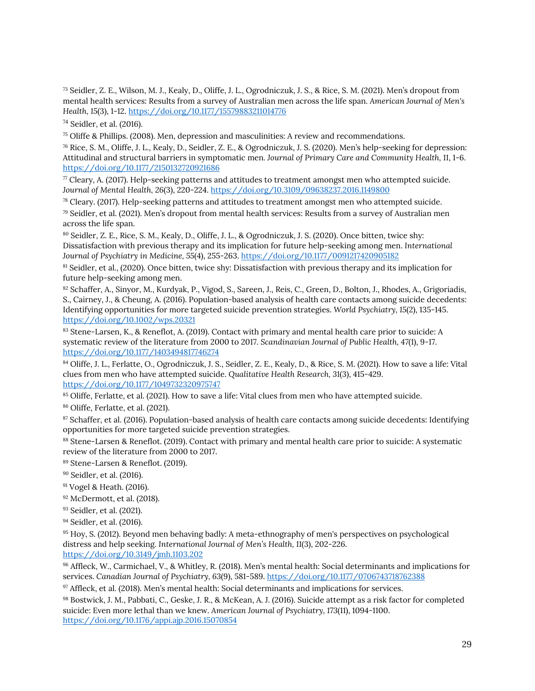<span id="page-33-0"></span><sup>73</sup> Seidler, Z. E., Wilson, M. J., Kealy, D., Oliffe, J. L., Ogrodniczuk, J. S., & Rice, S. M. (2021). Men's dropout from mental health services: Results from a survey of Australian men across the life span. *American Journal of Men's Health, 15*(3), 1-12. <https://doi.org/10.1177/15579883211014776>

<span id="page-33-1"></span><sup>74</sup> Seidler, et al. (2016).

<span id="page-33-2"></span> $75$  Oliffe & Phillips. (2008). Men, depression and masculinities: A review and recommendations.

<span id="page-33-3"></span><sup>76</sup> Rice, S. M., Oliffe, J. L., Kealy, D., Seidler, Z. E., & Ogrodniczuk, J. S. (2020). Men's help-seeking for depression: Attitudinal and structural barriers in symptomatic men*. Journal of Primary Care and Community Health, 11*, 1-6. <https://doi.org/10.1177/2150132720921686>

<span id="page-33-4"></span> $\pi$  Cleary, A. (2017). Help-seeking patterns and attitudes to treatment amongst men who attempted suicide. *Journal of Mental Health, 26*(3), 220-224. <https://doi.org/10.3109/09638237.2016.1149800>

<span id="page-33-5"></span><sup>78</sup> Cleary. (2017). Help-seeking patterns and attitudes to treatment amongst men who attempted suicide.

<span id="page-33-6"></span><sup>79</sup> Seidler, et al. (2021). Men's dropout from mental health services: Results from a survey of Australian men across the life span.

<span id="page-33-7"></span><sup>80</sup> Seidler, Z. E., Rice, S. M., Kealy, D., Oliffe, J. L., & Ogrodniczuk, J. S. (2020). Once bitten, twice shy: Dissatisfaction with previous therapy and its implication for future help-seeking among men. *International Journal of Psychiatry in Medicine, 55*(4), 255-263. <https://doi.org/10.1177/0091217420905182>

<span id="page-33-8"></span><sup>81</sup> Seidler, et al., (2020). Once bitten, twice shy: Dissatisfaction with previous therapy and its implication for future help-seeking among men.

<span id="page-33-9"></span>82 Schaffer, A., Sinyor, M., Kurdyak, P., Vigod, S., Sareen, J., Reis, C., Green, D., Bolton, J., Rhodes, A., Grigoriadis, S., Cairney, J., & Cheung, A. (2016). Population‐based analysis of health care contacts among suicide decedents: Identifying opportunities for more targeted suicide prevention strategies. *World Psychiatry, 15*(2), 135-145. <https://doi.org/10.1002/wps.20321>

83 Stene-Larsen, K., & Reneflot, A. (2019). Contact with primary and mental health care prior to suicide: A systematic review of the literature from 2000 to 2017. *Scandinavian Journal of Public Health, 47*(1), 9-17. <https://doi.org/10.1177/1403494817746274>

<span id="page-33-10"></span>84 Oliffe, J. L., Ferlatte, O., Ogrodniczuk, J. S., Seidler, Z. E., Kealy, D., & Rice, S. M. (2021). How to save a life: Vital clues from men who have attempted suicide. *Qualitative Health Research, 31*(3), 415-429. <https://doi.org/10.1177/1049732320975747>

<span id="page-33-11"></span><sup>85</sup> Oliffe, Ferlatte, et al. (2021). How to save a life: Vital clues from men who have attempted suicide.

<span id="page-33-12"></span><sup>86</sup> Oliffe, Ferlatte, et al. (2021).

<span id="page-33-13"></span>87 Schaffer, et al. (2016). Population-based analysis of health care contacts among suicide decedents: Identifying opportunities for more targeted suicide prevention strategies.

<span id="page-33-14"></span>88 Stene-Larsen & Reneflot. (2019). Contact with primary and mental health care prior to suicide: A systematic review of the literature from 2000 to 2017.

<span id="page-33-15"></span><sup>89</sup> Stene-Larsen & Reneflot. (2019).

<span id="page-33-16"></span><sup>90</sup> Seidler, et al. (2016).

<sup>91</sup> Vogel & Heath. (2016).

- <sup>92</sup> McDermott, et al. (2018).
- <span id="page-33-17"></span><sup>93</sup> Seidler, et al. (2021).

<span id="page-33-18"></span><sup>94</sup> Seidler, et al. (2016).

<span id="page-33-19"></span><sup>95</sup> Hoy, S. (2012). Beyond men behaving badly: A meta-ethnography of men's perspectives on psychological distress and help seeking. *International Journal of Men's Health, 11*(3), 202-226. <https://doi.org/10.3149/jmh.1103.202>

<span id="page-33-20"></span><sup>96</sup> Affleck, W., Carmichael, V., & Whitley, R. (2018). Men's mental health: Social determinants and implications for services. *Canadian Journal of Psychiatry, 63*(9), 581-589. <https://doi.org/10.1177/0706743718762388>

<span id="page-33-21"></span><sup>97</sup> Affleck, et al. (2018). Men's mental health: Social determinants and implications for services.

<span id="page-33-22"></span><sup>98</sup> Bostwick, J. M., Pabbati, C., Geske, J. R., & McKean, A. J. (2016). Suicide attempt as a risk factor for completed suicide: Even more lethal than we knew. *American Journal of Psychiatry, 173*(11), 1094-1100. <https://doi.org/10.1176/appi.ajp.2016.15070854>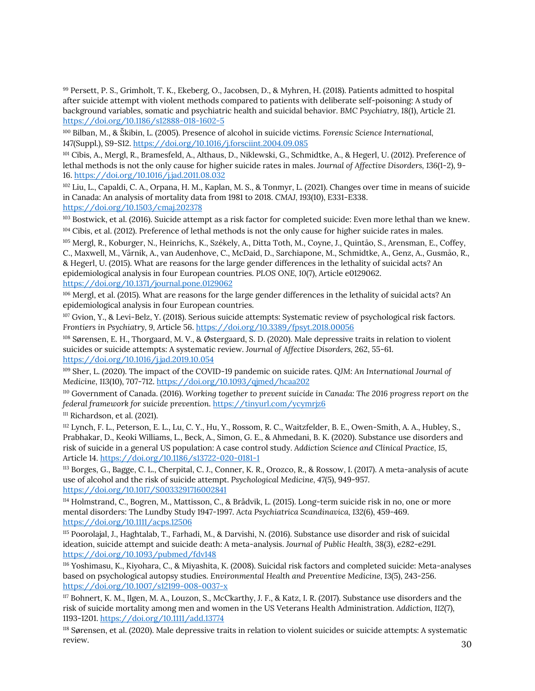99 Persett, P. S., Grimholt, T. K., Ekeberg, O., Jacobsen, D., & Myhren, H. (2018). Patients admitted to hospital after suicide attempt with violent methods compared to patients with deliberate self-poisoning: A study of background variables, somatic and psychiatric health and suicidal behavior. *BMC Psychiatry, 18*(1), Article 21. <https://doi.org/10.1186/s12888-018-1602-5>

<sup>100</sup> Bilban, M., & Škibin, L. (2005). Presence of alcohol in suicide victims. *Forensic Science International, 147*(Suppl.), S9-S12. <https://doi.org/10.1016/j.forsciint.2004.09.085>

<span id="page-34-0"></span><sup>101</sup> Cibis, A., Mergl, R., Bramesfeld, A., Althaus, D., Niklewski, G., Schmidtke, A., & Hegerl, U. (2012). Preference of lethal methods is not the only cause for higher suicide rates in males. *Journal of Affective Disorders, 136*(1-2), 9- 16. <https://doi.org/10.1016/j.jad.2011.08.032>

<span id="page-34-1"></span><sup>102</sup> Liu, L., Capaldi, C. A., Orpana, H. M., Kaplan, M. S., & Tonmyr, L. (2021). Changes over time in means of suicide in Canada: An analysis of mortality data from 1981 to 2018. *CMAJ, 193*(10), E331-E338. <https://doi.org/10.1503/cmaj.202378>

<span id="page-34-2"></span><sup>103</sup> Bostwick, et al. (2016). Suicide attempt as a risk factor for completed suicide: Even more lethal than we knew. <sup>104</sup> Cibis, et al. (2012). Preference of lethal methods is not the only cause for higher suicide rates in males.

<span id="page-34-4"></span><span id="page-34-3"></span><sup>105</sup> Mergl, R., Koburger, N., Heinrichs, K., Székely, A., Ditta Toth, M., Coyne, J., Quintāo, S., Arensman, E., Coffey, C., Maxwell, M., Värnik, A., van Audenhove, C., McDaid, D., Sarchiapone, M., Schmidtke, A., Genz, A., Gusmāo, R., & Hegerl, U. (2015). What are reasons for the large gender differences in the lethality of suicidal acts? An epidemiological analysis in four European countries. *PLOS ONE, 10*(7), Article e0129062. <https://doi.org/10.1371/journal.pone.0129062>

<span id="page-34-5"></span><sup>106</sup> Mergl, et al. (2015). What are reasons for the large gender differences in the lethality of suicidal acts? An epidemiological analysis in four European countries.

<span id="page-34-6"></span>107 Gvion, Y., & Levi-Belz, Y. (2018). Serious suicide attempts: Systematic review of psychological risk factors. *Frontiers in Psychiatry, 9,* Article 56. <https://doi.org/10.3389/fpsyt.2018.00056>

<sup>108</sup> Sørensen, E. H., Thorgaard, M. V., & Østergaard, S. D. (2020). Male depressive traits in relation to violent suicides or suicide attempts: A systematic review. *Journal of Affective Disorders,* 262, 55-61. <https://doi.org/10.1016/j.jad.2019.10.054>

<span id="page-34-7"></span><sup>109</sup> Sher, L. (2020). The impact of the COVID-19 pandemic on suicide rates. *QJM: An International Journal of Medicine, 113*(10), 707-712. <https://doi.org/10.1093/qjmed/hcaa202>

<span id="page-34-8"></span><sup>110</sup> Government of Canada. (2016). *Working together to prevent suicide in Canada: The 2016 progress report on the federal framework for suicide prevention*. <https://tinyurl.com/ycymrjz6> <sup>111</sup> Richardson, et al. (2021).

<span id="page-34-9"></span><sup>112</sup> Lynch, F. L., Peterson, E. L., Lu, C. Y., Hu, Y., Rossom, R. C., Waitzfelder, B. E., Owen-Smith, A. A., Hubley, S., Prabhakar, D., Keoki Williams, L., Beck, A., Simon, G. E., & Ahmedani, B. K. (2020). Substance use disorders and risk of suicide in a general US population: A case control study. *Addiction Science and Clinical Practice, 15*, Article 14. <https://doi.org/10.1186/s13722-020-0181-1>

<sup>113</sup> Borges, G., Bagge, C. L., Cherpital, C. J., Conner, K. R., Orozco, R., & Rossow, I. (2017). A meta-analysis of acute use of alcohol and the risk of suicide attempt. *Psychological Medicine, 47*(5), 949-957. <https://doi.org/10.1017/S0033291716002841>

114 Holmstrand, C., Bogren, M., Mattisson, C., & Brådvik, L. (2015). Long-term suicide risk in no, one or more mental disorders: The Lundby Study 1947-1997. *Acta Psychiatrica Scandinavica, 132*(6), 459-469. <https://doi.org/10.1111/acps.12506>

<sup>115</sup> Poorolajal, J., Haghtalab, T., Farhadi, M., & Darvishi, N. (2016). Substance use disorder and risk of suicidal ideation, suicide attempt and suicide death: A meta-analysis. *Journal of Public Health, 38*(3), e282-e291. <https://doi.org/10.1093/pubmed/fdv148>

<sup>116</sup> Yoshimasu, K., Kiyohara, C., & Miyashita, K. (2008). Suicidal risk factors and completed suicide: Meta-analyses based on psychological autopsy studies. *Environmental Health and Preventive Medicine, 13*(5), 243-256. <https://doi.org/10.1007/s12199-008-0037-x>

<span id="page-34-10"></span><sup>117</sup> Bohnert, K. M., Ilgen, M. A., Louzon, S., McCkarthy, J. F., & Katz, I. R. (2017). Substance use disorders and the risk of suicide mortality among men and women in the US Veterans Health Administration. *Addiction, 112*(7), 1193-1201. <https://doi.org/10.1111/add.13774>

<span id="page-34-11"></span><sup>118</sup> Sørensen, et al. (2020). Male depressive traits in relation to violent suicides or suicide attempts: A systematic review.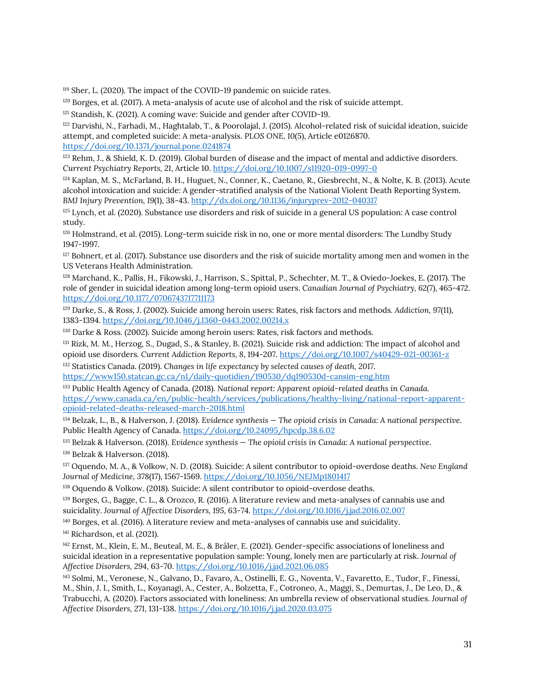<span id="page-35-0"></span><sup>119</sup> Sher, L. (2020). The impact of the COVID-19 pandemic on suicide rates.

<span id="page-35-1"></span><sup>120</sup> Borges, et al. (2017). A meta-analysis of acute use of alcohol and the risk of suicide attempt.

<span id="page-35-2"></span><sup>121</sup> Standish, K. (2021). A coming wave: Suicide and gender after COVID-19.

<span id="page-35-3"></span><sup>122</sup> Darvishi, N., Farhadi, M., Haghtalab, T., & Poorolajal, J. (2015). Alcohol-related risk of suicidal ideation, suicide attempt, and completed suicide: A meta-analysis. *PLOS ONE, 10*(5), Article e0126870. <https://doi.org/10.1371/journal.pone.0241874>

<span id="page-35-4"></span><sup>123</sup> Rehm, J., & Shield, K. D. (2019). Global burden of disease and the impact of mental and addictive disorders. *Current Psychiatry Reports, 21*, Article 10. <https://doi.org/10.1007/s11920-019-0997-0>

<span id="page-35-5"></span><sup>124</sup> Kaplan, M. S., McFarland, B. H., Huguet, N., Conner, K., Caetano, R., Giesbrecht, N., & Nolte, K. B. (2013). Acute alcohol intoxication and suicide: A gender-stratified analysis of the National Violent Death Reporting System. *BMJ Injury Prevention, 19*(1), 38-43. <http://dx.doi.org/10.1136/injuryprev-2012-040317>

<span id="page-35-6"></span><sup>125</sup> Lynch, et al. (2020). Substance use disorders and risk of suicide in a general US population: A case control study.

<span id="page-35-7"></span><sup>126</sup> Holmstrand, et al. (2015). Long‐term suicide risk in no, one or more mental disorders: The Lundby Study 1947-1997.

<span id="page-35-8"></span> $127$  Bohnert, et al. (2017). Substance use disorders and the risk of suicide mortality among men and women in the US Veterans Health Administration.

<sup>128</sup> Marchand, K., Pallis, H., Fikowski, J., Harrison, S., Spittal, P., Schechter, M. T., & Oviedo-Joekes, E. (2017). The role of gender in suicidal ideation among long-term opioid users. *Canadian Journal of Psychiatry, 62*(7), 465-472. <https://doi.org/10.1177/0706743717711173>

<span id="page-35-9"></span><sup>129</sup> Darke, S., & Ross, J. (2002). Suicide among heroin users: Rates, risk factors and methods*. Addiction, 97*(11), 1383-1394. <https://doi.org/10.1046/j.1360-0443.2002.00214.x>

<span id="page-35-10"></span><sup>130</sup> Darke & Ross. (2002). Suicide among heroin users: Rates, risk factors and methods*.*

<span id="page-35-11"></span>131 Rizk, M. M., Herzog, S., Dugad, S., & Stanley, B. (2021). Suicide risk and addiction: The impact of alcohol and opioid use disorders*. Current Addiction Reports, 8*, 194-207. <https://doi.org/10.1007/s40429-021-00361-z>

<span id="page-35-12"></span><sup>132</sup> Statistics Canada. (2019). *Changes in life expectancy by selected causes of death, 2017*. <https://www150.statcan.gc.ca/n1/daily-quotidien/190530/dq190530d-cansim-eng.htm>

<span id="page-35-13"></span><sup>133</sup> Public Health Agency of Canada. (2018). *National report: Apparent opioid-related deaths in Canada.* [https://www.canada.ca/en/public-health/services/publications/healthy-living/national-report-apparent](https://www.canada.ca/en/public-health/services/publications/healthy-living/national-report-apparent-opioid-related-deaths-released-march-2018.html)[opioid-related-deaths-released-march-2018.html](https://www.canada.ca/en/public-health/services/publications/healthy-living/national-report-apparent-opioid-related-deaths-released-march-2018.html)

<span id="page-35-14"></span><sup>134</sup> Belzak, L., B., & Halverson, J. (2018). *Evidence synthesis — The opioid crisis in Canada: A national perspective*. Public Health Agency of Canada[. https://doi.org/10.24095/hpcdp.38.6.02](https://doi.org/10.24095/hpcdp.38.6.02)

<span id="page-35-16"></span><span id="page-35-15"></span><sup>135</sup> Belzak & Halverson. (2018). *Evidence synthesis — The opioid crisis in Canada: A national perspective*. <sup>136</sup> Belzak & Halverson. (2018).

<span id="page-35-17"></span><sup>137</sup> Oquendo, M. A., & Volkow, N. D. (2018). Suicide: A silent contributor to opioid-overdose deaths. *New England Journal of Medicine, 378*(17), 1567-1569. <https://doi.org/10.1056/NEJMp1801417>

<span id="page-35-18"></span><sup>138</sup> Oquendo & Volkow. (2018). Suicide: A silent contributor to opioid-overdose deaths.

<span id="page-35-19"></span><sup>139</sup> Borges, G., Bagge, C. L., & Orozco, R. (2016). A literature review and meta-analyses of cannabis use and suicidality. *Journal of Affective Disorders, 195*, 63-74. <https://doi.org/10.1016/j.jad.2016.02.007>

<span id="page-35-20"></span><sup>140</sup> Borges, et al. (2016). A literature review and meta-analyses of cannabis use and suicidality.

<span id="page-35-21"></span><sup>141</sup> Richardson, et al. (2021).

<sup>142</sup> Ernst, M., Klein, E. M., Beuteal, M. E., & Bräler, E. (2021). Gender-specific associations of loneliness and suicidal ideation in a representative population sample: Young, lonely men are particularly at risk. *Journal of Affective Disorders, 294*, 63-70. <https://doi.org/10.1016/j.jad.2021.06.085>

<sup>143</sup> Solmi, M., Veronese, N., Galvano, D., Favaro, A., Ostinelli, E. G., Noventa, V., Favaretto, E., Tudor, F., Finessi, M., Shin, J. I., Smith, L., Koyanagi, A., Cester, A., Bolzetta, F., Cotroneo, A., Maggi, S., Demurtas, J., De Leo, D., & Trabucchi, A. (2020). Factors associated with loneliness: An umbrella review of observational studies. *Journal of Affective Disorders, 271*, 131-138. <https://doi.org/10.1016/j.jad.2020.03.075>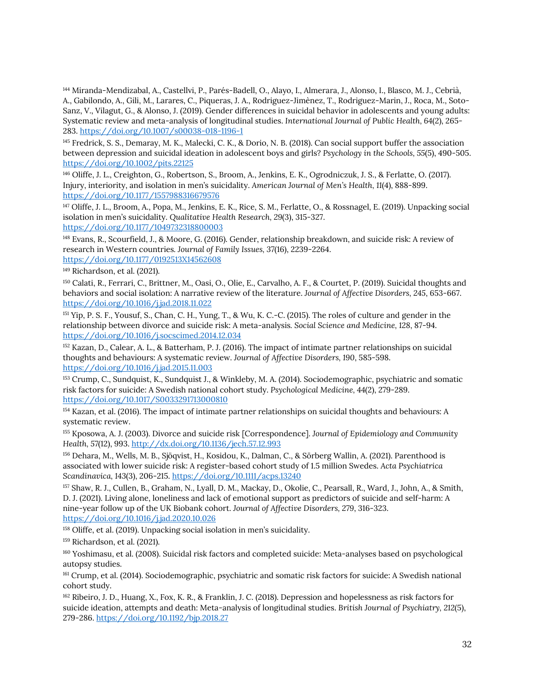<sup>144</sup> Miranda-Mendizabal, A., Castellvi, P., Parés-Badell, O., Alayo, I., Almerara, J., Alonso, I., Blasco, M. J., Cebrià, A., Gabilondo, A., Gili, M., Larares, C., Piqueras, J. A., Rodriguez-Jimènez, T., Rodriguez-Marin, J., Roca, M., Soto-Sanz, V., Vilagut, G., & Alonso, J. (2019). Gender differences in suicidal behavior in adolescents and young adults: Systematic review and meta-analysis of longitudinal studies. *International Journal of Public Health, 64*(2), 265- 283. <https://doi.org/10.1007/s00038-018-1196-1>

<sup>145</sup> Fredrick, S. S., Demaray, M. K., Malecki, C. K., & Dorio, N. B. (2018). Can social support buffer the association between depression and suicidal ideation in adolescent boys and girls? *Psychology in the Schools, 55*(5), 490-505. <https://doi.org/10.1002/pits.22125>

<sup>146</sup> Oliffe, J. L., Creighton, G., Robertson, S., Broom, A., Jenkins, E. K., Ogrodniczuk, J. S., & Ferlatte, O. (2017). Injury, interiority, and isolation in men's suicidality. *American Journal of Men's Health, 11*(4), 888-899. <https://doi.org/10.1177/1557988316679576>

<span id="page-36-0"></span><sup>147</sup> Oliffe, J. L., Broom, A., Popa, M., Jenkins, E. K., Rice, S. M., Ferlatte, O., & Rossnagel, E. (2019). Unpacking social isolation in men's suicidality. *Qualitative Health Research, 29*(3), 315-327.

<https://doi.org/10.1177/1049732318800003>

<span id="page-36-1"></span><sup>148</sup> Evans, R., Scourfield, J., & Moore, G. (2016). Gender, relationship breakdown, and suicide risk: A review of research in Western countries*. Journal of Family Issues, 37*(16), 2239-2264. <https://doi.org/10.1177/0192513X14562608>

<span id="page-36-2"></span><sup>149</sup> Richardson, et al. (2021).

<sup>150</sup> Calati, R., Ferrari, C., Brittner, M., Oasi, O., Olie, E., Carvalho, A. F., & Courtet, P. (2019). Suicidal thoughts and behaviors and social isolation: A narrative review of the literature. *Journal of Affective Disorders, 245*, 653-667. <https://doi.org/10.1016/j.jad.2018.11.022>

<sup>151</sup> Yip, P. S. F., Yousuf, S., Chan, C. H., Yung, T., & Wu, K. C.-C. (2015). The roles of culture and gender in the relationship between divorce and suicide risk: A meta-analysis*. Social Science and Medicine, 128*, 87-94. <https://doi.org/10.1016/j.socscimed.2014.12.034>

<sup>152</sup> Kazan, D., Calear, A. L., & Batterham, P. J. (2016). The impact of intimate partner relationships on suicidal thoughts and behaviours: A systematic review. *Journal of Affective Disorders, 190*, 585-598. <https://doi.org/10.1016/j.jad.2015.11.003>

<span id="page-36-3"></span><sup>153</sup> Crump, C., Sundquist, K., Sundquist J., & Winkleby, M. A. (2014). Sociodemographic, psychiatric and somatic risk factors for suicide: A Swedish national cohort study. *Psychological Medicine, 44*(2), 279-289. <https://doi.org/10.1017/S0033291713000810>

<span id="page-36-4"></span><sup>154</sup> Kazan, et al. (2016). The impact of intimate partner relationships on suicidal thoughts and behaviours: A systematic review.

<span id="page-36-5"></span><sup>155</sup> Kposowa, A. J. (2003). Divorce and suicide risk [Correspondence]. *Journal of Epidemiology and Community Health, 57*(12), 993. <http://dx.doi.org/10.1136/jech.57.12.993>

<span id="page-36-6"></span><sup>156</sup> Dehara, M., Wells, M. B., Sjöqvist, H., Kosidou, K., Dalman, C., & Sörberg Wallin, A. (2021). Parenthood is associated with lower suicide risk: A register‐based cohort study of 1.5 million Swedes. *Acta Psychiatrica Scandinavica, 143*(3), 206-215. <https://doi.org/10.1111/acps.13240>

<span id="page-36-7"></span><sup>157</sup> Shaw, R. J., Cullen, B., Graham, N., Lyall, D. M., Mackay, D., Okolie, C., Pearsall, R., Ward, J., John, A., & Smith, D. J. (2021). Living alone, loneliness and lack of emotional support as predictors of suicide and self-harm: A nine-year follow up of the UK Biobank cohort. *Journal of Affective Disorders, 279*, 316-323. <https://doi.org/10.1016/j.jad.2020.10.026>

<span id="page-36-8"></span><sup>158</sup> Oliffe, et al. (2019). Unpacking social isolation in men's suicidality.

<span id="page-36-9"></span><sup>159</sup> Richardson, et al. (2021).

<sup>160</sup> Yoshimasu, et al. (2008). Suicidal risk factors and completed suicide: Meta-analyses based on psychological autopsy studies.

<sup>161</sup> Crump, et al. (2014). Sociodemographic, psychiatric and somatic risk factors for suicide: A Swedish national cohort study.

<sup>162</sup> Ribeiro, J. D., Huang, X., Fox, K. R., & Franklin, J. C. (2018). Depression and hopelessness as risk factors for suicide ideation, attempts and death: Meta-analysis of longitudinal studies. *British Journal of Psychiatry, 212*(5), 279-286. <https://doi.org/10.1192/bjp.2018.27>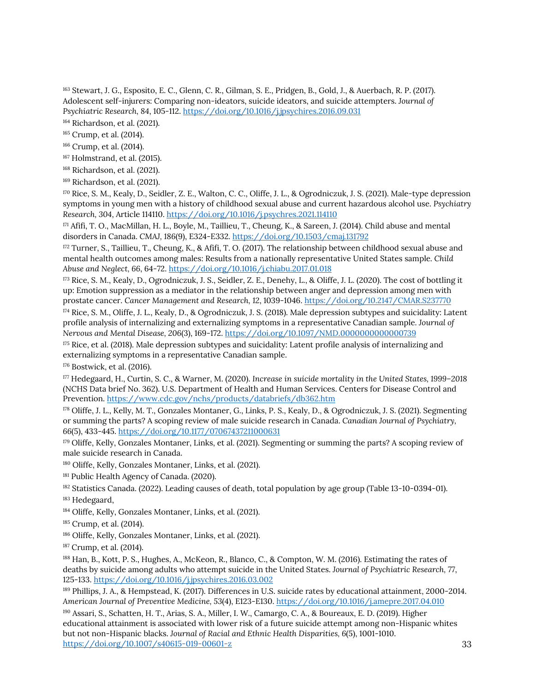<span id="page-37-0"></span><sup>163</sup> Stewart, J. G., Esposito, E. C., Glenn, C. R., Gilman, S. E., Pridgen, B., Gold, J., & Auerbach, R. P. (2017). Adolescent self-injurers: Comparing non-ideators, suicide ideators, and suicide attempters. *Journal of Psychiatric Research, 84*, 105-112. <https://doi.org/10.1016/j.jpsychires.2016.09.031>

<span id="page-37-1"></span><sup>164</sup> Richardson, et al. (2021).

<span id="page-37-2"></span><sup>165</sup> Crump, et al. (2014).

- <span id="page-37-3"></span><sup>166</sup> Crump, et al. (2014).
- <span id="page-37-4"></span><sup>167</sup> Holmstrand, et al. (2015).
- <span id="page-37-5"></span><sup>168</sup> Richardson, et al. (2021).
- <span id="page-37-6"></span><sup>169</sup> Richardson, et al. (2021).

<sup>170</sup> Rice, S. M., Kealy, D., Seidler, Z. E., Walton, C. C., Oliffe, J. L., & Ogrodniczuk, J. S. (2021). Male-type depression symptoms in young men with a history of childhood sexual abuse and current hazardous alcohol use. *Psychiatry Research, 304*, Article 114110. <https://doi.org/10.1016/j.psychres.2021.114110>

<sup>171</sup> Afifi, T. O., MacMillan, H. L., Boyle, M., Taillieu, T., Cheung, K., & Sareen, J. (2014). Child abuse and mental disorders in Canada. *CMAJ, 186*(9), E324-E332. <https://doi.org/10.1503/cmaj.131792>

<sup>172</sup> Turner, S., Taillieu, T., Cheung, K., & Afifi, T. O. (2017). The relationship between childhood sexual abuse and mental health outcomes among males: Results from a nationally representative United States sample*. Child Abuse and Neglect, 66*, 64-72. <https://doi.org/10.1016/j.chiabu.2017.01.018>

<span id="page-37-7"></span><sup>173</sup> Rice, S. M., Kealy, D., Ogrodniczuk, J. S., Seidler, Z. E., Denehy, L., & Oliffe, J. L. (2020). The cost of bottling it up: Emotion suppression as a mediator in the relationship between anger and depression among men with prostate cancer. *Cancer Management and Research, 12*, 1039-1046. <https://doi.org/10.2147/CMAR.S237770>

<span id="page-37-8"></span>174 Rice, S. M., Oliffe, J. L., Kealy, D., & Ogrodniczuk, J. S. (2018). Male depression subtypes and suicidality: Latent profile analysis of internalizing and externalizing symptoms in a representative Canadian sample. *Journal of Nervous and Mental Disease, 206*(3), 169-172. <https://doi.org/10.1097/NMD.0000000000000739>

<span id="page-37-9"></span><sup>175</sup> Rice, et al. (2018). Male depression subtypes and suicidality: Latent profile analysis of internalizing and externalizing symptoms in a representative Canadian sample.

<span id="page-37-10"></span><sup>176</sup> Bostwick, et al. (2016).

<sup>177</sup> Hedegaard, H., Curtin, S. C., & Warner, M. (2020). *Increase in suicide mortality in the United States, 1999–2018* (NCHS Data brief No. 362). U.S. Department of Health and Human Services. Centers for Disease Control and Prevention. <https://www.cdc.gov/nchs/products/databriefs/db362.htm>

<span id="page-37-11"></span><sup>178</sup> Oliffe, J. L., Kelly, M. T., Gonzales Montaner, G., Links, P. S., Kealy, D., & Ogrodniczuk, J. S. (2021). Segmenting or summing the parts? A scoping review of male suicide research in Canada. *Canadian Journal of Psychiatry, 66*(5), 433-445. <https://doi.org/10.1177/07067437211000631>

<span id="page-37-12"></span><sup>179</sup> Oliffe, Kelly, Gonzales Montaner, Links, et al. (2021). Segmenting or summing the parts? A scoping review of male suicide research in Canada.

<span id="page-37-13"></span><sup>180</sup> Oliffe, Kelly, Gonzales Montaner, Links, et al. (2021).

<span id="page-37-14"></span><sup>181</sup> Public Health Agency of Canada. (2020).

<sup>182</sup> Statistics Canada. (2022). Leading causes of death, total population by age group (Table 13-10-0394-01).

<span id="page-37-15"></span><sup>183</sup> Hedegaard,

<span id="page-37-16"></span><sup>184</sup> Oliffe, Kelly, Gonzales Montaner, Links, et al. (2021).

<span id="page-37-17"></span><sup>185</sup> Crump, et al. (2014).

<span id="page-37-18"></span><sup>186</sup> Oliffe, Kelly, Gonzales Montaner, Links, et al. (2021).

<span id="page-37-19"></span><sup>187</sup> Crump, et al. (2014).

<sup>188</sup> Han, B., Kott, P. S., Hughes, A., McKeon, R., Blanco, C., & Compton, W. M. (2016). Estimating the rates of deaths by suicide among adults who attempt suicide in the United States. *Journal of Psychiatric Research, 77*, 125-133. <https://doi.org/10.1016/j.jpsychires.2016.03.002>

<sup>189</sup> Phillips, J. A., & Hempstead, K. (2017). Differences in U.S. suicide rates by educational attainment, 2000-2014. *American Journal of Preventive Medicine, 53*(4), E123-E130. <https://doi.org/10.1016/j.amepre.2017.04.010>

<span id="page-37-20"></span><sup>190</sup> Assari, S., Schatten, H. T., Arias, S. A., Miller, I. W., Camargo, C. A., & Boureaux, E. D. (2019). Higher educational attainment is associated with lower risk of a future suicide attempt among non-Hispanic whites but not non-Hispanic blacks. *Journal of Racial and Ethnic Health Disparities, 6*(5), 1001-1010. <https://doi.org/10.1007/s40615-019-00601-z>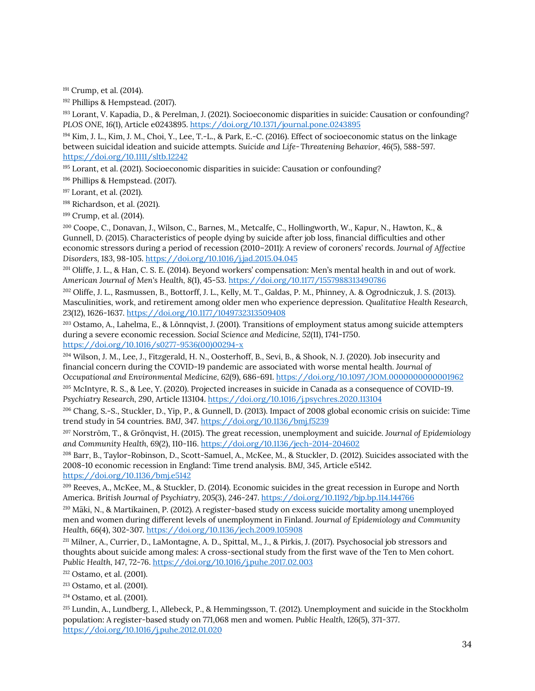<span id="page-38-0"></span><sup>191</sup> Crump, et al. (2014).

<sup>192</sup> Phillips & Hempstead. (2017).

<sup>193</sup> Lorant, V. Kapadia, D., & Perelman, J. (2021). Socioeconomic disparities in suicide: Causation or confounding*? PLOS ONE, 16*(1), Article e0243895. <https://doi.org/10.1371/journal.pone.0243895>

<span id="page-38-1"></span>194 Kim, J. L., Kim, J. M., Choi, Y., Lee, T.-L., & Park, E.-C. (2016). Effect of socioeconomic status on the linkage between suicidal ideation and suicide attempts. *Suicide and Life‐Threatening Behavior, 46*(5), 588-597. <https://doi.org/10.1111/sltb.12242>

<span id="page-38-2"></span><sup>195</sup> Lorant, et al. (2021). Socioeconomic disparities in suicide: Causation or confounding*?*

<span id="page-38-3"></span><sup>196</sup> Phillips & Hempstead. (2017).

<span id="page-38-4"></span><sup>197</sup> Lorant, et al. (2021).

<span id="page-38-5"></span><sup>198</sup> Richardson, et al. (2021).

<sup>199</sup> Crump, et al. (2014).

<sup>200</sup> Coope, C., Donavan, J., Wilson, C., Barnes, M., Metcalfe, C., Hollingworth, W., Kapur, N., Hawton, K., & Gunnell, D. (2015). Characteristics of people dying by suicide after job loss, financial difficulties and other economic stressors during a period of recession (2010–2011): A review of coroners' records. *Journal of Affective Disorders, 183*, 98-105. <https://doi.org/10.1016/j.jad.2015.04.045>

<sup>201</sup> Oliffe, J. L., & Han, C. S. E. (2014). Beyond workers' compensation: Men's mental health in and out of work. *American Journal of Men's Health, 8*(1), 45-53. <https://doi.org/10.1177/1557988313490786>

<sup>202</sup> Oliffe, J. L., Rasmussen, B., Bottorff, J. L., Kelly, M. T., Galdas, P. M., Phinney, A. & Ogrodniczuk, J. S. (2013). Masculinities, work, and retirement among older men who experience depression. *Qualitative Health Research, 23*(12), 1626-1637. <https://doi.org/10.1177/1049732313509408>

<sup>203</sup> Ostamo, A., Lahelma, E., & Lönnqvist, J. (2001). Transitions of employment status among suicide attempters during a severe economic recession*. Social Science and Medicine, 52*(11), 1741-1750. [https://doi.org/10.1016/s0277-9536\(00\)00294-x](https://doi.org/10.1016/s0277-9536(00)00294-x)

<sup>204</sup> Wilson, J. M., Lee, J., Fitzgerald, H. N., Oosterhoff, B., Sevi, B., & Shook, N. J. (2020). Job insecurity and financial concern during the COVID-19 pandemic are associated with worse mental health. *Journal of Occupational and Environmental Medicine, 62*(9), 686-691. <https://doi.org/10.1097/JOM.0000000000001962>

<sup>205</sup> McIntyre, R. S., & Lee, Y. (2020). Projected increases in suicide in Canada as a consequence of COVID-19. *Psychiatry Research, 290*, Article 113104. <https://doi.org/10.1016/j.psychres.2020.113104>

<sup>206</sup> Chang, S.-S., Stuckler, D., Yip, P., & Gunnell, D. (2013). Impact of 2008 global economic crisis on suicide: Time trend study in 54 countries. *BMJ, 347*. <https://doi.org/10.1136/bmj.f5239>

<sup>207</sup> Norström, T., & Grönqvist, H. (2015). The great recession, unemployment and suicide*. Journal of Epidemiology and Community Health, 69*(2), 110-116. <https://doi.org/10.1136/jech-2014-204602>

<sup>208</sup> Barr, B., Taylor-Robinson, D., Scott-Samuel, A., McKee, M., & Stuckler, D. (2012). Suicides associated with the 2008-10 economic recession in England: Time trend analysis. *BMJ, 345*, Article e5142. <https://doi.org/10.1136/bmj.e5142>

<span id="page-38-6"></span><sup>209</sup> Reeves, A., McKee, M., & Stuckler, D. (2014). Economic suicides in the great recession in Europe and North America. *British Journal of Psychiatry, 205*(3), 246-247. <https://doi.org/10.1192/bjp.bp.114.144766>

<span id="page-38-7"></span><sup>210</sup> Mäki, N., & Martikainen, P. (2012). A register-based study on excess suicide mortality among unemployed men and women during different levels of unemployment in Finland. *Journal of Epidemiology and Community Health, 66*(4), 302-307. <https://doi.org/10.1136/jech.2009.105908>

<span id="page-38-8"></span><sup>211</sup> Milner, A., Currier, D., LaMontagne, A. D., Spittal, M., J., & Pirkis, J. (2017). Psychosocial job stressors and thoughts about suicide among males: A cross-sectional study from the first wave of the Ten to Men cohort. *Public Health, 147*, 72-76. <https://doi.org/10.1016/j.puhe.2017.02.003>

<span id="page-38-9"></span><sup>212</sup> Ostamo, et al. (2001).

<span id="page-38-10"></span><sup>213</sup> Ostamo, et al. (2001).

<span id="page-38-11"></span><sup>214</sup> Ostamo, et al. (2001).

<span id="page-38-12"></span><sup>215</sup> Lundin, A., Lundberg, I., Allebeck, P., & Hemmingsson, T. (2012). Unemployment and suicide in the Stockholm population: A register-based study on 771,068 men and women. *Public Health, 126*(5), 371-377. <https://doi.org/10.1016/j.puhe.2012.01.020>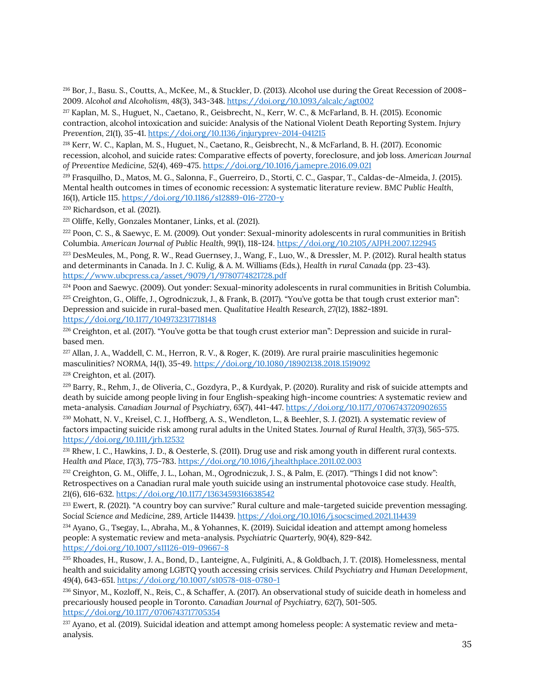<sup>216</sup> Bor, J., Basu. S., Coutts, A., McKee, M., & Stuckler, D. (2013). Alcohol use during the Great Recession of 2008– 2009. *Alcohol and Alcoholism, 48*(3), 343-348. <https://doi.org/10.1093/alcalc/agt002>

<sup>217</sup> Kaplan, M. S., Huguet, N., Caetano, R., Geisbrecht, N., Kerr, W. C., & McFarland, B. H. (2015). Economic contraction, alcohol intoxication and suicide: Analysis of the National Violent Death Reporting System. *Injury Prevention, 21*(1), 35-41. <https://doi.org/10.1136/injuryprev-2014-041215>

<sup>218</sup> Kerr, W. C., Kaplan, M. S., Huguet, N., Caetano, R., Geisbrecht, N., & McFarland, B. H. (2017). Economic recession, alcohol, and suicide rates: Comparative effects of poverty, foreclosure, and job loss. *American Journal of Preventive Medicine, 52*(4), 469-475. <https://doi.org/10.1016/j.amepre.2016.09.021>

<span id="page-39-0"></span><sup>219</sup> Frasquilho, D., Matos, M. G., Salonna, F., Guerreiro, D., Storti, C. C., Gaspar, T., Caldas-de-Almeida, J. (2015). Mental health outcomes in times of economic recession: A systematic literature review. *BMC Public Health, 16*(1), Article 115. <https://doi.org/10.1186/s12889-016-2720-y>

<span id="page-39-1"></span><sup>220</sup> Richardson, et al. (2021).

<span id="page-39-2"></span><sup>221</sup> Oliffe, Kelly, Gonzales Montaner, Links, et al. (2021).

<sup>222</sup> Poon, C. S., & Saewyc, E. M. (2009). Out yonder: Sexual-minority adolescents in rural communities in British Columbia. *American Journal of Public Health, 99*(1), 118-124. <https://doi.org/10.2105/AJPH.2007.122945>

<span id="page-39-3"></span><sup>223</sup> DesMeules, M., Pong, R. W., Read Guernsey, J., Wang, F., Luo, W., & Dressler, M. P. (2012). Rural health status and determinants in Canada. In J. C. Kulig, & A. M. Williams (Eds.), *Health in rural Canada* (pp. 23-43). <https://www.ubcpress.ca/asset/9079/1/9780774821728.pdf>

<span id="page-39-5"></span><span id="page-39-4"></span><sup>224</sup> Poon and Saewyc. (2009). Out yonder: Sexual-minority adolescents in rural communities in British Columbia. <sup>225</sup> Creighton, G., Oliffe, J., Ogrodniczuk, J., & Frank, B. (2017). "You've gotta be that tough crust exterior man": Depression and suicide in rural-based men. *Qualitative Health Research, 27*(12), 1882-1891. <https://doi.org/10.1177/1049732317718148>

<span id="page-39-6"></span><sup>226</sup> Creighton, et al. (2017). "You've gotta be that tough crust exterior man": Depression and suicide in ruralbased men.

<span id="page-39-7"></span><sup>227</sup> Allan, J. A., Waddell, C. M., Herron, R. V., & Roger, K. (2019). Are rural prairie masculinities hegemonic masculinities? *NORMA, 14*(1), 35-49.<https://doi.org/10.1080/18902138.2018.1519092>

<span id="page-39-8"></span> $228$  Creighton, et al. (2017).

<sup>229</sup> Barry, R., Rehm, J., de Oliveria, C., Gozdyra, P., & Kurdyak, P. (2020). Rurality and risk of suicide attempts and death by suicide among people living in four English-speaking high-income countries: A systematic review and meta-analysis. *Canadian Journal of Psychiatry, 65*(7), 441-447. <https://doi.org/10.1177/0706743720902655>

<sup>230</sup> Mohatt, N. V., Kreisel, C. J., Hoffberg, A. S., Wendleton, L., & Beehler, S. J. (2021). A systematic review of factors impacting suicide risk among rural adults in the United States. *Journal of Rural Health, 37*(3), 565-575. <https://doi.org/10.1111/jrh.12532>

<sup>231</sup> Rhew, I. C., Hawkins, J. D., & Oesterle, S. (2011). Drug use and risk among youth in different rural contexts. *Health and Place, 17*(3), 775-783. <https://doi.org/10.1016/j.healthplace.2011.02.003>

<sup>232</sup> Creighton, G. M., Oliffe, J. L., Lohan, M., Ogrodniczuk, J. S., & Palm, E. (2017). "Things I did not know": Retrospectives on a Canadian rural male youth suicide using an instrumental photovoice case study*. Health, 21*(6), 616-632. <https://doi.org/10.1177/1363459316638542>

<span id="page-39-9"></span><sup>233</sup> Ewert, R. (2021). "A country boy can survive:" Rural culture and male-targeted suicide prevention messaging. *Social Science and Medicine, 289,* Article 114439. <https://doi.org/10.1016/j.socscimed.2021.114439>

<span id="page-39-10"></span><sup>234</sup> Ayano, G., Tsegay, L., Abraha, M., & Yohannes, K. (2019). Suicidal ideation and attempt among homeless people: A systematic review and meta-analysis. *Psychiatric Quarterly, 90*(4), 829-842. <https://doi.org/10.1007/s11126-019-09667-8>

<sup>235</sup> Rhoades, H., Rusow, J. A., Bond, D., Lanteigne, A., Fulginiti, A., & Goldbach, J. T. (2018). Homelessness, mental health and suicidality among LGBTQ youth accessing crisis services. *Child Psychiatry and Human Development, 49*(4), 643-651. <https://doi.org/10.1007/s10578-018-0780-1>

<span id="page-39-11"></span><sup>236</sup> Sinyor, M., Kozloff, N., Reis, C., & Schaffer, A. (2017). An observational study of suicide death in homeless and precariously housed people in Toronto. *Canadian Journal of Psychiatry, 62*(7), 501-505. <https://doi.org/10.1177/0706743717705354>

<span id="page-39-12"></span><sup>237</sup> Ayano, et al. (2019). Suicidal ideation and attempt among homeless people: A systematic review and metaanalysis.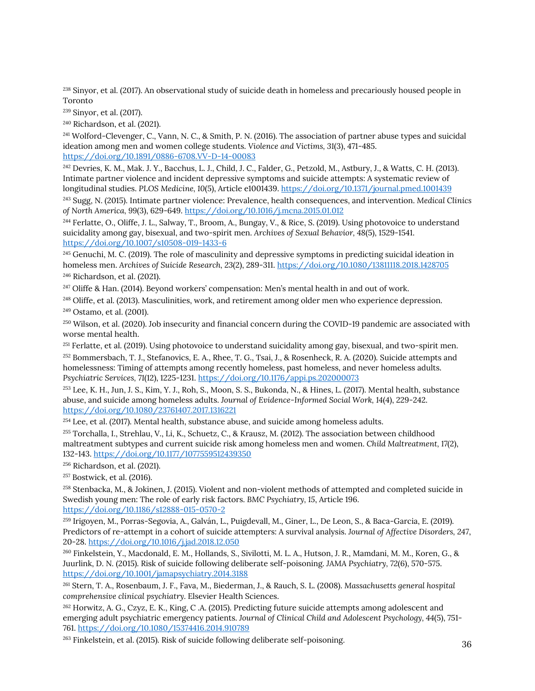<span id="page-40-0"></span><sup>238</sup> Sinyor, et al. (2017). An observational study of suicide death in homeless and precariously housed people in Toronto

<span id="page-40-1"></span><sup>239</sup> Sinyor, et al. (2017).

<span id="page-40-2"></span><sup>240</sup> Richardson, et al. (2021).

<sup>241</sup> Wolford-Clevenger, C., Vann, N. C., & Smith, P. N. (2016). The association of partner abuse types and suicidal ideation among men and women college students. *Violence and Victims, 31*(3), 471-485. <https://doi.org/10.1891/0886-6708.VV-D-14-00083>

<sup>242</sup> Devries, K. M., Mak. J. Y., Bacchus, L. J., Child, J. C., Falder, G., Petzold, M., Astbury, J., & Watts, C. H. (2013). Intimate partner violence and incident depressive symptoms and suicide attempts: A systematic review of longitudinal studies. *PLOS Medicine, 10*(5), Article e1001439.<https://doi.org/10.1371/journal.pmed.1001439>

<sup>243</sup> Sugg, N. (2015). Intimate partner violence: Prevalence, health consequences, and intervention. *Medical Clinics of North America, 99*(3), 629-649. <https://doi.org/10.1016/j.mcna.2015.01.012>

<span id="page-40-3"></span><sup>244</sup> Ferlatte, O., Oliffe, J. L., Salway, T., Broom, A., Bungay, V., & Rice, S. (2019). Using photovoice to understand suicidality among gay, bisexual, and two-spirit men. *Archives of Sexual Behavior, 48*(5), 1529-1541. <https://doi.org/10.1007/s10508-019-1433-6>

<span id="page-40-4"></span><sup>245</sup> Genuchi, M. C. (2019). The role of masculinity and depressive symptoms in predicting suicidal ideation in homeless men. *Archives of Suicide Research, 23*(2), 289-311. <https://doi.org/10.1080/13811118.2018.1428705> <sup>246</sup> Richardson, et al. (2021).

<span id="page-40-5"></span><sup>247</sup> Oliffe & Han. (2014). Beyond workers' compensation: Men's mental health in and out of work.

<sup>248</sup> Oliffe, et al. (2013). Masculinities, work, and retirement among older men who experience depression.

<sup>249</sup> Ostamo, et al. (2001).

<sup>250</sup> Wilson, et al. (2020). Job insecurity and financial concern during the COVID-19 pandemic are associated with worse mental health.

<sup>251</sup> Ferlatte, et al. (2019). Using photovoice to understand suicidality among gay, bisexual, and two-spirit men.

<sup>252</sup> Bommersbach, T. J., Stefanovics, E. A., Rhee, T. G., Tsai, J., & Rosenheck, R. A. (2020). Suicide attempts and homelessness: Timing of attempts among recently homeless, past homeless, and never homeless adults. *Psychiatric Services, 71*(12), 1225-1231. <https://doi.org/10.1176/appi.ps.202000073>

<span id="page-40-6"></span><sup>253</sup> Lee, K. H., Jun, J. S., Kim, Y. J., Roh, S., Moon, S. S., Bukonda, N., & Hines, L. (2017). Mental health, substance abuse, and suicide among homeless adults. *Journal of Evidence-Informed Social Work, 14*(4), 229-242. <https://doi.org/10.1080/23761407.2017.1316221>

<span id="page-40-7"></span><sup>254</sup> Lee, et al. (2017). Mental health, substance abuse, and suicide among homeless adults.

<span id="page-40-8"></span><sup>255</sup> Torchalla, I., Strehlau, V., Li, K., Schuetz, C., & Krausz, M. (2012). The association between childhood maltreatment subtypes and current suicide risk among homeless men and women. *Child Maltreatment, 17*(2), 132-143. <https://doi.org/10.1177/1077559512439350>

<span id="page-40-9"></span><sup>256</sup> Richardson, et al. (2021).

<sup>257</sup> Bostwick, et al. (2016).

<sup>258</sup> Stenbacka, M., & Jokinen, J. (2015). Violent and non-violent methods of attempted and completed suicide in Swedish young men: The role of early risk factors. *BMC Psychiatry, 15*, Article 196. <https://doi.org/10.1186/s12888-015-0570-2>

<sup>259</sup> Irigoyen, M., Porras-Segovia, A., Galván, L., Puigdevall, M., Giner, L., De Leon, S., & Baca-Garcia, E. (2019). Predictors of re-attempt in a cohort of suicide attempters: A survival analysis. *Journal of Affective Disorders, 247*, 20-28. <https://doi.org/10.1016/j.jad.2018.12.050>

<sup>260</sup> Finkelstein, Y., Macdonald, E. M., Hollands, S., Sivilotti, M. L. A., Hutson, J. R., Mamdani, M. M., Koren, G., & Juurlink, D. N. (2015). Risk of suicide following deliberate self-poisoning. *JAMA Psychiatry, 72*(6), 570-575. <https://doi.org/10.1001/jamapsychiatry.2014.3188>

<sup>261</sup> Stern, T. A., Rosenbaum, J. F., Fava, M., Biederman, J., & Rauch, S. L. (2008). *Massachusetts general hospital comprehensive clinical psychiatry.* Elsevier Health Sciences.

<sup>262</sup> Horwitz, A. G., Czyz, E. K., King, C .A. (2015). Predicting future suicide attempts among adolescent and emerging adult psychiatric emergency patients. *Journal of Clinical Child and Adolescent Psychology, 44*(5), 751- 761. <https://doi.org/10.1080/15374416.2014.910789>

<span id="page-40-10"></span><sup>263</sup> Finkelstein, et al. (2015). Risk of suicide following deliberate self-poisoning.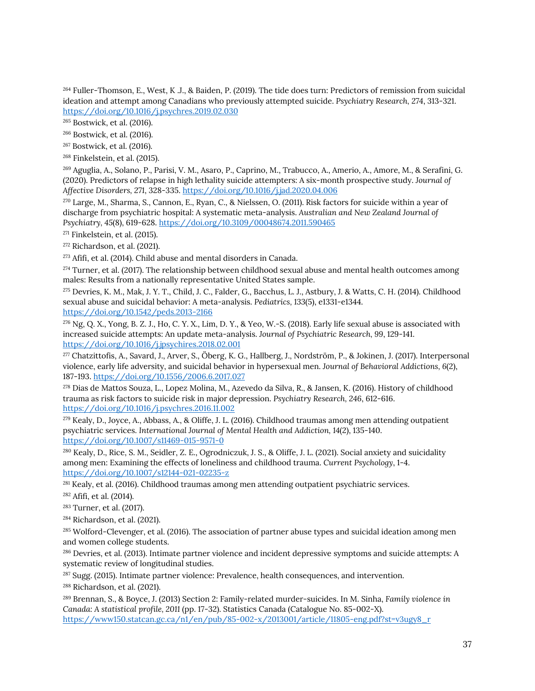<span id="page-41-0"></span><sup>264</sup> Fuller-Thomson, E., West, K .J., & Baiden, P. (2019). The tide does turn: Predictors of remission from suicidal ideation and attempt among Canadians who previously attempted suicide. *Psychiatry Research, 274*, 313-321. <https://doi.org/10.1016/j.psychres.2019.02.030>

<span id="page-41-1"></span><sup>265</sup> Bostwick, et al. (2016).

<span id="page-41-2"></span><sup>266</sup> Bostwick, et al. (2016).

<span id="page-41-3"></span><sup>267</sup> Bostwick, et al. (2016).

<sup>268</sup> Finkelstein, et al. (2015).

<sup>269</sup> Aguglia, A., Solano, P., Parisi, V. M., Asaro, P., Caprino, M., Trabucco, A., Amerio, A., Amore, M., & Serafini, G. (2020). Predictors of relapse in high lethality suicide attempters: A six-month prospective study. *Journal of Affective Disorders, 271*, 328-335. <https://doi.org/10.1016/j.jad.2020.04.006>

<span id="page-41-4"></span><sup>270</sup> Large, M., Sharma, S., Cannon, E., Ryan, C., & Nielssen, O. (2011). Risk factors for suicide within a year of discharge from psychiatric hospital: A systematic meta-analysis. *Australian and New Zealand Journal of Psychiatry, 45*(8), 619-628. <https://doi.org/10.3109/00048674.2011.590465>

<span id="page-41-5"></span> $271$  Finkelstein, et al. (2015).

<span id="page-41-6"></span><sup>272</sup> Richardson, et al. (2021).

 $273$  Afifi, et al. (2014). Child abuse and mental disorders in Canada.

 $274$  Turner, et al. (2017). The relationship between childhood sexual abuse and mental health outcomes among males: Results from a nationally representative United States sample.

<sup>275</sup> Devries, K. M., Mak, J. Y. T., Child, J. C., Falder, G., Bacchus, L. J., Astbury, J. & Watts, C. H. (2014). Childhood sexual abuse and suicidal behavior: A meta-analysis. *Pediatrics, 133*(5), e1331-e1344. <https://doi.org/10.1542/peds.2013-2166>

 $^{276}$  Ng, O. X., Yong, B. Z. J., Ho, C. Y. X., Lim, D. Y., & Yeo, W.-S. (2018). Early life sexual abuse is associated with increased suicide attempts: An update meta-analysis. *Journal of Psychiatric Research, 99*, 129-141. <https://doi.org/10.1016/j.jpsychires.2018.02.001>

 $277$  Chatzittofis, A., Savard, J., Arver, S., Öberg, K. G., Hallberg, J., Nordström, P., & Jokinen, J. (2017). Interpersonal violence, early life adversity, and suicidal behavior in hypersexual men. *Journal of Behavioral Addictions, 6*(2), 187-193. <https://doi.org/10.1556/2006.6.2017.027>

<sup>278</sup> Dias de Mattos Souza, L., Lopez Molina, M., Azevedo da Silva, R., & Jansen, K. (2016). History of childhood trauma as risk factors to suicide risk in major depression. *Psychiatry Research, 246*, 612-616. <https://doi.org/10.1016/j.psychres.2016.11.002>

<sup>279</sup> Kealy, D., Joyce, A., Abbass, A., & Oliffe, J. L. (2016). Childhood traumas among men attending outpatient psychiatric services. *International Journal of Mental Health and Addiction, 14*(2), 135-140. <https://doi.org/10.1007/s11469-015-9571-0>

<span id="page-41-7"></span><sup>280</sup> Kealy, D., Rice, S. M., Seidler, Z. E., Ogrodniczuk, J. S., & Oliffe, J. L. (2021). Social anxiety and suicidality among men: Examining the effects of loneliness and childhood trauma. *Current Psychology*, 1-4. <https://doi.org/10.1007/s12144-021-02235-z>

<span id="page-41-8"></span><sup>281</sup> Kealy, et al. (2016). Childhood traumas among men attending outpatient psychiatric services.

<span id="page-41-9"></span><sup>282</sup> Afifi, et al. (2014).

<span id="page-41-10"></span><sup>283</sup> Turner, et al. (2017).

<span id="page-41-11"></span><sup>284</sup> Richardson, et al. (2021).

<sup>285</sup> Wolford-Clevenger, et al. (2016). The association of partner abuse types and suicidal ideation among men and women college students.

<sup>286</sup> Devries, et al. (2013). Intimate partner violence and incident depressive symptoms and suicide attempts: A systematic review of longitudinal studies.

<span id="page-41-12"></span><sup>287</sup> Sugg. (2015). Intimate partner violence: Prevalence, health consequences, and intervention.

<span id="page-41-13"></span><sup>288</sup> Richardson, et al. (2021).

<span id="page-41-14"></span><sup>289</sup> Brennan, S., & Boyce, J. (2013) Section 2: Family-related murder-suicides. In M. Sinha, *Family violence in Canada: A statistical profile, 2011* (pp. 17-32). Statistics Canada (Catalogue No. 85-002-X). [https://www150.statcan.gc.ca/n1/en/pub/85-002-x/2013001/article/11805-eng.pdf?st=v3ugy8\\_r](https://www150.statcan.gc.ca/n1/en/pub/85-002-x/2013001/article/11805-eng.pdf?st=v3ugy8_r)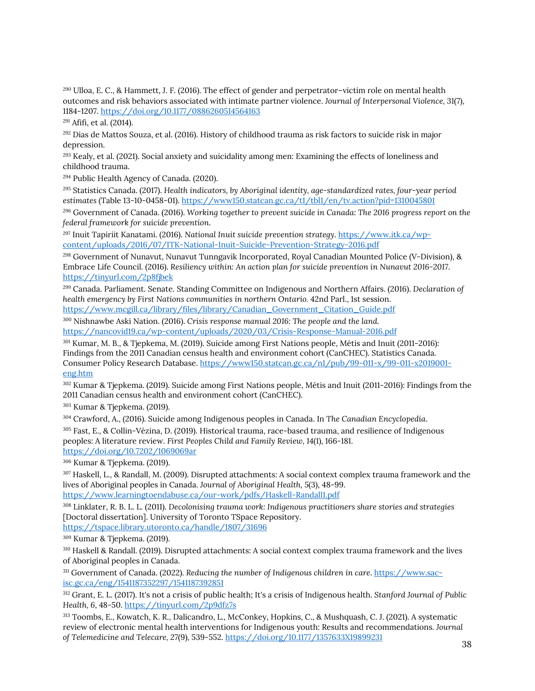<span id="page-42-0"></span><sup>290</sup> Ulloa, E. C., & Hammett, J. F. (2016). The effect of gender and perpetrator–victim role on mental health outcomes and risk behaviors associated with intimate partner violence. *Journal of Interpersonal Violence, 31*(7), 1184-1207.<https://doi.org/10.1177/0886260514564163>

<span id="page-42-1"></span><sup>291</sup> Afifi, et al. (2014).

<sup>292</sup> Dias de Mattos Souza, et al. (2016). History of childhood trauma as risk factors to suicide risk in major depression.

<span id="page-42-2"></span><sup>293</sup> Kealy, et al. (2021). Social anxiety and suicidality among men: Examining the effects of loneliness and childhood trauma.

<span id="page-42-3"></span><sup>294</sup> Public Health Agency of Canada. (2020).

<span id="page-42-4"></span><sup>295</sup> Statistics Canada. (2017). *Health indicators, by Aboriginal identity, age-standardized rates, four-year period estimates* (Table 13-10-0458-01). <https://www150.statcan.gc.ca/t1/tbl1/en/tv.action?pid=1310045801>

<span id="page-42-5"></span><sup>296</sup> Government of Canada. (2016). *Working together to prevent suicide in Canada: The 2016 progress report on the federal framework for suicide prevention*.

<sup>297</sup> Inuit Tapiriit Kanatami. (2016). *National Inuit suicide prevention strategy*[. https://www.itk.ca/wp](https://www.itk.ca/wp-content/uploads/2016/07/ITK-National-Inuit-Suicide-Prevention-Strategy-2016.pdf)[content/uploads/2016/07/ITK-National-Inuit-Suicide-Prevention-Strategy-2016.pdf](https://www.itk.ca/wp-content/uploads/2016/07/ITK-National-Inuit-Suicide-Prevention-Strategy-2016.pdf)

<sup>298</sup> Government of Nunavut, Nunavut Tunngavik Incorporated, Royal Canadian Mounted Police (V-Division), & Embrace Life Council. (2016). *Resiliency within: An action plan for suicide prevention in Nunavut 2016-2017*. <https://tinyurl.com/2p8fjbek>

<sup>299</sup> Canada. Parliament. Senate. Standing Committee on Indigenous and Northern Affairs. (2016). *Declaration of health emergency by First Nations communities in northern Ontario. 42nd Parl., 1st session.* [https://www.mcgill.ca/library/files/library/Canadian\\_Government\\_Citation\\_Guide.pdf](https://www.mcgill.ca/library/files/library/Canadian_Government_Citation_Guide.pdf)

<span id="page-42-6"></span><sup>300</sup> Nishnawbe Aski Nation. (2016). *Crisis response manual 2016: The people and the land.* <https://nancovid19.ca/wp-content/uploads/2020/03/Crisis-Response-Manual-2016.pdf>

<span id="page-42-7"></span><sup>301</sup> Kumar, M. B., & Tjepkema, M. (2019). Suicide among First Nations people, Métis and Inuit (2011-2016): Findings from the 2011 Canadian census health and environment cohort (CanCHEC). Statistics Canada. Consumer Policy Research Database. [https://www150.statcan.gc.ca/n1/pub/99-011-x/99-011-x2019001](https://www150.statcan.gc.ca/n1/pub/99-011-x/99-011-x2019001-eng.htm) [eng.htm](https://www150.statcan.gc.ca/n1/pub/99-011-x/99-011-x2019001-eng.htm)

<span id="page-42-8"></span><sup>302</sup> Kumar & Tjepkema. (2019). Suicide among First Nations people, Métis and Inuit (2011-2016): Findings from the 2011 Canadian census health and environment cohort (CanCHEC).

<span id="page-42-9"></span><sup>303</sup> Kumar & Tjepkema. (2019).

<span id="page-42-10"></span><sup>304</sup> Crawford, A., (2016). Suicide among Indigenous peoples in Canada. In *The Canadian Encyclopedia*.

<span id="page-42-11"></span><sup>305</sup> Fast, E., & Collin-Vèzina, D. (2019). Historical trauma, race-based trauma, and resilience of Indigenous peoples: A literature review. *First Peoples Child and Family Review, 14*(1), 166-181. <https://doi.org/10.7202/1069069ar>

<span id="page-42-12"></span><sup>306</sup> Kumar & Tjepkema. (2019).

<sup>307</sup> Haskell, L., & Randall, M. (2009). Disrupted attachments: A social context complex trauma framework and the lives of Aboriginal peoples in Canada. *Journal of Aboriginal Health, 5*(3), 48-99.

<https://www.learningtoendabuse.ca/our-work/pdfs/Haskell-Randall1.pdf>

<span id="page-42-13"></span><sup>308</sup> Linklater, R. B. L. L. (2011). *Decolonising trauma work: Indigenous practitioners share stories and strategies* [Doctoral dissertation]. University of Toronto TSpace Repository. <https://tspace.library.utoronto.ca/handle/1807/31696>

<span id="page-42-14"></span><sup>309</sup> Kumar & Tjepkema. (2019).

<span id="page-42-15"></span><sup>310</sup> Haskell & Randall. (2019). Disrupted attachments: A social context complex trauma framework and the lives of Aboriginal peoples in Canada.

<span id="page-42-16"></span><sup>311</sup> Government of Canada. (2022). Reducing the number of Indigenous children in care[. https://www.sac](https://www.sac-isc.gc.ca/eng/1541187352297/1541187392851)[isc.gc.ca/eng/1541187352297/1541187392851](https://www.sac-isc.gc.ca/eng/1541187352297/1541187392851)

<span id="page-42-17"></span><sup>312</sup> Grant, E. L. (2017). It's not a crisis of public health; It's a crisis of Indigenous health. *Stanford Journal of Public Health, 6*, 48-50. <https://tinyurl.com/2p9dfz7s>

<sup>313</sup> Toombs, E., Kowatch, K. R., Dalicandro, L., McConkey, Hopkins, C., & Mushquash, C. J. (2021). A systematic review of electronic mental health interventions for Indigenous youth: Results and recommendations. *Journal of Telemedicine and Telecare, 27*(9), 539-552. <https://doi.org/10.1177/1357633X19899231>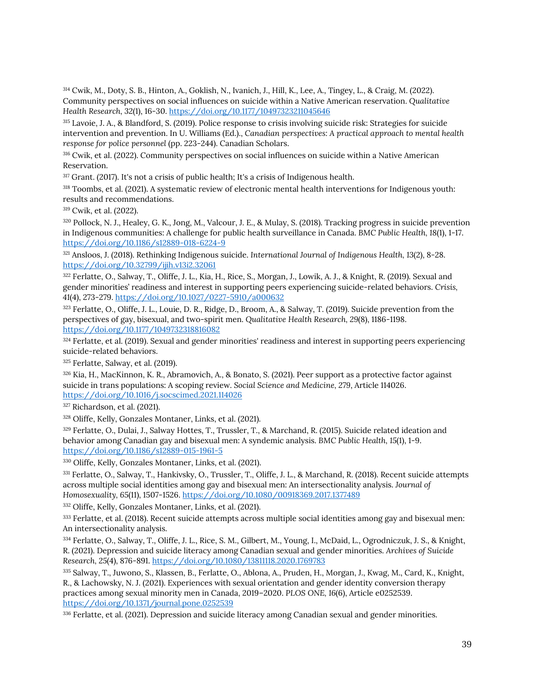<sup>314</sup> Cwik, M., Doty, S. B., Hinton, A., Goklish, N., Ivanich, J., Hill, K., Lee, A., Tingey, L., & Craig, M. (2022). Community perspectives on social influences on suicide within a Native American reservation. *Qualitative Health Research, 32*(1), 16-30. <https://doi.org/10.1177/10497323211045646>

<span id="page-43-0"></span><sup>315</sup> Lavoie, J. A., & Blandford, S. (2019). Police response to crisis involving suicide risk: Strategies for suicide intervention and prevention. In U. Williams (Ed.)., *Canadian perspectives: A practical approach to mental health response for police personnel* (pp. 223-244). Canadian Scholars.

<span id="page-43-1"></span><sup>316</sup> Cwik, et al. (2022). Community perspectives on social influences on suicide within a Native American Reservation.

<span id="page-43-2"></span><sup>317</sup> Grant. (2017). It's not a crisis of public health; It's a crisis of Indigenous health.

<span id="page-43-3"></span><sup>318</sup> Toombs, et al. (2021). A systematic review of electronic mental health interventions for Indigenous youth: results and recommendations.

<sup>319</sup> Cwik, et al. (2022).

<span id="page-43-4"></span><sup>320</sup> Pollock, N. J., Healey, G. K., Jong, M., Valcour, J. E., & Mulay, S. (2018). Tracking progress in suicide prevention in Indigenous communities: A challenge for public health surveillance in Canada. *BMC Public Health, 18*(1), 1-17. <https://doi.org/10.1186/s12889-018-6224-9>

<span id="page-43-5"></span><sup>321</sup> Ansloos, J. (2018). Rethinking Indigenous suicide. *International Journal of Indigenous Health, 13*(2), 8-28. <https://doi.org/10.32799/ijih.v13i2.32061>

<span id="page-43-6"></span><sup>322</sup> Ferlatte, O., Salway, T., Oliffe, J. L., Kia, H., Rice, S., Morgan, J., Lowik, A. J., & Knight, R. (2019). Sexual and gender minorities' readiness and interest in supporting peers experiencing suicide-related behaviors. *Crisis, 41*(4), 273-279. <https://doi.org/10.1027/0227-5910/a000632>

<span id="page-43-7"></span>323 Ferlatte, O., Oliffe, J. L., Louie, D. R., Ridge, D., Broom, A., & Salway, T. (2019). Suicide prevention from the perspectives of gay, bisexual, and two-spirit men. *Qualitative Health Research, 29*(8), 1186-1198. <https://doi.org/10.1177/1049732318816082>

<span id="page-43-8"></span>324 Ferlatte, et al. (2019). Sexual and gender minorities' readiness and interest in supporting peers experiencing suicide-related behaviors.

<span id="page-43-9"></span><sup>325</sup> Ferlatte, Salway, et al. (2019).

<span id="page-43-10"></span><sup>326</sup> Kia, H., MacKinnon, K. R., Abramovich, A., & Bonato, S. (2021). Peer support as a protective factor against suicide in trans populations: A scoping review. *Social Science and Medicine, 279*, Article 114026. <https://doi.org/10.1016/j.socscimed.2021.114026>

<span id="page-43-11"></span><sup>327</sup> Richardson, et al. (2021).

<span id="page-43-12"></span><sup>328</sup> Oliffe, Kelly, Gonzales Montaner, Links, et al. (2021).

<span id="page-43-13"></span><sup>329</sup> Ferlatte, O., Dulai, J., Salway Hottes, T., Trussler, T., & Marchand, R. (2015). Suicide related ideation and behavior among Canadian gay and bisexual men: A syndemic analysis. *BMC Public Health, 15*(1), 1-9. <https://doi.org/10.1186/s12889-015-1961-5>

<span id="page-43-14"></span><sup>330</sup> Oliffe, Kelly, Gonzales Montaner, Links, et al. (2021).

<span id="page-43-15"></span><sup>331</sup> Ferlatte, O., Salway, T., Hankivsky, O., Trussler, T., Oliffe, J. L., & Marchand, R. (2018). Recent suicide attempts across multiple social identities among gay and bisexual men: An intersectionality analysis. *Journal of Homosexuality, 65*(11), 1507-1526. <https://doi.org/10.1080/00918369.2017.1377489>

<span id="page-43-16"></span><sup>332</sup> Oliffe, Kelly, Gonzales Montaner, Links, et al. (2021).

<sup>333</sup> Ferlatte, et al. (2018). Recent suicide attempts across multiple social identities among gay and bisexual men: An intersectionality analysis.

<sup>334</sup> Ferlatte, O., Salway, T., Oliffe, J. L., Rice, S. M., Gilbert, M., Young, I., McDaid, L., Ogrodniczuk, J. S., & Knight, R. (2021). Depression and suicide literacy among Canadian sexual and gender minorities. *Archives of Suicide Research, 25*(4), 876-891. <https://doi.org/10.1080/13811118.2020.1769783>

<span id="page-43-17"></span><sup>335</sup> Salway, T., Juwono, S., Klassen, B., Ferlatte, O., Ablona, A., Pruden, H., Morgan, J., Kwag, M., Card, K., Knight, R., & Lachowsky, N. J. (2021). Experiences with sexual orientation and gender identity conversion therapy practices among sexual minority men in Canada, 2019–2020. *PLOS ONE, 16*(6), Article e0252539. <https://doi.org/10.1371/journal.pone.0252539>

<span id="page-43-18"></span>336 Ferlatte, et al. (2021). Depression and suicide literacy among Canadian sexual and gender minorities.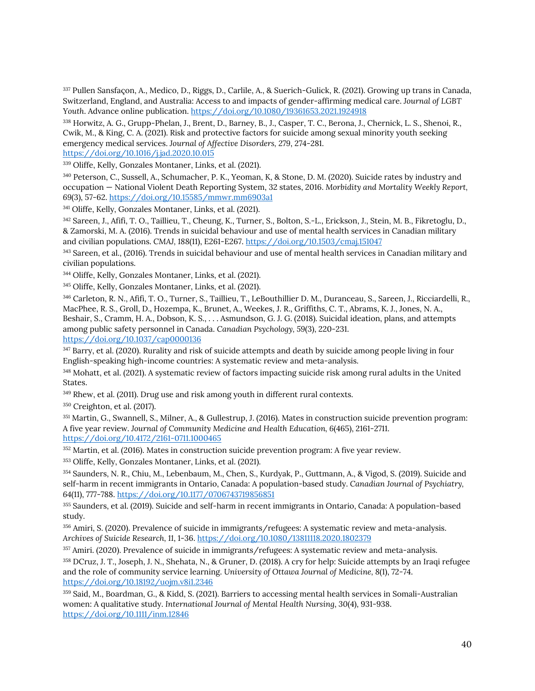<sup>337</sup> Pullen Sansfaçon, A., Medico, D., Riggs, D., Carlile, A., & Suerich-Gulick, R. (2021). Growing up trans in Canada, Switzerland, England, and Australia: Access to and impacts of gender-affirming medical care. *Journal of LGBT Youth*. Advance online publication[. https://doi.org/10.1080/19361653.2021.1924918](https://doi.org/10.1080/19361653.2021.1924918)

<span id="page-44-0"></span><sup>338</sup> Horwitz, A. G., Grupp-Phelan, J., Brent, D., Barney, B., J., Casper, T. C., Berona, J., Chernick, L. S., Shenoi, R., Cwik, M., & King, C. A. (2021). Risk and protective factors for suicide among sexual minority youth seeking emergency medical services. *Journal of Affective Disorders, 279*, 274-281.

<https://doi.org/10.1016/j.jad.2020.10.015>

<span id="page-44-1"></span><sup>339</sup> Oliffe, Kelly, Gonzales Montaner, Links, et al. (2021).

<span id="page-44-2"></span><sup>340</sup> Peterson, C., Sussell, A., Schumacher, P. K., Yeoman, K, & Stone, D. M. (2020). Suicide rates by industry and occupation — National Violent Death Reporting System, 32 states, 2016. *Morbidity and Mortality Weekly Report, 69*(3), 57-62. <https://doi.org/10.15585/mmwr.mm6903a1>

<span id="page-44-3"></span><sup>341</sup> Oliffe, Kelly, Gonzales Montaner, Links, et al. (2021).

<span id="page-44-4"></span><sup>342</sup> Sareen, J., Afifi, T. O., Taillieu, T., Cheung, K., Turner, S., Bolton, S.-L., Erickson, J., Stein, M. B., Fikretoglu, D., & Zamorski, M. A. (2016). Trends in suicidal behaviour and use of mental health services in Canadian military and civilian populations. *CMAJ, 188*(11), E261-E267.<https://doi.org/10.1503/cmaj.151047>

<span id="page-44-5"></span><sup>343</sup> Sareen, et al., (2016). Trends in suicidal behaviour and use of mental health services in Canadian military and civilian populations.

<span id="page-44-6"></span><sup>344</sup> Oliffe, Kelly, Gonzales Montaner, Links, et al. (2021).

<span id="page-44-7"></span><sup>345</sup> Oliffe, Kelly, Gonzales Montaner, Links, et al. (2021).

<span id="page-44-8"></span><sup>346</sup> Carleton, R. N., Afifi, T. O., Turner, S., Taillieu, T., LeBouthillier D. M., Duranceau, S., Sareen, J., Ricciardelli, R., MacPhee, R. S., Groll, D., Hozempa, K., Brunet, A., Weekes, J. R., Griffiths, C. T., Abrams, K. J., Jones, N. A., Beshair, S., Cramm, H. A., Dobson, K. S., . . . Asmundson, G. J. G. (2018). Suicidal ideation, plans, and attempts among public safety personnel in Canada. *Canadian Psychology, 59*(3), 220-231. <https://doi.org/10.1037/cap0000136>

<span id="page-44-9"></span><sup>347</sup> Barry, et al. (2020). Rurality and risk of suicide attempts and death by suicide among people living in four English-speaking high-income countries: A systematic review and meta-analysis.

348 Mohatt, et al. (2021). A systematic review of factors impacting suicide risk among rural adults in the United States.

<sup>349</sup> Rhew, et al. (2011). Drug use and risk among youth in different rural contexts.

<sup>350</sup> Creighton, et al. (2017).

<span id="page-44-10"></span><sup>351</sup> Martin, G., Swannell, S., Milner, A., & Gullestrup, J. (2016). Mates in construction suicide prevention program: A five year review. *Journal of Community Medicine and Health Education, 6*(465), 2161-2711. <https://doi.org/10.4172/2161-0711.1000465>

<span id="page-44-11"></span><sup>352</sup> Martin, et al. (2016). Mates in construction suicide prevention program: A five year review.

<span id="page-44-12"></span><sup>353</sup> Oliffe, Kelly, Gonzales Montaner, Links, et al. (2021).

<span id="page-44-13"></span><sup>354</sup> Saunders, N. R., Chiu, M., Lebenbaum, M., Chen, S., Kurdyak, P., Guttmann, A., & Vigod, S. (2019). Suicide and self-harm in recent immigrants in Ontario, Canada: A population-based study. *Canadian Journal of Psychiatry, 64*(11), 777-788. <https://doi.org/10.1177/0706743719856851>

<span id="page-44-14"></span><sup>355</sup> Saunders, et al. (2019). Suicide and self-harm in recent immigrants in Ontario, Canada: A population-based study.

<span id="page-44-15"></span><sup>356</sup> Amiri, S. (2020). Prevalence of suicide in immigrants/refugees: A systematic review and meta-analysis. *Archives of Suicide Research, 11*, 1-36. <https://doi.org/10.1080/13811118.2020.1802379>

<span id="page-44-16"></span><sup>357</sup> Amiri. (2020). Prevalence of suicide in immigrants/refugees: A systematic review and meta-analysis.

<span id="page-44-17"></span>358 DCruz, J. T., Joseph, J. N., Shehata, N., & Gruner, D. (2018). A cry for help: Suicide attempts by an Iraqi refugee and the role of community service learning. *University of Ottawa Journal of Medicine, 8*(1), 72-74. <https://doi.org/10.18192/uojm.v8i1.2346>

<span id="page-44-18"></span><sup>359</sup> Said, M., Boardman, G., & Kidd, S. (2021). Barriers to accessing mental health services in Somali‐Australian women: A qualitative study. *International Journal of Mental Health Nursing*, *30*(4), 931-938. <https://doi.org/10.1111/inm.12846>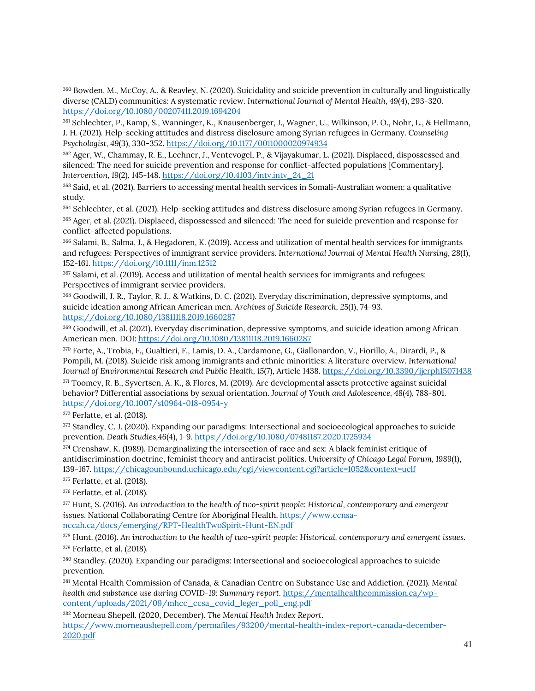<sup>360</sup> Bowden, M., McCoy, A., & Reavley, N. (2020). Suicidality and suicide prevention in culturally and linguistically diverse (CALD) communities: A systematic review. *International Journal of Mental Health, 49*(4), 293-320. <https://doi.org/10.1080/00207411.2019.1694204>

<sup>361</sup> Schlechter, P., Kamp, S., Wanninger, K., Knausenberger, J., Wagner, U., Wilkinson, P. O., Nohr, L., & Hellmann, J. H. (2021). Help-seeking attitudes and distress disclosure among Syrian refugees in Germany. *Counseling Psychologist, 49*(3), 330-352. <https://doi.org/10.1177/0011000020974934>

<span id="page-45-0"></span><sup>362</sup> Ager, W., Chammay, R. E., Lechner, J., Ventevogel, P., & Vijayakumar, L. (2021). Displaced, dispossessed and silenced: The need for suicide prevention and response for conflict-affected populations [Commentary]. *Intervention, 19*(2), 145-148. [https://doi.org/10.4103/intv.intv\\_24\\_21](https://doi.org/10.4103/intv.intv_24_21)

<span id="page-45-1"></span><sup>363</sup> Said, et al. (2021). Barriers to accessing mental health services in Somali-Australian women: a qualitative study.

<span id="page-45-2"></span><sup>364</sup> Schlechter, et al. (2021). Help-seeking attitudes and distress disclosure among Syrian refugees in Germany. <sup>365</sup> Ager, et al. (2021). Displaced, dispossessed and silenced: The need for suicide prevention and response for conflict-affected populations.

<span id="page-45-3"></span><sup>366</sup> Salami, B., Salma, J., & Hegadoren, K. (2019). Access and utilization of mental health services for immigrants and refugees: Perspectives of immigrant service providers. *International Journal of Mental Health Nursing, 28*(1), 152-161. <https://doi.org/10.1111/inm.12512>

<span id="page-45-4"></span><sup>367</sup> Salami, et al. (2019). Access and utilization of mental health services for immigrants and refugees: Perspectives of immigrant service providers.

<span id="page-45-5"></span><sup>368</sup> Goodwill, J. R., Taylor, R. J., & Watkins, D. C. (2021). Everyday discrimination, depressive symptoms, and suicide ideation among African American men. *Archives of Suicide Research, 25*(1), 74-93. <https://doi.org/10.1080/13811118.2019.1660287>

<span id="page-45-6"></span><sup>369</sup> Goodwill, et al. (2021). Everyday discrimination, depressive symptoms, and suicide ideation among African American men. DOI[: https://doi.org/10.1080/13811118.2019.1660287](https://doi.org/10.1080/13811118.2019.1660287)

<span id="page-45-7"></span><sup>370</sup> Forte, A., Trobia, F., Gualtieri, F., Lamis, D. A., Cardamone, G., Giallonardon, V., Fiorillo, A., Dirardi, P., & Pompili, M. (2018). Suicide risk among immigrants and ethnic minorities: A literature overview. *International Journal of Environmental Research and Public Health, 15*(7), Article 1438. <https://doi.org/10.3390/ijerph15071438>

<span id="page-45-8"></span><sup>371</sup> Toomey, R. B., Syvertsen, A. K., & Flores, M. (2019). Are developmental assets protective against suicidal behavior? Differential associations by sexual orientation. *Journal of Youth and Adolescence, 48*(4), 788-801. <https://doi.org/10.1007/s10964-018-0954-y>

<span id="page-45-9"></span><sup>372</sup> Ferlatte, et al. (2018).

<span id="page-45-10"></span>373 Standley, C. J. (2020). Expanding our paradigms: Intersectional and socioecological approaches to suicide prevention. *Death Studies,46*(4), 1-9. <https://doi.org/10.1080/07481187.2020.1725934>

<span id="page-45-11"></span><sup>374</sup> Crenshaw, K. (1989). Demarginalizing the intersection of race and sex: A black feminist critique of antidiscrimination doctrine, feminist theory and antiracist politics. *University of Chicago Legal Forum, 1989*(1), 139-167. <https://chicagounbound.uchicago.edu/cgi/viewcontent.cgi?article=1052&context=uclf>

<span id="page-45-12"></span><sup>375</sup> Ferlatte, et al. (2018).

<span id="page-45-13"></span><sup>376</sup> Ferlatte, et al. (2018).

<span id="page-45-14"></span><sup>377</sup> Hunt, S. (2016). *An introduction to the health of two-spirit people: Historical, contemporary and emergent issues*. National Collaborating Centre for Aboriginal Health. [https://www.ccnsa](https://www.ccnsa-nccah.ca/docs/emerging/RPT-HealthTwoSpirit-Hunt-EN.pdf)[nccah.ca/docs/emerging/RPT-HealthTwoSpirit-Hunt-EN.pdf](https://www.ccnsa-nccah.ca/docs/emerging/RPT-HealthTwoSpirit-Hunt-EN.pdf)

<span id="page-45-15"></span><sup>378</sup> Hunt. (2016). *An introduction to the health of two-spirit people: Historical, contemporary and emergent issues.* <sup>379</sup> Ferlatte, et al. (2018).

<span id="page-45-17"></span><span id="page-45-16"></span><sup>380</sup> Standley. (2020). Expanding our paradigms: Intersectional and socioecological approaches to suicide prevention.

<span id="page-45-18"></span><sup>381</sup> Mental Health Commission of Canada, & Canadian Centre on Substance Use and Addiction. (2021). *Mental health and substance use during COVID-19: Summary report*. [https://mentalhealthcommission.ca/wp](https://mentalhealthcommission.ca/wp-content/uploads/2021/09/mhcc_ccsa_covid_leger_poll_eng.pdf)[content/uploads/2021/09/mhcc\\_ccsa\\_covid\\_leger\\_poll\\_eng.pdf](https://mentalhealthcommission.ca/wp-content/uploads/2021/09/mhcc_ccsa_covid_leger_poll_eng.pdf)

<sup>382</sup> Morneau Shepell. (2020, December). *The Mental Health Index Report*. [https://www.morneaushepell.com/permafiles/93200/mental-health-index-report-canada-december-](https://www.morneaushepell.com/permafiles/93200/mental-health-index-report-canada-december-2020.pdf)[2020.pdf](https://www.morneaushepell.com/permafiles/93200/mental-health-index-report-canada-december-2020.pdf)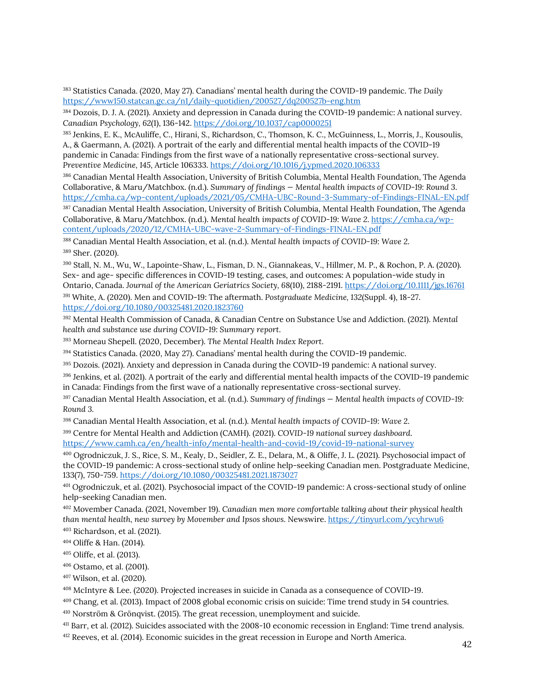<sup>383</sup> Statistics Canada. (2020, May 27). Canadians' mental health during the COVID-19 pandemic. *The Daily* <https://www150.statcan.gc.ca/n1/daily-quotidien/200527/dq200527b-eng.htm>

<sup>384</sup> Dozois, D. J. A. (2021). Anxiety and depression in Canada during the COVID-19 pandemic: A national survey. *Canadian Psychology, 62*(1), 136-142. <https://doi.org/10.1037/cap0000251>

385 Jenkins, E. K., McAuliffe, C., Hirani, S., Richardson, C., Thomson, K. C., McGuinness, L., Morris, J., Kousoulis, A., & Gaermann, A. (2021). A portrait of the early and differential mental health impacts of the COVID-19 pandemic in Canada: Findings from the first wave of a nationally representative cross-sectional survey. *Preventive Medicine, 145*, Article 106333. <https://doi.org/10.1016/j.ypmed.2020.106333>

<sup>386</sup> Canadian Mental Health Association, University of British Columbia, Mental Health Foundation, The Agenda Collaborative, & Maru/Matchbox. (n.d.). *Summary of findings — Mental health impacts of COVID-19: Round 3*. <https://cmha.ca/wp-content/uploads/2021/05/CMHA-UBC-Round-3-Summary-of-Findings-FINAL-EN.pdf>

<span id="page-46-0"></span><sup>387</sup> Canadian Mental Health Association, University of British Columbia, Mental Health Foundation, The Agenda Collaborative, & Maru/Matchbox. (n.d.). *Mental health impacts of COVID-19: Wave 2*. [https://cmha.ca/wp](https://cmha.ca/wp-content/uploads/2020/12/CMHA-UBC-wave-2-Summary-of-Findings-FINAL-EN.pdf)[content/uploads/2020/12/CMHA-UBC-wave-2-Summary-of-Findings-FINAL-EN.pdf](https://cmha.ca/wp-content/uploads/2020/12/CMHA-UBC-wave-2-Summary-of-Findings-FINAL-EN.pdf)

<span id="page-46-1"></span><sup>388</sup> Canadian Mental Health Association, et al. (n.d.). *Mental health impacts of COVID-19: Wave 2*. <sup>389</sup> Sher. (2020).

<span id="page-46-3"></span><span id="page-46-2"></span><sup>390</sup> Stall, N. M., Wu, W., Lapointe-Shaw, L., Fisman, D. N., Giannakeas, V., Hillmer, M. P., & Rochon, P. A. (2020). Sex‐ and age- specific differences in COVID‐19 testing, cases, and outcomes: A population-wide study in Ontario, Canada. *Journal of the American Geriatrics Society, 68*(10), 2188-2191. <https://doi.org/10.1111/jgs.16761>

<span id="page-46-4"></span><sup>391</sup> White, A. (2020). Men and COVID-19: The aftermath. *Postgraduate Medicine, 132*(Suppl. 4), 18-27. <https://doi.org/10.1080/00325481.2020.1823760>

<span id="page-46-5"></span><sup>392</sup> Mental Health Commission of Canada, & Canadian Centre on Substance Use and Addiction. (2021). *Mental health and substance use during COVID-19: Summary report*.

<sup>393</sup> Morneau Shepell. (2020, December). *The Mental Health Index Report*.

<sup>394</sup> Statistics Canada. (2020, May 27). Canadians' mental health during the COVID-19 pandemic.

<sup>395</sup> Dozois. (2021). Anxiety and depression in Canada during the COVID-19 pandemic: A national survey.

<sup>396</sup> Jenkins, et al. (2021). A portrait of the early and differential mental health impacts of the COVID-19 pandemic in Canada: Findings from the first wave of a nationally representative cross-sectional survey.

<sup>397</sup> Canadian Mental Health Association, et al. (n.d.). *Summary of findings — Mental health impacts of COVID-19: Round 3.*

<span id="page-46-6"></span><sup>398</sup> Canadian Mental Health Association, et al. (n.d.). *Mental health impacts of COVID-19: Wave 2*.

<span id="page-46-7"></span><sup>399</sup> Centre for Mental Health and Addiction (CAMH). (2021). *COVID-19 national survey dashboard*. <https://www.camh.ca/en/health-info/mental-health-and-covid-19/covid-19-national-survey>

<span id="page-46-8"></span><sup>400</sup> Ogrodniczuk, J. S., Rice, S. M., Kealy, D., Seidler, Z. E., Delara, M., & Oliffe, J. L. (2021). Psychosocial impact of the COVID-19 pandemic: A cross-sectional study of online help-seeking Canadian men. Postgraduate Medicine, 133(7), 750-759. <https://doi.org/10.1080/00325481.2021.1873027>

<span id="page-46-9"></span><sup>401</sup> Ogrodniczuk, et al. (2021). Psychosocial impact of the COVID-19 pandemic: A cross-sectional study of online help-seeking Canadian men.

<span id="page-46-10"></span><sup>402</sup> Movember Canada. (2021, November 19). *Canadian men more comfortable talking about their physical health than mental health, new survey by Movember and Ipsos shows*. Newswire[. https://tinyurl.com/ycyhrwu6](https://tinyurl.com/ycyhrwu6)

<span id="page-46-11"></span><sup>403</sup> Richardson, et al. (2021).

<sup>404</sup> Oliffe & Han. (2014).

<sup>405</sup> Oliffe, et al. (2013).

<sup>406</sup> Ostamo, et al. (2001).

<span id="page-46-12"></span><sup>407</sup> Wilson, et al. (2020).

<span id="page-46-13"></span><sup>408</sup> McIntyre & Lee. (2020). Projected increases in suicide in Canada as a consequence of COVID-19.

<sup>409</sup> Chang, et al. (2013). Impact of 2008 global economic crisis on suicide: Time trend study in 54 countries.

<sup>410</sup> Norström & Grönqvist. (2015). The great recession, unemployment and suicide.

<sup>411</sup> Barr, et al. (2012). Suicides associated with the 2008-10 economic recession in England: Time trend analysis.

<span id="page-46-14"></span><sup>412</sup> Reeves, et al. (2014). Economic suicides in the great recession in Europe and North America.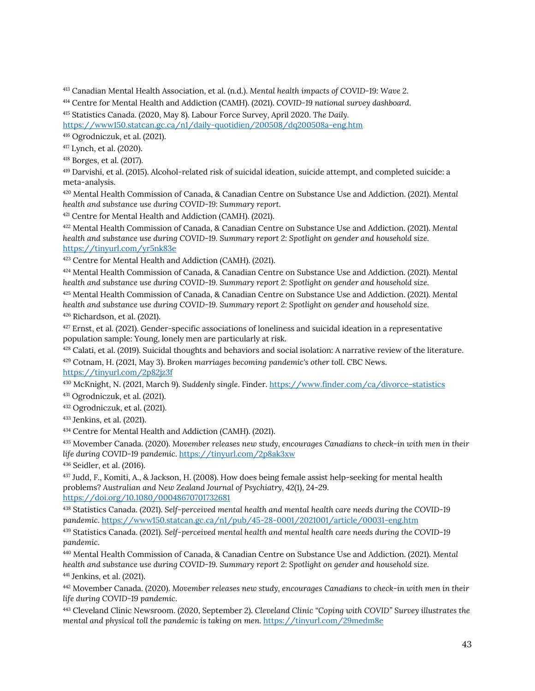<span id="page-47-0"></span>Canadian Mental Health Association, et al. (n.d.). *Mental health impacts of COVID-19: Wave 2*.

<span id="page-47-1"></span>Centre for Mental Health and Addiction (CAMH). (2021). *COVID-19 national survey dashboard*.

<span id="page-47-2"></span>Statistics Canada. (2020, May 8). Labour Force Survey, April 2020. *The Daily.*

<https://www150.statcan.gc.ca/n1/daily-quotidien/200508/dq200508a-eng.htm>

<span id="page-47-3"></span>Ogrodniczuk, et al. (2021).

<span id="page-47-4"></span>Lynch, et al. (2020).

Borges, et al. (2017).

<span id="page-47-5"></span> Darvishi, et al. (2015). Alcohol-related risk of suicidal ideation, suicide attempt, and completed suicide: a meta-analysis.

<span id="page-47-6"></span> Mental Health Commission of Canada, & Canadian Centre on Substance Use and Addiction. (2021). *Mental health and substance use during COVID-19: Summary report*.

Centre for Mental Health and Addiction (CAMH). (2021).

<span id="page-47-7"></span> Mental Health Commission of Canada, & Canadian Centre on Substance Use and Addiction. (2021). *Mental health and substance use during COVID-19. Summary report 2: Spotlight on gender and household size.* <https://tinyurl.com/yr5nk83e>

<span id="page-47-8"></span>Centre for Mental Health and Addiction (CAMH). (2021).

<span id="page-47-9"></span> Mental Health Commission of Canada, & Canadian Centre on Substance Use and Addiction. (2021). *Mental health and substance use during COVID-19. Summary report 2: Spotlight on gender and household size.*

<span id="page-47-10"></span> Mental Health Commission of Canada, & Canadian Centre on Substance Use and Addiction. (2021*). Mental health and substance use during COVID-19. Summary report 2: Spotlight on gender and household size.* Richardson, et al. (2021).

<span id="page-47-11"></span> Ernst, et al. (2021). Gender-specific associations of loneliness and suicidal ideation in a representative population sample: Young, lonely men are particularly at risk.

<span id="page-47-13"></span><span id="page-47-12"></span>428 Calati, et al. (2019). Suicidal thoughts and behaviors and social isolation: A narrative review of the literature. Cotnam, H. (2021, May 3). *Broken marriages becoming pandemic's other toll*. CBC News.

<https://tinyurl.com/2p82jz3f>

<span id="page-47-14"></span>McKnight, N. (2021, March 9). *Suddenly single*. Finder. <https://www.finder.com/ca/divorce-statistics>

<span id="page-47-15"></span>Ogrodniczuk, et al. (2021).

<span id="page-47-16"></span>Ogrodniczuk, et al. (2021).

<span id="page-47-17"></span>Jenkins, et al. (2021).

Centre for Mental Health and Addiction (CAMH). (2021).

<span id="page-47-18"></span> Movember Canada. (2020). *Movember releases new study, encourages Canadians to check-in with men in their life during COVID-19 pandemic*. <https://tinyurl.com/2p8ak3xw>

<span id="page-47-19"></span>Seidler, et al. (2016).

<span id="page-47-20"></span> Judd, F., Komiti, A., & Jackson, H. (2008). How does being female assist help-seeking for mental health problems? *Australian and New Zealand Journal of Psychiatry, 42*(1), 24-29. <https://doi.org/10.1080/00048670701732681>

<span id="page-47-21"></span> Statistics Canada. (2021). *Self-perceived mental health and mental health care needs during the COVID-19 pandemic*[. https://www150.statcan.gc.ca/n1/pub/45-28-0001/2021001/article/00031-eng.htm](https://www150.statcan.gc.ca/n1/pub/45-28-0001/2021001/article/00031-eng.htm)

<span id="page-47-22"></span> Statistics Canada. (2021). *Self-perceived mental health and mental health care needs during the COVID-19 pandemic*.

<span id="page-47-23"></span> Mental Health Commission of Canada, & Canadian Centre on Substance Use and Addiction. (2021). *Mental health and substance use during COVID-19. Summary report 2: Spotlight on gender and household size.* Jenkins, et al. (2021).

<span id="page-47-24"></span> Movember Canada. (2020). *Movember releases new study, encourages Canadians to check-in with men in their life during COVID-19 pandemic*.

<span id="page-47-25"></span> Cleveland Clinic Newsroom. (2020, September 2). *Cleveland Clinic "Coping with COVID" Survey illustrates the mental and physical toll the pandemic is taking on men*. <https://tinyurl.com/29medm8e>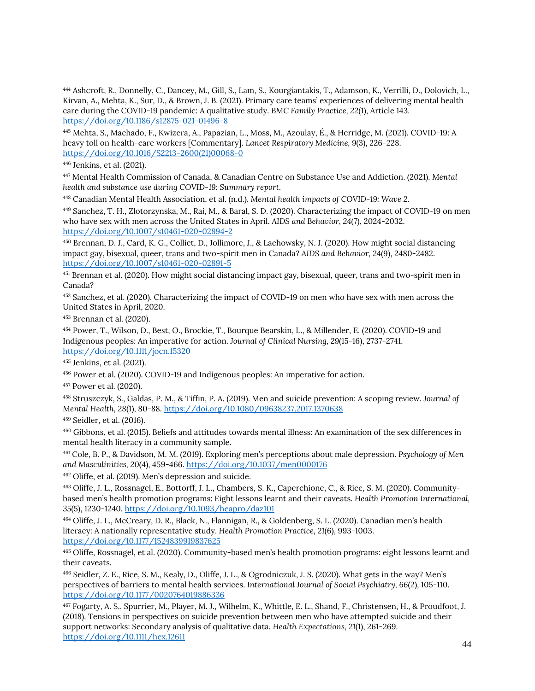<span id="page-48-0"></span><sup>444</sup> Ashcroft, R., Donnelly, C., Dancey, M., Gill, S., Lam, S., Kourgiantakis, T., Adamson, K., Verrilli, D., Dolovich, L., Kirvan, A., Mehta, K., Sur, D., & Brown, J. B. (2021). Primary care teams' experiences of delivering mental health care during the COVID-19 pandemic: A qualitative study. *BMC Family Practice, 22*(1), Article 143. <https://doi.org/10.1186/s12875-021-01496-8>

<span id="page-48-1"></span><sup>445</sup> Mehta, S., Machado, F., Kwizera, A., Papazian, L., Moss, M., Azoulay, É., & Herridge, M. (2021). COVID-19: A heavy toll on health-care workers [Commentary]. *Lancet Respiratory Medicine, 9*(3), 226-228. [https://doi.org/10.1016/S2213-2600\(21\)00068-0](https://doi.org/10.1016/S2213-2600(21)00068-0)

<span id="page-48-2"></span><sup>446</sup> Jenkins, et al. (2021).

<sup>447</sup> Mental Health Commission of Canada, & Canadian Centre on Substance Use and Addiction. (2021). *Mental health and substance use during COVID-19: Summary report*.

<sup>448</sup> Canadian Mental Health Association, et al. (n.d.). *Mental health impacts of COVID-19: Wave 2*.

<span id="page-48-3"></span><sup>449</sup> Sanchez, T. H., Zlotorzynska, M., Rai, M., & Baral, S. D. (2020). Characterizing the impact of COVID-19 on men who have sex with men across the United States in April. *AIDS and Behavior, 24*(7), 2024-2032. <https://doi.org/10.1007/s10461-020-02894-2>

<span id="page-48-4"></span><sup>450</sup> Brennan, D. J., Card, K. G., Collict, D., Jollimore, J., & Lachowsky, N. J. (2020). How might social distancing impact gay, bisexual, queer, trans and two-spirit men in Canada? *AIDS and Behavior, 24*(9), 2480-2482. <https://doi.org/10.1007/s10461-020-02891-5>

<span id="page-48-5"></span><sup>451</sup> Brennan et al. (2020). How might social distancing impact gay, bisexual, queer, trans and two-spirit men in Canada?

<span id="page-48-6"></span><sup>452</sup> Sanchez, et al. (2020). Characterizing the impact of COVID-19 on men who have sex with men across the United States in April, 2020.

<span id="page-48-7"></span><sup>453</sup> Brennan et al. (2020).

<span id="page-48-8"></span><sup>454</sup> Power, T., Wilson, D., Best, O., Brockie, T., Bourque Bearskin, L., & Millender, E. (2020). COVID‐19 and Indigenous peoples: An imperative for action. *Journal of Clinical Nursing, 29*(15-16), 2737-2741. <https://doi.org/10.1111/jocn.15320>

<span id="page-48-9"></span><sup>455</sup> Jenkins, et al. (2021).

<span id="page-48-10"></span><sup>456</sup> Power et al. (2020). COVID‐19 and Indigenous peoples: An imperative for action.

<span id="page-48-11"></span><sup>457</sup> Power et al. (2020).

<span id="page-48-12"></span><sup>458</sup> Struszczyk, S., Galdas, P. M., & Tiffin, P. A. (2019). Men and suicide prevention: A scoping review. *Journal of Mental Health, 28*(1), 80-88. <https://doi.org/10.1080/09638237.2017.1370638>

<span id="page-48-13"></span><sup>459</sup> Seidler, et al. (2016).

<span id="page-48-14"></span><sup>460</sup> Gibbons, et al. (2015). Beliefs and attitudes towards mental illness: An examination of the sex differences in mental health literacy in a community sample.

<span id="page-48-15"></span><sup>461</sup> Cole, B. P., & Davidson, M. M. (2019). Exploring men's perceptions about male depression. *Psychology of Men and Masculinities, 20*(4), 459-466. <https://doi.org/10.1037/men0000176>

<sup>462</sup> Oliffe, et al. (2019). Men's depression and suicide.

<sup>463</sup> Oliffe, J. L., Rossnagel, E., Bottorff, J. L., Chambers, S. K., Caperchione, C., & Rice, S. M. (2020). Communitybased men's health promotion programs: Eight lessons learnt and their caveats. *Health Promotion International, 35*(5), 1230-1240. <https://doi.org/10.1093/heapro/daz101>

<span id="page-48-16"></span><sup>464</sup> Oliffe, J. L., McCreary, D. R., Black, N., Flannigan, R., & Goldenberg, S. L. (2020). Canadian men's health literacy: A nationally representative study. *Health Promotion Practice, 21*(6), 993-1003. <https://doi.org/10.1177/1524839919837625>

<span id="page-48-17"></span><sup>465</sup> Oliffe, Rossnagel, et al. (2020). Community-based men's health promotion programs: eight lessons learnt and their caveats.

<span id="page-48-18"></span><sup>466</sup> Seidler, Z. E., Rice, S. M., Kealy, D., Oliffe, J. L., & Ogrodniczuk, J. S. (2020). What gets in the way? Men's perspectives of barriers to mental health services. *International Journal of Social Psychiatry, 66*(2), 105-110. <https://doi.org/10.1177/0020764019886336>

<sup>467</sup> Fogarty, A. S., Spurrier, M., Player, M. J., Wilhelm, K., Whittle, E. L., Shand, F., Christensen, H., & Proudfoot, J. (2018). Tensions in perspectives on suicide prevention between men who have attempted suicide and their support networks: Secondary analysis of qualitative data. *Health Expectations, 21*(1), 261-269. <https://doi.org/10.1111/hex.12611>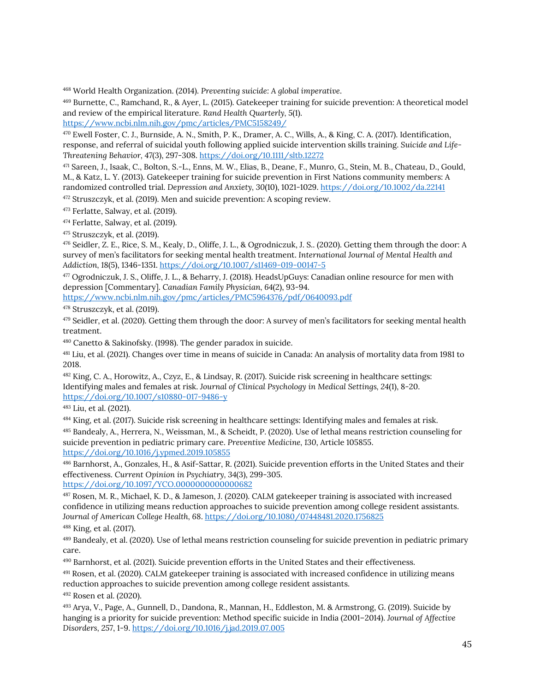<span id="page-49-0"></span><sup>468</sup> World Health Organization. (2014). *Preventing suicide: A global imperative*.

<span id="page-49-1"></span><sup>469</sup> Burnette, C., Ramchand, R., & Ayer, L. (2015). Gatekeeper training for suicide prevention: A theoretical model and review of the empirical literature. *Rand Health Quarterly, 5*(1). <https://www.ncbi.nlm.nih.gov/pmc/articles/PMC5158249/>

<sup>470</sup> Ewell Foster, C. J., Burnside, A. N., Smith, P. K., Dramer, A. C., Wills, A., & King, C. A. (2017). Identification, response, and referral of suicidal youth following applied suicide intervention skills training. *Suicide and Life‐ Threatening Behavior, 47*(3), 297-308. <https://doi.org/10.1111/sltb.12272>

<span id="page-49-2"></span><sup>471</sup> Sareen, J., Isaak, C., Bolton, S.-L., Enns, M. W., Elias, B., Deane, F., Munro, G., Stein, M. B., Chateau, D., Gould, M., & Katz, L. Y. (2013). Gatekeeper training for suicide prevention in First Nations community members: A randomized controlled trial. *Depression and Anxiety, 30*(10), 1021-1029. <https://doi.org/10.1002/da.22141>

<span id="page-49-3"></span><sup>472</sup> Struszczyk, et al. (2019). Men and suicide prevention: A scoping review.

<span id="page-49-4"></span><sup>473</sup> Ferlatte, Salway, et al. (2019).

<span id="page-49-5"></span><sup>474</sup> Ferlatte, Salway, et al. (2019).

<span id="page-49-6"></span><sup>475</sup> Struszczyk, et al. (2019).

<span id="page-49-7"></span><sup>476</sup> Seidler, Z. E., Rice, S. M., Kealy, D., Oliffe, J. L., & Ogrodniczuk, J. S.. (2020). Getting them through the door: A survey of men's facilitators for seeking mental health treatment. *International Journal of Mental Health and Addiction, 18*(5), 1346-1351. <https://doi.org/10.1007/s11469-019-00147-5>

<span id="page-49-8"></span><sup>477</sup> Ogrodniczuk, J. S., Oliffe, J. L., & Beharry, J. (2018). HeadsUpGuys: Canadian online resource for men with depression [Commentary]. *Canadian Family Physician, 64*(2), 93-94.

<https://www.ncbi.nlm.nih.gov/pmc/articles/PMC5964376/pdf/0640093.pdf>

<span id="page-49-9"></span><sup>478</sup> Struszczyk, et al. (2019).

<span id="page-49-10"></span>479 Seidler, et al. (2020). Getting them through the door: A survey of men's facilitators for seeking mental health treatment.

<span id="page-49-11"></span><sup>480</sup> Canetto & Sakinofsky. (1998). The gender paradox in suicide.

<span id="page-49-12"></span><sup>481</sup> Liu, et al. (2021). Changes over time in means of suicide in Canada: An analysis of mortality data from 1981 to 2018.

<span id="page-49-13"></span><sup>482</sup> King, C. A., Horowitz, A., Czyz, E., & Lindsay, R. (2017). Suicide risk screening in healthcare settings: Identifying males and females at risk. *Journal of Clinical Psychology in Medical Settings, 24*(1), 8-20. <https://doi.org/10.1007/s10880-017-9486-y>

<span id="page-49-14"></span><sup>483</sup> Liu, et al. (2021).

<span id="page-49-15"></span><sup>484</sup> King, et al. (2017). Suicide risk screening in healthcare settings: Identifying males and females at risk.

<sup>485</sup> Bandealy, A., Herrera, N., Weissman, M., & Scheidt, P. (2020). Use of lethal means restriction counseling for suicide prevention in pediatric primary care. *Preventive Medicine, 130*, Article 105855. <https://doi.org/10.1016/j.ypmed.2019.105855>

<sup>486</sup> Barnhorst, A., Gonzales, H., & Asif-Sattar, R. (2021). Suicide prevention efforts in the United States and their effectiveness. *Current Opinion in Psychiatry, 34*(3), 299-305. <https://doi.org/10.1097/YCO.0000000000000682>

<span id="page-49-16"></span><sup>487</sup> Rosen, M. R., Michael, K. D., & Jameson, J. (2020). CALM gatekeeper training is associated with increased confidence in utilizing means reduction approaches to suicide prevention among college resident assistants. *Journal of American College Health, 68*. <https://doi.org/10.1080/07448481.2020.1756825> <sup>488</sup> King, et al. (2017).

<span id="page-49-17"></span><sup>489</sup> Bandealy, et al. (2020). Use of lethal means restriction counseling for suicide prevention in pediatric primary care.

<sup>490</sup> Barnhorst, et al. (2021). Suicide prevention efforts in the United States and their effectiveness.

<span id="page-49-18"></span><sup>491</sup> Rosen, et al. (2020). CALM gatekeeper training is associated with increased confidence in utilizing means reduction approaches to suicide prevention among college resident assistants.

<span id="page-49-19"></span><sup>492</sup> Rosen et al. (2020).

<sup>493</sup> Arya, V., Page, A., Gunnell, D., Dandona, R., Mannan, H., Eddleston, M. & Armstrong, G. (2019). Suicide by hanging is a priority for suicide prevention: Method specific suicide in India (2001–2014). *Journal of Affective Disorders, 257*, 1-9. <https://doi.org/10.1016/j.jad.2019.07.005>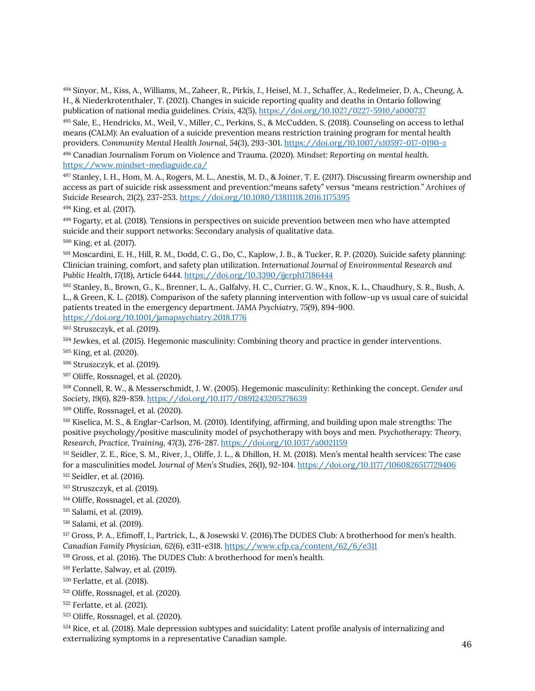Sinyor, M., Kiss, A., Williams, M., Zaheer, R., Pirkis, J., Heisel, M. J., Schaffer, A., Redelmeier, D. A., Cheung, A. H., & Niederkrotenthaler, T. (2021). Changes in suicide reporting quality and deaths in Ontario following publication of national media guidelines. *Crisis, 42*(5), <https://doi.org/10.1027/0227-5910/a000737>

 Sale, E., Hendricks, M., Weil, V., Miller, C., Perkins, S., & McCudden, S. (2018). Counseling on access to lethal means (CALM): An evaluation of a suicide prevention means restriction training program for mental health providers. *Community Mental Health Journal, 54*(3), 293-301. <https://doi.org/10.1007/s10597-017-0190-z>

 Canadian Journalism Forum on Violence and Trauma. (2020). *Mindset: Reporting on mental health.* <https://www.mindset-mediaguide.ca/>

<span id="page-50-0"></span> Stanley, I. H., Hom, M. A., Rogers, M. L., Anestis, M. D., & Joiner, T. E. (2017). Discussing firearm ownership and access as part of suicide risk assessment and prevention:"means safety" versus "means restriction." *Archives of Suicide Research, 21*(2), 237-253. <https://doi.org/10.1080/13811118.2016.1175395>

<span id="page-50-1"></span>King, et al. (2017).

<span id="page-50-2"></span> Fogarty, et al. (2018). Tensions in perspectives on suicide prevention between men who have attempted suicide and their support networks: Secondary analysis of qualitative data.

<span id="page-50-3"></span>King, et al. (2017).

<span id="page-50-4"></span> Moscardini, E. H., Hill, R. M., Dodd, C. G., Do, C., Kaplow, J. B., & Tucker, R. P. (2020). Suicide safety planning: Clinician training, comfort, and safety plan utilization. *International Journal of Environmental Research and Public Health, 17*(18), Article 6444. <https://doi.org/10.3390/ijerph17186444>

<span id="page-50-5"></span> Stanley, B., Brown, G., K., Brenner, L. A., Galfalvy, H. C., Currier, G. W., Knox, K. L., Chaudhury, S. R., Bush, A. L., & Green, K. L. (2018). Comparison of the safety planning intervention with follow-up vs usual care of suicidal patients treated in the emergency department. *JAMA Psychiatry, 75*(9), 894-900. <https://doi.org/10.1001/jamapsychiatry.2018.1776>

<span id="page-50-6"></span>Struszczyk, et al. (2019).

<span id="page-50-7"></span>Jewkes, et al. (2015). Hegemonic masculinity: Combining theory and practice in gender interventions.

<span id="page-50-8"></span>King, et al. (2020).

<span id="page-50-9"></span>Struszczyk, et al. (2019).

<span id="page-50-10"></span>Oliffe, Rossnagel, et al. (2020).

<span id="page-50-11"></span> Connell, R. W., & Messerschmidt, J. W. (2005). Hegemonic masculinity: Rethinking the concept. *Gender and Society, 19*(6), 829-859. <https://doi.org/10.1177/0891243205278639>

<span id="page-50-12"></span>Oliffe, Rossnagel, et al. (2020).

<span id="page-50-13"></span> Kiselica, M. S., & Englar-Carlson, M. (2010). Identifying, affirming, and building upon male strengths: The positive psychology/positive masculinity model of psychotherapy with boys and men. *Psychotherapy: Theory, Research, Practice, Training, 47*(3), 276-287. <https://doi.org/10.1037/a0021159>

<span id="page-50-14"></span> Seidler, Z. E., Rice, S. M., River, J., Oliffe, J. L., & Dhillon, H. M. (2018). Men's mental health services: The case for a masculinities model. *Journal of Men's Studies, 26*(1), 92-104[. https://doi.org/10.1177/1060826517729406](https://doi.org/10.1177/1060826517729406) Seidler, et al. (2016).

<span id="page-50-16"></span><span id="page-50-15"></span>Struszczyk, et al. (2019).

<span id="page-50-17"></span>Oliffe, Rossnagel, et al. (2020).

<span id="page-50-18"></span>Salami, et al. (2019).

<span id="page-50-19"></span>Salami, et al. (2019).

<span id="page-50-20"></span> Gross, P. A., Efimoff, I., Partrick, L., & Josewski V. (2016).The DUDES Club: A brotherhood for men's health. *Canadian Family Physician, 62*(6), e311-e318. <https://www.cfp.ca/content/62/6/e311>

<span id="page-50-21"></span>Gross, et al. (2016). The DUDES Club: A brotherhood for men's health.

<span id="page-50-22"></span>Ferlatte, Salway, et al. (2019).

Ferlatte, et al. (2018).

<span id="page-50-23"></span>Oliffe, Rossnagel, et al. (2020).

<span id="page-50-24"></span>Ferlatte, et al. (2021).

<span id="page-50-25"></span>Oliffe, Rossnagel, et al. (2020).

<span id="page-50-26"></span>524 Rice, et al. (2018). Male depression subtypes and suicidality: Latent profile analysis of internalizing and externalizing symptoms in a representative Canadian sample.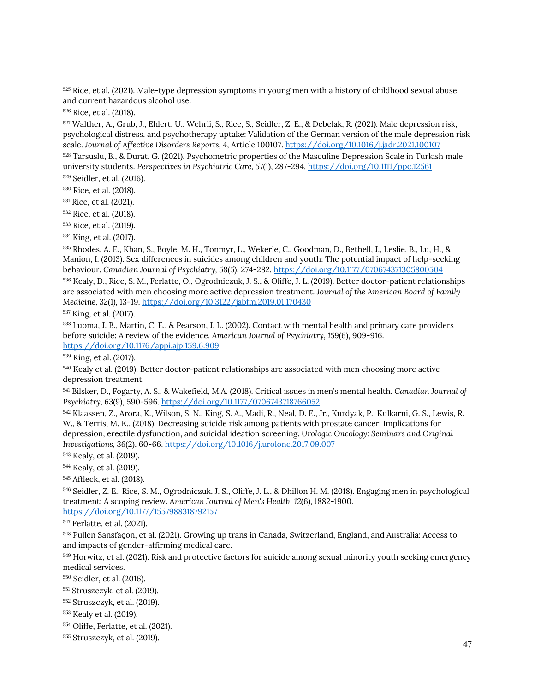<span id="page-51-0"></span> Rice, et al. (2021). Male-type depression symptoms in young men with a history of childhood sexual abuse and current hazardous alcohol use.

Rice, et al. (2018).

 Walther, A., Grub, J., Ehlert, U., Wehrli, S., Rice, S., Seidler, Z. E., & Debelak, R. (2021). Male depression risk, psychological distress, and psychotherapy uptake: Validation of the German version of the male depression risk scale. *Journal of Affective Disorders Reports, 4*, Article 100107. <https://doi.org/10.1016/j.jadr.2021.100107>

<span id="page-51-1"></span> Tarsuslu, B., & Durat, G. (2021). Psychometric properties of the Masculine Depression Scale in Turkish male university students. *Perspectives in Psychiatric Care, 57*(1), 287-294[. https://doi.org/10.1111/ppc.12561](https://doi.org/10.1111/ppc.12561) Seidler, et al. (2016).

<span id="page-51-2"></span>Rice, et al. (2018).

<span id="page-51-3"></span>Rice, et al. (2021).

Rice, et al. (2018).

<span id="page-51-5"></span><span id="page-51-4"></span>Rice, et al. (2019).

<span id="page-51-6"></span>King, et al. (2017).

 Rhodes, A. E., Khan, S., Boyle, M. H., Tonmyr, L., Wekerle, C., Goodman, D., Bethell, J., Leslie, B., Lu, H., & Manion, I. (2013). Sex differences in suicides among children and youth: The potential impact of help-seeking behaviour. *Canadian Journal of Psychiatry, 58*(5), 274-282. <https://doi.org/10.1177/070674371305800504>

<span id="page-51-7"></span> Kealy, D., Rice, S. M., Ferlatte, O., Ogrodniczuk, J. S., & Oliffe, J. L. (2019). Better doctor-patient relationships are associated with men choosing more active depression treatment. *Journal of the American Board of Family Medicine, 32*(1), 13-19. <https://doi.org/10.3122/jabfm.2019.01.170430>

<span id="page-51-8"></span>King, et al. (2017).

<span id="page-51-9"></span> Luoma, J. B., Martin, C. E., & Pearson, J. L. (2002). Contact with mental health and primary care providers before suicide: A review of the evidence. *American Journal of Psychiatry, 159*(6), 909-916. <https://doi.org/10.1176/appi.ajp.159.6.909>

<span id="page-51-10"></span>King, et al. (2017).

<span id="page-51-11"></span> Kealy et al. (2019). Better doctor-patient relationships are associated with men choosing more active depression treatment.

<span id="page-51-12"></span> Bilsker, D., Fogarty, A. S., & Wakefield, M.A. (2018). Critical issues in men's mental health. *Canadian Journal of Psychiatry, 63*(9), 590-596. <https://doi.org/10.1177/0706743718766052>

<span id="page-51-13"></span> Klaassen, Z., Arora, K., Wilson, S. N., King, S. A., Madi, R., Neal, D. E., Jr., Kurdyak, P., Kulkarni, G. S., Lewis, R. W., & Terris, M. K.. (2018). Decreasing suicide risk among patients with prostate cancer: Implications for depression, erectile dysfunction, and suicidal ideation screening. *Urologic Oncology: Seminars and Original Investigations, 36*(2), 60-66. <https://doi.org/10.1016/j.urolonc.2017.09.007>

<span id="page-51-14"></span>Kealy, et al. (2019).

<span id="page-51-15"></span>Kealy, et al. (2019).

<span id="page-51-16"></span>Affleck, et al. (2018).

<span id="page-51-17"></span> Seidler, Z. E., Rice, S. M., Ogrodniczuk, J. S., Oliffe, J. L., & Dhillon H. M. (2018). Engaging men in psychological treatment: A scoping review. *American Journal of Men's Health, 12*(6), 1882-1900. <https://doi.org/10.1177/1557988318792157>

<span id="page-51-18"></span>Ferlatte, et al. (2021).

 Pullen Sansfaçon, et al. (2021). Growing up trans in Canada, Switzerland, England, and Australia: Access to and impacts of gender-affirming medical care.

<span id="page-51-19"></span><sup>549</sup> Horwitz, et al. (2021). Risk and protective factors for suicide among sexual minority youth seeking emergency medical services.

<span id="page-51-20"></span>Seidler, et al. (2016).

<span id="page-51-21"></span>Struszczyk, et al. (2019).

<span id="page-51-22"></span>Struszczyk, et al. (2019).

<span id="page-51-23"></span>Kealy et al. (2019).

- <span id="page-51-24"></span>Oliffe, Ferlatte, et al. (2021).
- <span id="page-51-25"></span>Struszczyk, et al. (2019).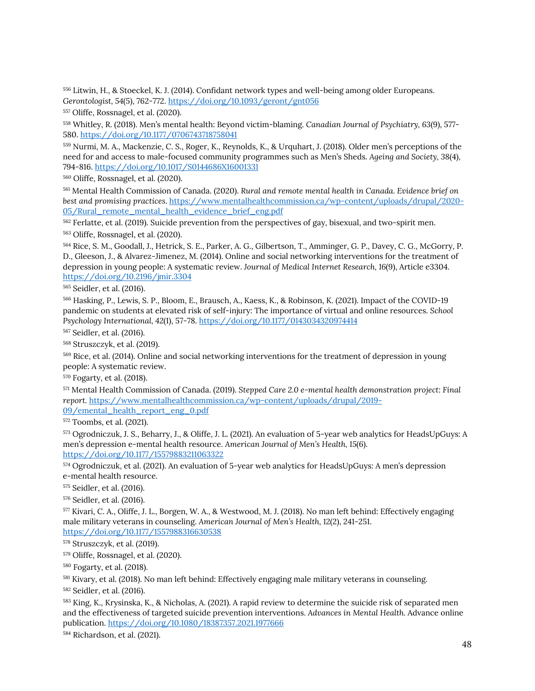<span id="page-52-0"></span><sup>556</sup> Litwin, H., & Stoeckel, K. J. (2014). Confidant network types and well-being among older Europeans. *Gerontologist, 54*(5), 762-772[. https://doi.org/10.1093/geront/gnt056](https://doi.org/10.1093/geront/gnt056)

<span id="page-52-1"></span><sup>557</sup> Oliffe, Rossnagel, et al. (2020).

<span id="page-52-2"></span><sup>558</sup> Whitley, R. (2018). Men's mental health: Beyond victim-blaming. *Canadian Journal of Psychiatry, 63*(9), 577- 580. <https://doi.org/10.1177/0706743718758041>

<span id="page-52-3"></span><sup>559</sup> Nurmi, M. A., Mackenzie, C. S., Roger, K., Reynolds, K., & Urquhart, J. (2018). Older men's perceptions of the need for and access to male-focused community programmes such as Men's Sheds. *Ageing and Society, 38*(4), 794-816. <https://doi.org/10.1017/S0144686X16001331>

<span id="page-52-4"></span><sup>560</sup> Oliffe, Rossnagel, et al. (2020).

<span id="page-52-5"></span><sup>561</sup> Mental Health Commission of Canada. (2020). *Rural and remote mental health in Canada. Evidence brief on best and promising practices*. [https://www.mentalhealthcommission.ca/wp-content/uploads/drupal/2020-](https://www.mentalhealthcommission.ca/wp-content/uploads/drupal/2020-05/Rural_remote_mental_health_evidence_brief_eng.pdf) [05/Rural\\_remote\\_mental\\_health\\_evidence\\_brief\\_eng.pdf](https://www.mentalhealthcommission.ca/wp-content/uploads/drupal/2020-05/Rural_remote_mental_health_evidence_brief_eng.pdf)

<span id="page-52-7"></span><span id="page-52-6"></span><sup>562</sup> Ferlatte, et al. (2019). Suicide prevention from the perspectives of gay, bisexual, and two-spirit men. <sup>563</sup> Oliffe, Rossnagel, et al. (2020).

<span id="page-52-8"></span><sup>564</sup> Rice, S. M., Goodall, J., Hetrick, S. E., Parker, A. G., Gilbertson, T., Amminger, G. P., Davey, C. G., McGorry, P. D., Gleeson, J., & Alvarez-Jimenez, M. (2014). Online and social networking interventions for the treatment of depression in young people: A systematic review. *Journal of Medical Internet Research, 16*(9), Article e3304. <https://doi.org/10.2196/jmir.3304>

<span id="page-52-9"></span><sup>565</sup> Seidler, et al. (2016).

<span id="page-52-10"></span><sup>566</sup> Hasking, P., Lewis, S. P., Bloom, E., Brausch, A., Kaess, K., & Robinson, K. (2021). Impact of the COVID-19 pandemic on students at elevated risk of self-injury: The importance of virtual and online resources. *School Psychology International, 42*(1), 57-78.<https://doi.org/10.1177/0143034320974414>

<span id="page-52-11"></span><sup>567</sup> Seidler, et al. (2016).

<span id="page-52-12"></span><sup>568</sup> Struszczyk, et al. (2019).

<span id="page-52-13"></span><sup>569</sup> Rice, et al. (2014). Online and social networking interventions for the treatment of depression in young people: A systematic review.

<span id="page-52-14"></span><sup>570</sup> Fogarty, et al. (2018).

<span id="page-52-15"></span><sup>571</sup> Mental Health Commission of Canada. (2019). *Stepped Care 2.0 e-mental health demonstration project: Final report.* [https://www.mentalhealthcommission.ca/wp-content/uploads/drupal/2019-](https://www.mentalhealthcommission.ca/wp-content/uploads/drupal/2019-09/emental_health_report_eng_0.pdf) [09/emental\\_health\\_report\\_eng\\_0.pdf](https://www.mentalhealthcommission.ca/wp-content/uploads/drupal/2019-09/emental_health_report_eng_0.pdf)

<span id="page-52-16"></span><sup>572</sup> Toombs, et al. (2021).

<span id="page-52-17"></span><sup>573</sup> Ogrodniczuk, J. S., Beharry, J., & Oliffe, J. L. (2021). An evaluation of 5-year web analytics for HeadsUpGuys: A men's depression e-mental health resource. *American Journal of Men's Health, 15*(6). <https://doi.org/10.1177/15579883211063322>

<span id="page-52-18"></span><sup>574</sup> Ogrodniczuk, et al. (2021). An evaluation of 5-year web analytics for HeadsUpGuys: A men's depression e-mental health resource.

<span id="page-52-19"></span><sup>575</sup> Seidler, et al. (2016).

<span id="page-52-20"></span><sup>576</sup> Seidler, et al. (2016).

<span id="page-52-21"></span><sup>577</sup> Kivari, C. A., Oliffe, J. L., Borgen, W. A., & Westwood, M. J. (2018). No man left behind: Effectively engaging male military veterans in counseling. *American Journal of Men's Health, 12*(2), 241-251.

<https://doi.org/10.1177/1557988316630538>

<span id="page-52-22"></span><sup>578</sup> Struszczyk, et al. (2019).

<span id="page-52-23"></span><sup>579</sup> Oliffe, Rossnagel, et al. (2020).

<span id="page-52-24"></span><sup>580</sup> Fogarty, et al. (2018).

<span id="page-52-25"></span><sup>581</sup> Kivary, et al. (2018). No man left behind: Effectively engaging male military veterans in counseling.

<span id="page-52-26"></span><sup>582</sup> Seidler, et al. (2016).

<span id="page-52-27"></span><sup>583</sup> King, K., Krysinska, K., & Nicholas, A. (2021). A rapid review to determine the suicide risk of separated men and the effectiveness of targeted suicide prevention interventions. *Advances in Mental Health.* Advance online publication[. https://doi.org/10.1080/18387357.2021.1977666](https://doi.org/10.1080/18387357.2021.1977666)

<span id="page-52-28"></span><sup>584</sup> Richardson, et al. (2021).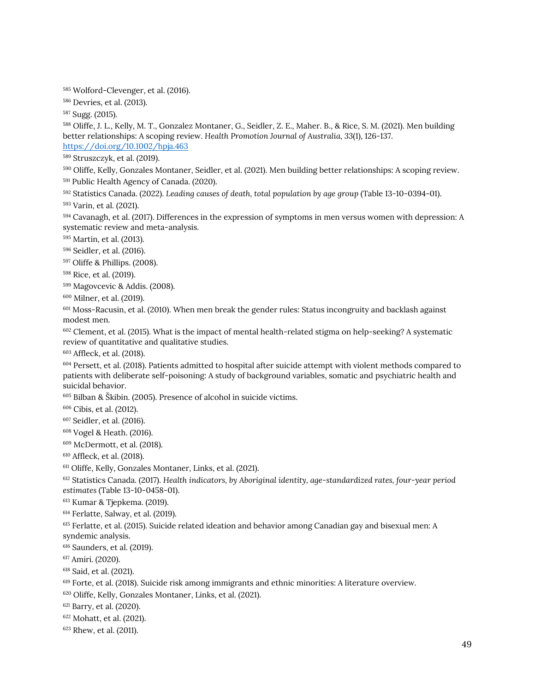Wolford-Clevenger, et al. (2016).

Devries, et al. (2013).

<span id="page-53-0"></span>Sugg. (2015).

<span id="page-53-1"></span> Oliffe, J. L., Kelly, M. T., Gonzalez Montaner, G., Seidler, Z. E., Maher. B., & Rice, S. M. (2021). Men building better relationships: A scoping review. *Health Promotion Journal of Australia, 33*(1), 126-137. <https://doi.org/10.1002/hpja.463>

<span id="page-53-2"></span>Struszczyk, et al. (2019).

<span id="page-53-3"></span>Oliffe, Kelly, Gonzales Montaner, Seidler, et al. (2021). Men building better relationships: A scoping review.

<span id="page-53-4"></span>Public Health Agency of Canada. (2020).

Statistics Canada. (2022). *Leading causes of death, total population by age group* (Table 13-10-0394-01).

<span id="page-53-5"></span>Varin, et al. (2021).

<span id="page-53-6"></span> Cavanagh, et al. (2017). Differences in the expression of symptoms in men versus women with depression: A systematic review and meta-analysis.

Martin, et al. (2013).

Seidler, et al. (2016).

Oliffe & Phillips. (2008).

Rice, et al. (2019).

Magovcevic & Addis. (2008).

Milner, et al. (2019).

 Moss-Racusin, et al. (2010). When men break the gender rules: Status incongruity and backlash against modest men.

<span id="page-53-7"></span> Clement, et al. (2015). What is the impact of mental health-related stigma on help-seeking? A systematic review of quantitative and qualitative studies.

<span id="page-53-8"></span>Affleck, et al. (2018).

 Persett, et al. (2018). Patients admitted to hospital after suicide attempt with violent methods compared to patients with deliberate self-poisoning: A study of background variables, somatic and psychiatric health and suicidal behavior.

Bilban & Škibin. (2005). Presence of alcohol in suicide victims.

<span id="page-53-9"></span>Cibis, et al. (2012).

<span id="page-53-10"></span>Seidler, et al. (2016).

Vogel & Heath. (2016).

McDermott, et al. (2018).

<span id="page-53-11"></span>Affleck, et al. (2018).

<span id="page-53-12"></span>Oliffe, Kelly, Gonzales Montaner, Links, et al. (2021).

<span id="page-53-13"></span> Statistics Canada. (2017). *Health indicators, by Aboriginal identity, age-standardized rates, four-year period estimates* (Table 13-10-0458-01).

Kumar & Tjepkema. (2019).

<sup>614</sup> Ferlatte, Salway, et al. (2019).

 Ferlatte, et al. (2015). Suicide related ideation and behavior among Canadian gay and bisexual men: A syndemic analysis.

Saunders, et al. (2019).

Amiri. (2020).

Said, et al. (2021).

Forte, et al. (2018). Suicide risk among immigrants and ethnic minorities: A literature overview.

<span id="page-53-14"></span>Oliffe, Kelly, Gonzales Montaner, Links, et al. (2021).

<span id="page-53-15"></span>Barry, et al. (2020).

Mohatt, et al. (2021).

Rhew, et al. (2011).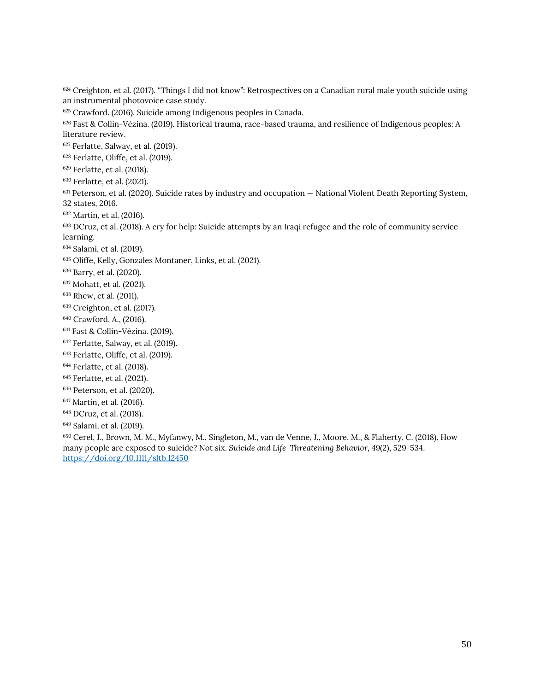624 Creighton, et al. (2017). "Things I did not know": Retrospectives on a Canadian rural male youth suicide using an instrumental photovoice case study.

Crawford. (2016). Suicide among Indigenous peoples in Canada.

 Fast & Collin-Vèzina. (2019). Historical trauma, race-based trauma, and resilience of Indigenous peoples: A literature review.

<sup>627</sup> Ferlatte, Salway, et al. (2019).

Ferlatte, Oliffe, et al. (2019).

Ferlatte, et al. (2018).

Ferlatte, et al. (2021).

<sup>631</sup> Peterson, et al. (2020). Suicide rates by industry and occupation – National Violent Death Reporting System, 32 states, 2016.

Martin, et al. (2016).

<sup>633</sup> DCruz, et al. (2018). A cry for help: Suicide attempts by an Iraqi refugee and the role of community service learning.

<span id="page-54-0"></span>Salami, et al. (2019).

<span id="page-54-1"></span>Oliffe, Kelly, Gonzales Montaner, Links, et al. (2021).

Barry, et al. (2020).

Mohatt, et al. (2021).

Rhew, et al. (2011).

Creighton, et al. (2017).

Crawford, A., (2016).

Fast & Collin-Vèzina. (2019).

Ferlatte, Salway, et al. (2019).

Ferlatte, Oliffe, et al. (2019).

Ferlatte, et al. (2018).

Ferlatte, et al. (2021).

Peterson, et al. (2020).

Martin, et al. (2016).

DCruz, et al. (2018).

<span id="page-54-2"></span>Salami, et al. (2019).

<span id="page-54-3"></span> Cerel, J., Brown, M. M., Myfanwy, M., Singleton, M., van de Venne, J., Moore, M., & Flaherty, C. (2018). How many people are exposed to suicide? Not six. *Suicide and Life-Threatening Behavior, 49*(2), 529-534. <https://doi.org/10.1111/sltb.12450>